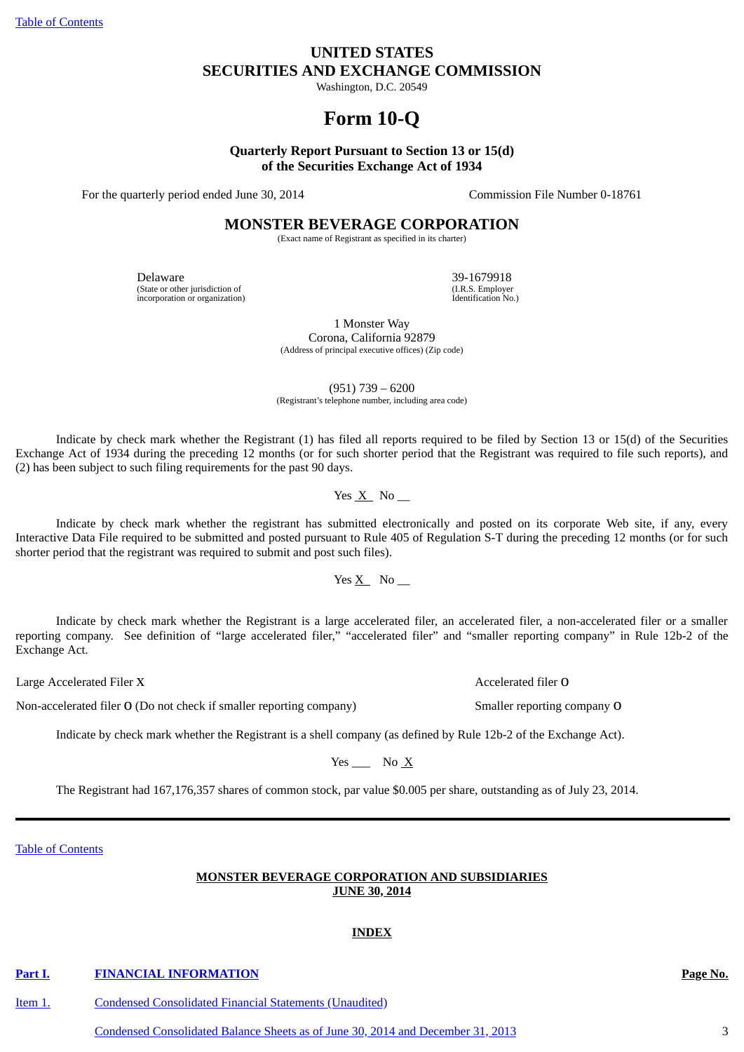Table of [Contents](#page-0-0)

# **UNITED STATES SECURITIES AND EXCHANGE COMMISSION**

Washington, D.C. 20549

# **Form 10-Q**

**Quarterly Report Pursuant to Section 13 or 15(d) of the Securities Exchange Act of 1934**

For the quarterly period ended June 30, 2014 Commission File Number 0-18761

**MONSTER BEVERAGE CORPORATION**

(Exact name of Registrant as specified in its charter)

Delaware 39-1679918 (State or other jurisdiction of the component of the component of the component of the component of the component of the component of the component of the component of the component of the component of the component of the incorporation or organization)

1 Monster Way Corona, California 92879 (Address of principal executive offices) (Zip code)

(951) 739 – 6200 (Registrant's telephone number, including area code)

Indicate by check mark whether the Registrant (1) has filed all reports required to be filed by Section 13 or 15(d) of the Securities Exchange Act of 1934 during the preceding 12 months (or for such shorter period that the Registrant was required to file such reports), and (2) has been subject to such filing requirements for the past 90 days.

Yes  $X$  No  $\_$ 

Indicate by check mark whether the registrant has submitted electronically and posted on its corporate Web site, if any, every Interactive Data File required to be submitted and posted pursuant to Rule 405 of Regulation S-T during the preceding 12 months (or for such shorter period that the registrant was required to submit and post such files).

Yes  $\underline{X}$  No  $\underline{\phantom{X}}$ 

Indicate by check mark whether the Registrant is a large accelerated filer, an accelerated filer, a non-accelerated filer or a smaller reporting company. See definition of "large accelerated filer," "accelerated filer" and "smaller reporting company" in Rule 12b-2 of the Exchange Act.

Large Accelerated Filer X and the settlement of the Accelerated filer O

Non-accelerated filer O (Do not check if smaller reporting company) Smaller reporting company O

Indicate by check mark whether the Registrant is a shell company (as defined by Rule 12b-2 of the Exchange Act).

Yes  $\_\_\_$  No  $\overline{X}$ 

The Registrant had 167,176,357 shares of common stock, par value \$0.005 per share, outstanding as of July 23, 2014.

Table of [Contents](#page-0-0)

### **MONSTER BEVERAGE CORPORATION AND SUBSIDIARIES JUNE 30, 2014**

### <span id="page-0-0"></span>**INDEX**

**[Part](#page-1-0) I. FINANCIAL [INFORMATION](#page-1-0) Page No.**

[Item](#page-1-1) 1. Condensed [Consolidated](#page-1-1) Financial Statements (Unaudited)

Condensed [Consolidated](#page-1-2) Balance Sheets as of June 30, 2014 and December 31, 2013 3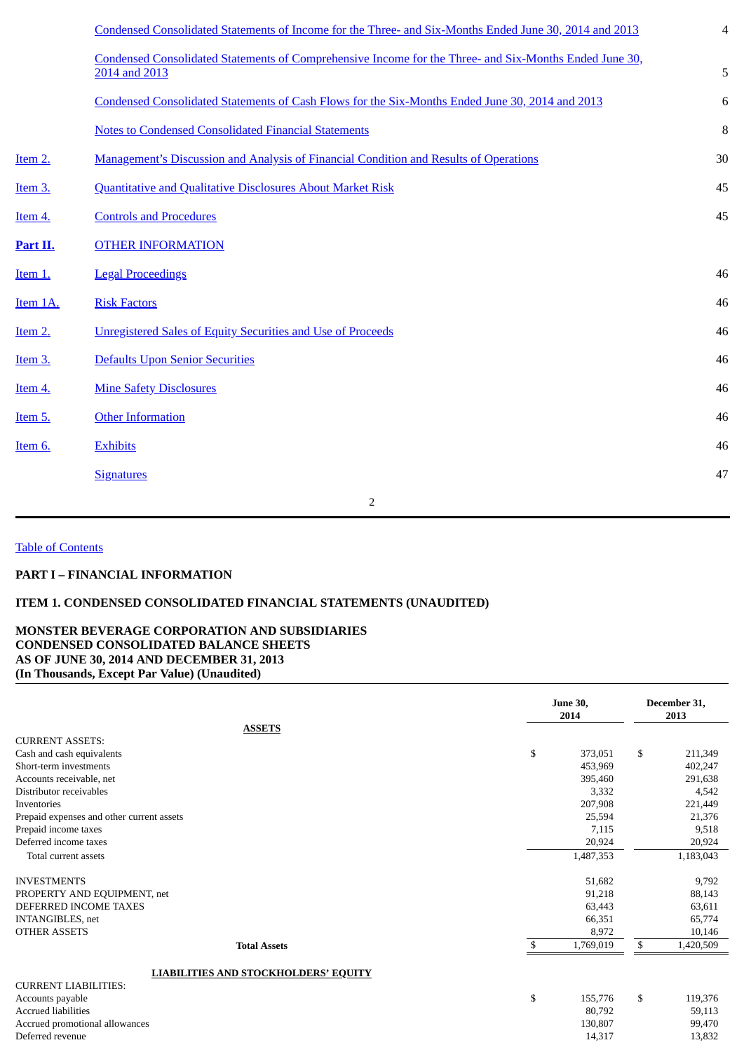|          | Condensed Consolidated Statements of Income for the Three- and Six-Months Ended June 30, 2014 and 2013                  | 4  |
|----------|-------------------------------------------------------------------------------------------------------------------------|----|
|          | Condensed Consolidated Statements of Comprehensive Income for the Three- and Six-Months Ended June 30,<br>2014 and 2013 | 5  |
|          | Condensed Consolidated Statements of Cash Flows for the Six-Months Ended June 30, 2014 and 2013                         | 6  |
|          | <b>Notes to Condensed Consolidated Financial Statements</b>                                                             | 8  |
| Item 2.  | <b>Management's Discussion and Analysis of Financial Condition and Results of Operations</b>                            | 30 |
| Item 3.  | Quantitative and Qualitative Disclosures About Market Risk                                                              | 45 |
| Item 4.  | <b>Controls and Procedures</b>                                                                                          | 45 |
| Part II. | <b>OTHER INFORMATION</b>                                                                                                |    |
| Item 1.  | <b>Legal Proceedings</b>                                                                                                | 46 |
| Item 1A. | <b>Risk Factors</b>                                                                                                     | 46 |
| Item 2.  | <b>Unregistered Sales of Equity Securities and Use of Proceeds</b>                                                      | 46 |
| Item 3.  | <b>Defaults Upon Senior Securities</b>                                                                                  | 46 |
| Item 4.  | <b>Mine Safety Disclosures</b>                                                                                          | 46 |
| Item 5.  | <b>Other Information</b>                                                                                                | 46 |
| Item 6.  | <b>Exhibits</b>                                                                                                         | 46 |
|          | <b>Signatures</b>                                                                                                       | 47 |
|          | 2                                                                                                                       |    |

### Table of [Contents](#page-0-0)

### <span id="page-1-0"></span>**PART I – FINANCIAL INFORMATION**

### <span id="page-1-1"></span>**ITEM 1. CONDENSED CONSOLIDATED FINANCIAL STATEMENTS (UNAUDITED)**

### <span id="page-1-2"></span>**MONSTER BEVERAGE CORPORATION AND SUBSIDIARIES CONDENSED CONSOLIDATED BALANCE SHEETS AS OF JUNE 30, 2014 AND DECEMBER 31, 2013 (In Thousands, Except Par Value) (Unaudited)**

|                                             | <b>June 30,</b><br>2014 | December 31,<br>2013 |
|---------------------------------------------|-------------------------|----------------------|
| <b>ASSETS</b>                               |                         |                      |
| <b>CURRENT ASSETS:</b>                      |                         |                      |
| Cash and cash equivalents                   | \$<br>373,051           | \$<br>211,349        |
| Short-term investments                      | 453,969                 | 402,247              |
| Accounts receivable, net                    | 395,460                 | 291,638              |
| Distributor receivables                     | 3,332                   | 4,542                |
| <b>Inventories</b>                          | 207,908                 | 221,449              |
| Prepaid expenses and other current assets   | 25,594                  | 21,376               |
| Prepaid income taxes                        | 7,115                   | 9,518                |
| Deferred income taxes                       | 20,924                  | 20,924               |
| Total current assets                        | 1,487,353               | 1,183,043            |
| <b>INVESTMENTS</b>                          | 51,682                  | 9,792                |
| PROPERTY AND EQUIPMENT, net                 | 91,218                  | 88,143               |
| DEFERRED INCOME TAXES                       | 63,443                  | 63,611               |
| <b>INTANGIBLES</b> , net                    | 66,351                  | 65,774               |
| <b>OTHER ASSETS</b>                         | 8,972                   | 10,146               |
| <b>Total Assets</b>                         | \$<br>1,769,019         | \$<br>1,420,509      |
| <b>LIABILITIES AND STOCKHOLDERS' EQUITY</b> |                         |                      |
| <b>CURRENT LIABILITIES:</b>                 |                         |                      |
| Accounts payable                            | \$<br>155,776           | \$<br>119,376        |
| <b>Accrued liabilities</b>                  | 80,792                  | 59,113               |
| Accrued promotional allowances              | 130,807                 | 99,470               |
| Deferred revenue                            | 14,317                  | 13,832               |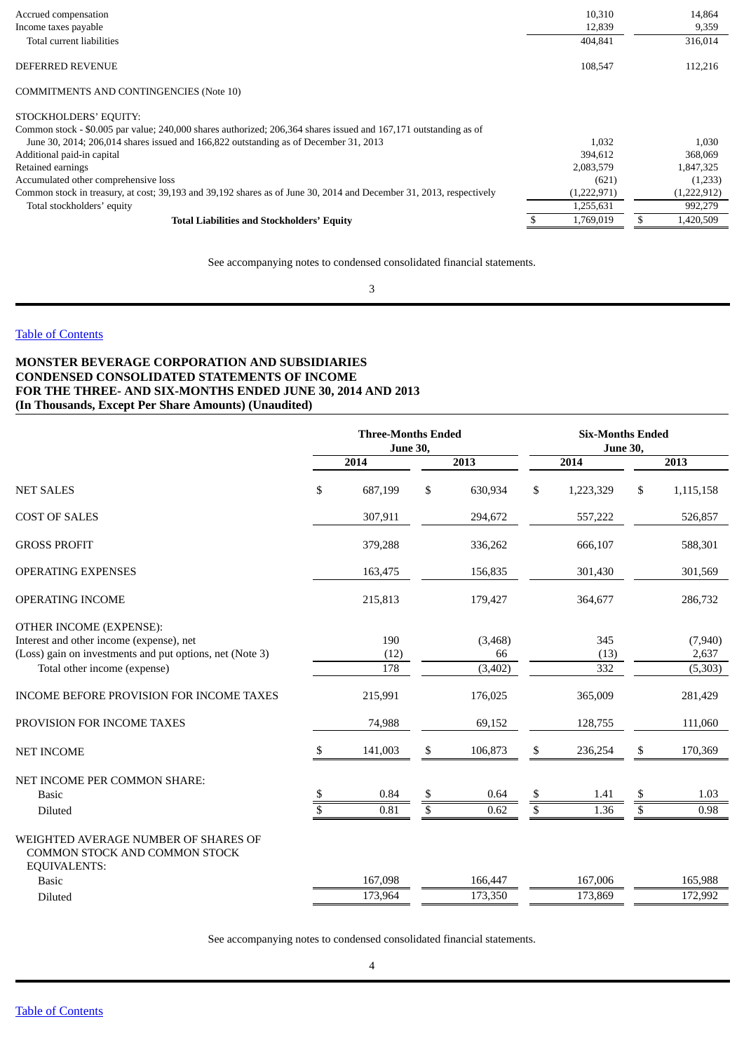| Accrued compensation<br>Income taxes payable<br>Total current liabilities                                           | 10,310<br>12,839<br>404.841 | 14,864<br>9,359<br>316,014 |
|---------------------------------------------------------------------------------------------------------------------|-----------------------------|----------------------------|
| DEFERRED REVENUE                                                                                                    | 108,547                     | 112,216                    |
| <b>COMMITMENTS AND CONTINGENCIES (Note 10)</b>                                                                      |                             |                            |
| STOCKHOLDERS' EQUITY:                                                                                               |                             |                            |
| Common stock - \$0.005 par value; 240,000 shares authorized; 206,364 shares issued and 167,171 outstanding as of    |                             |                            |
| June 30, 2014; 206,014 shares issued and 166,822 outstanding as of December 31, 2013                                | 1.032                       | 1.030                      |
| Additional paid-in capital                                                                                          | 394,612                     | 368,069                    |
| Retained earnings                                                                                                   | 2,083,579                   | 1,847,325                  |
| Accumulated other comprehensive loss                                                                                | (621)                       | (1,233)                    |
| Common stock in treasury, at cost; 39,193 and 39,192 shares as of June 30, 2014 and December 31, 2013, respectively | (1,222,971)                 | (1,222,912)                |
| Total stockholders' equity                                                                                          | 1,255,631                   | 992,279                    |
| <b>Total Liabilities and Stockholders' Equity</b>                                                                   | 1,769,019                   | 1,420,509                  |

See accompanying notes to condensed consolidated financial statements.

<span id="page-2-0"></span>3

### Table of [Contents](#page-0-0)

### **MONSTER BEVERAGE CORPORATION AND SUBSIDIARIES CONDENSED CONSOLIDATED STATEMENTS OF INCOME FOR THE THREE- AND SIX-MONTHS ENDED JUNE 30, 2014 AND 2013 (In Thousands, Except Per Share Amounts) (Unaudited)**

|                                                                                                     | <b>Three-Months Ended</b><br><b>June 30,</b> |         |                         |          | <b>Six-Months Ended</b><br><b>June 30,</b> |           |                         |           |  |
|-----------------------------------------------------------------------------------------------------|----------------------------------------------|---------|-------------------------|----------|--------------------------------------------|-----------|-------------------------|-----------|--|
|                                                                                                     |                                              | 2014    |                         | 2013     |                                            | 2014      |                         | 2013      |  |
| <b>NET SALES</b>                                                                                    | \$                                           | 687,199 | \$                      | 630,934  | \$                                         | 1,223,329 | \$                      | 1,115,158 |  |
| <b>COST OF SALES</b>                                                                                |                                              | 307,911 |                         | 294,672  |                                            | 557,222   |                         | 526,857   |  |
| <b>GROSS PROFIT</b>                                                                                 |                                              | 379,288 |                         | 336,262  |                                            | 666,107   |                         | 588,301   |  |
| <b>OPERATING EXPENSES</b>                                                                           |                                              | 163,475 |                         | 156,835  |                                            | 301,430   |                         | 301,569   |  |
| OPERATING INCOME                                                                                    |                                              | 215,813 |                         | 179,427  |                                            | 364,677   |                         | 286,732   |  |
| OTHER INCOME (EXPENSE):                                                                             |                                              |         |                         |          |                                            |           |                         |           |  |
| Interest and other income (expense), net                                                            |                                              | 190     |                         | (3,468)  |                                            | 345       |                         | (7,940)   |  |
| (Loss) gain on investments and put options, net (Note 3)                                            |                                              | (12)    |                         | 66       |                                            | (13)      |                         | 2,637     |  |
| Total other income (expense)                                                                        |                                              | 178     |                         | (3, 402) |                                            | 332       |                         | (5,303)   |  |
| <b>INCOME BEFORE PROVISION FOR INCOME TAXES</b>                                                     |                                              | 215,991 |                         | 176,025  |                                            | 365,009   |                         | 281,429   |  |
| PROVISION FOR INCOME TAXES                                                                          |                                              | 74,988  |                         | 69,152   |                                            | 128,755   |                         | 111,060   |  |
| <b>NET INCOME</b>                                                                                   | \$                                           | 141,003 | \$                      | 106,873  | \$                                         | 236,254   | \$                      | 170,369   |  |
| NET INCOME PER COMMON SHARE:                                                                        |                                              |         |                         |          |                                            |           |                         |           |  |
| <b>Basic</b>                                                                                        | \$                                           | 0.84    | \$                      | 0.64     | \$                                         | 1.41      | \$                      | 1.03      |  |
| Diluted                                                                                             | $\overline{\mathbf{S}}$                      | 0.81    | $\overline{\mathbb{S}}$ | 0.62     | $\overline{\mathbb{S}}$                    | 1.36      | $\overline{\mathsf{s}}$ | 0.98      |  |
| WEIGHTED AVERAGE NUMBER OF SHARES OF<br><b>COMMON STOCK AND COMMON STOCK</b><br><b>EQUIVALENTS:</b> |                                              |         |                         |          |                                            |           |                         |           |  |
| <b>Basic</b>                                                                                        |                                              | 167,098 |                         | 166,447  |                                            | 167,006   |                         | 165,988   |  |
|                                                                                                     |                                              | 173,964 |                         |          |                                            | 173,869   |                         | 172,992   |  |
| Diluted                                                                                             |                                              |         |                         | 173,350  |                                            |           |                         |           |  |

See accompanying notes to condensed consolidated financial statements.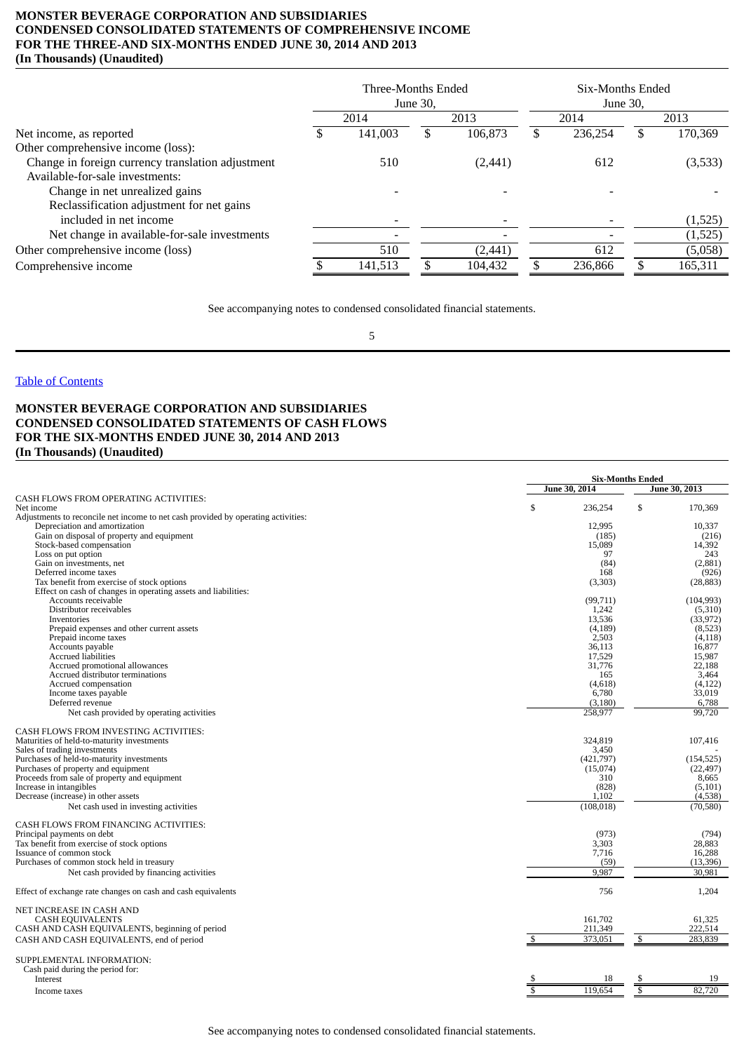### **MONSTER BEVERAGE CORPORATION AND SUBSIDIARIES CONDENSED CONSOLIDATED STATEMENTS OF COMPREHENSIVE INCOME FOR THE THREE-AND SIX-MONTHS ENDED JUNE 30, 2014 AND 2013 (In Thousands) (Unaudited)**

|                                                   |  | Three-Months Ended | June 30, |          | Six-Months Ended<br>June 30, |         |   |         |
|---------------------------------------------------|--|--------------------|----------|----------|------------------------------|---------|---|---------|
|                                                   |  | 2014               |          | 2013     |                              | 2014    |   | 2013    |
| Net income, as reported                           |  | 141,003            |          | 106,873  |                              | 236,254 | S | 170,369 |
| Other comprehensive income (loss):                |  |                    |          |          |                              |         |   |         |
| Change in foreign currency translation adjustment |  | 510                |          | (2, 441) |                              | 612     |   | (3,533) |
| Available-for-sale investments:                   |  |                    |          |          |                              |         |   |         |
| Change in net unrealized gains                    |  |                    |          |          |                              |         |   |         |
| Reclassification adjustment for net gains         |  |                    |          |          |                              |         |   |         |
| included in net income                            |  |                    |          |          |                              |         |   | (1,525) |
| Net change in available-for-sale investments      |  |                    |          |          |                              |         |   | (1,525) |
| Other comprehensive income (loss)                 |  | 510                |          | (2, 441) |                              | 612     |   | (5,058) |
| Comprehensive income                              |  | 141,513            |          | 104,432  |                              | 236,866 |   | 165,311 |

<span id="page-3-1"></span><span id="page-3-0"></span>See accompanying notes to condensed consolidated financial statements.

### Table of [Contents](#page-0-0)

### **MONSTER BEVERAGE CORPORATION AND SUBSIDIARIES CONDENSED CONSOLIDATED STATEMENTS OF CASH FLOWS FOR THE SIX-MONTHS ENDED JUNE 30, 2014 AND 2013 (In Thousands) (Unaudited)**

|                                                                                   |              |                    |             | <b>Six-Months Ended</b> |  |  |
|-----------------------------------------------------------------------------------|--------------|--------------------|-------------|-------------------------|--|--|
|                                                                                   |              | June 30, 2014      |             | June 30, 2013           |  |  |
| CASH FLOWS FROM OPERATING ACTIVITIES:                                             |              |                    |             |                         |  |  |
| Net income                                                                        | \$           | 236,254            | $\mathbf S$ | 170,369                 |  |  |
| Adjustments to reconcile net income to net cash provided by operating activities: |              |                    |             |                         |  |  |
| Depreciation and amortization                                                     |              | 12.995             |             | 10,337                  |  |  |
| Gain on disposal of property and equipment                                        |              | (185)              |             | (216)                   |  |  |
| Stock-based compensation                                                          |              | 15.089             |             | 14,392                  |  |  |
| Loss on put option                                                                |              | 97                 |             | 243                     |  |  |
| Gain on investments, net                                                          |              | (84)               |             | (2,881)                 |  |  |
| Deferred income taxes                                                             |              | 168                |             | (926)                   |  |  |
| Tax benefit from exercise of stock options                                        |              | (3,303)            |             | (28, 883)               |  |  |
| Effect on cash of changes in operating assets and liabilities:                    |              |                    |             |                         |  |  |
| Accounts receivable                                                               |              | (99, 711)          |             | (104, 993)              |  |  |
| Distributor receivables                                                           |              | 1,242              |             | (5,310)                 |  |  |
| Inventories                                                                       |              | 13,536<br>(4, 189) |             | (33, 972)<br>(8,523)    |  |  |
| Prepaid expenses and other current assets<br>Prepaid income taxes                 |              | 2,503              |             | (4, 118)                |  |  |
| Accounts payable                                                                  |              | 36,113             |             | 16,877                  |  |  |
| <b>Accrued liabilities</b>                                                        |              | 17.529             |             | 15.987                  |  |  |
| Accrued promotional allowances                                                    |              | 31,776             |             | 22,188                  |  |  |
| Accrued distributor terminations                                                  |              | 165                |             | 3,464                   |  |  |
| Accrued compensation                                                              |              | (4,618)            |             | (4, 122)                |  |  |
| Income taxes payable                                                              |              | 6.780              |             | 33.019                  |  |  |
| Deferred revenue                                                                  |              | (3, 180)           |             | 6,788                   |  |  |
| Net cash provided by operating activities                                         |              | 258,977            |             | 99,720                  |  |  |
|                                                                                   |              |                    |             |                         |  |  |
| CASH FLOWS FROM INVESTING ACTIVITIES:                                             |              |                    |             |                         |  |  |
| Maturities of held-to-maturity investments                                        |              | 324,819            |             | 107,416                 |  |  |
| Sales of trading investments                                                      |              | 3.450              |             |                         |  |  |
| Purchases of held-to-maturity investments                                         |              | (421,797)          |             | (154, 525)              |  |  |
| Purchases of property and equipment                                               |              | (15,074)           |             | (22, 497)               |  |  |
| Proceeds from sale of property and equipment                                      |              | 310                |             | 8,665                   |  |  |
| Increase in intangibles                                                           |              | (828)              |             | (5, 101)                |  |  |
| Decrease (increase) in other assets                                               |              | 1.102              |             | (4,538)                 |  |  |
| Net cash used in investing activities                                             |              | (108, 018)         |             | (70, 580)               |  |  |
|                                                                                   |              |                    |             |                         |  |  |
| CASH FLOWS FROM FINANCING ACTIVITIES:                                             |              |                    |             |                         |  |  |
| Principal payments on debt                                                        |              | (973)              |             | (794)                   |  |  |
| Tax benefit from exercise of stock options                                        |              | 3,303              |             | 28,883                  |  |  |
| Issuance of common stock                                                          |              | 7,716              |             | 16,288                  |  |  |
| Purchases of common stock held in treasury                                        |              | (59)               |             | (13, 396)               |  |  |
| Net cash provided by financing activities                                         |              | 9.987              |             | 30.981                  |  |  |
|                                                                                   |              |                    |             |                         |  |  |
| Effect of exchange rate changes on cash and cash equivalents                      |              | 756                |             | 1,204                   |  |  |
| NET INCREASE IN CASH AND                                                          |              |                    |             |                         |  |  |
| <b>CASH EQUIVALENTS</b>                                                           |              | 161,702            |             | 61,325                  |  |  |
| CASH AND CASH EQUIVALENTS, beginning of period                                    |              | 211,349            |             | 222,514                 |  |  |
|                                                                                   | $\mathbf{s}$ | 373,051            | \$          | 283,839                 |  |  |
| CASH AND CASH EQUIVALENTS, end of period                                          |              |                    |             |                         |  |  |
|                                                                                   |              |                    |             |                         |  |  |
| SUPPLEMENTAL INFORMATION:                                                         |              |                    |             |                         |  |  |
| Cash paid during the period for:                                                  |              |                    |             |                         |  |  |
| Interest                                                                          |              | 18                 |             | 19                      |  |  |
| Income taxes                                                                      |              | 119,654            |             | 82,720                  |  |  |
|                                                                                   |              |                    |             |                         |  |  |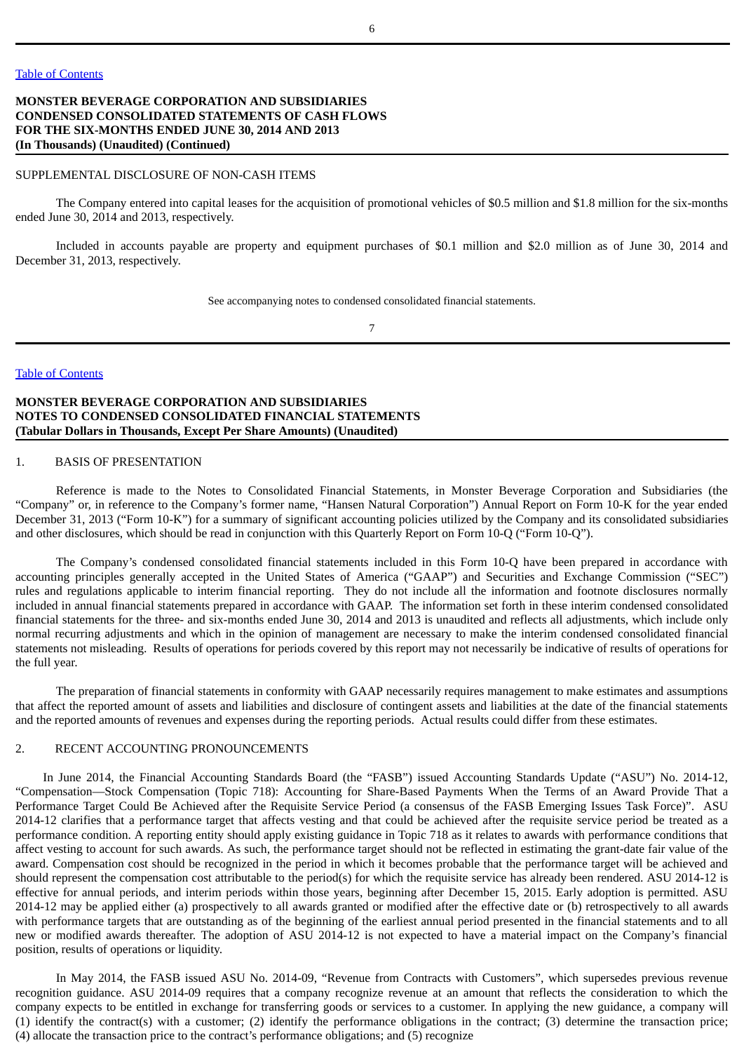### Table of [Contents](#page-0-0)

### **MONSTER BEVERAGE CORPORATION AND SUBSIDIARIES CONDENSED CONSOLIDATED STATEMENTS OF CASH FLOWS FOR THE SIX-MONTHS ENDED JUNE 30, 2014 AND 2013 (In Thousands) (Unaudited) (Continued)**

#### SUPPLEMENTAL DISCLOSURE OF NON-CASH ITEMS

The Company entered into capital leases for the acquisition of promotional vehicles of \$0.5 million and \$1.8 million for the six-months ended June 30, 2014 and 2013, respectively.

Included in accounts payable are property and equipment purchases of \$0.1 million and \$2.0 million as of June 30, 2014 and December 31, 2013, respectively.

See accompanying notes to condensed consolidated financial statements.

<span id="page-4-0"></span>7

#### Table of [Contents](#page-0-0)

#### **MONSTER BEVERAGE CORPORATION AND SUBSIDIARIES NOTES TO CONDENSED CONSOLIDATED FINANCIAL STATEMENTS (Tabular Dollars in Thousands, Except Per Share Amounts) (Unaudited)**

#### 1. BASIS OF PRESENTATION

Reference is made to the Notes to Consolidated Financial Statements, in Monster Beverage Corporation and Subsidiaries (the "Company" or, in reference to the Company's former name, "Hansen Natural Corporation") Annual Report on Form 10-K for the year ended December 31, 2013 ("Form 10-K") for a summary of significant accounting policies utilized by the Company and its consolidated subsidiaries and other disclosures, which should be read in conjunction with this Quarterly Report on Form 10-Q ("Form 10-Q").

The Company's condensed consolidated financial statements included in this Form 10-Q have been prepared in accordance with accounting principles generally accepted in the United States of America ("GAAP") and Securities and Exchange Commission ("SEC") rules and regulations applicable to interim financial reporting. They do not include all the information and footnote disclosures normally included in annual financial statements prepared in accordance with GAAP. The information set forth in these interim condensed consolidated financial statements for the three- and six-months ended June 30, 2014 and 2013 is unaudited and reflects all adjustments, which include only normal recurring adjustments and which in the opinion of management are necessary to make the interim condensed consolidated financial statements not misleading. Results of operations for periods covered by this report may not necessarily be indicative of results of operations for the full year.

The preparation of financial statements in conformity with GAAP necessarily requires management to make estimates and assumptions that affect the reported amount of assets and liabilities and disclosure of contingent assets and liabilities at the date of the financial statements and the reported amounts of revenues and expenses during the reporting periods. Actual results could differ from these estimates.

#### 2. RECENT ACCOUNTING PRONOUNCEMENTS

In June 2014, the Financial Accounting Standards Board (the "FASB") issued Accounting Standards Update ("ASU") No. 2014-12, "Compensation—Stock Compensation (Topic 718): Accounting for Share-Based Payments When the Terms of an Award Provide That a Performance Target Could Be Achieved after the Requisite Service Period (a consensus of the FASB Emerging Issues Task Force)". ASU 2014-12 clarifies that a performance target that affects vesting and that could be achieved after the requisite service period be treated as a performance condition. A reporting entity should apply existing guidance in Topic 718 as it relates to awards with performance conditions that affect vesting to account for such awards. As such, the performance target should not be reflected in estimating the grant-date fair value of the award. Compensation cost should be recognized in the period in which it becomes probable that the performance target will be achieved and should represent the compensation cost attributable to the period(s) for which the requisite service has already been rendered. ASU 2014-12 is effective for annual periods, and interim periods within those years, beginning after December 15, 2015. Early adoption is permitted. ASU 2014-12 may be applied either (a) prospectively to all awards granted or modified after the effective date or (b) retrospectively to all awards with performance targets that are outstanding as of the beginning of the earliest annual period presented in the financial statements and to all new or modified awards thereafter. The adoption of ASU 2014-12 is not expected to have a material impact on the Company's financial position, results of operations or liquidity.

In May 2014, the FASB issued ASU No. 2014-09, "Revenue from Contracts with Customers", which supersedes previous revenue recognition guidance. ASU 2014-09 requires that a company recognize revenue at an amount that reflects the consideration to which the company expects to be entitled in exchange for transferring goods or services to a customer. In applying the new guidance, a company will (1) identify the contract(s) with a customer; (2) identify the performance obligations in the contract; (3) determine the transaction price; (4) allocate the transaction price to the contract's performance obligations; and (5) recognize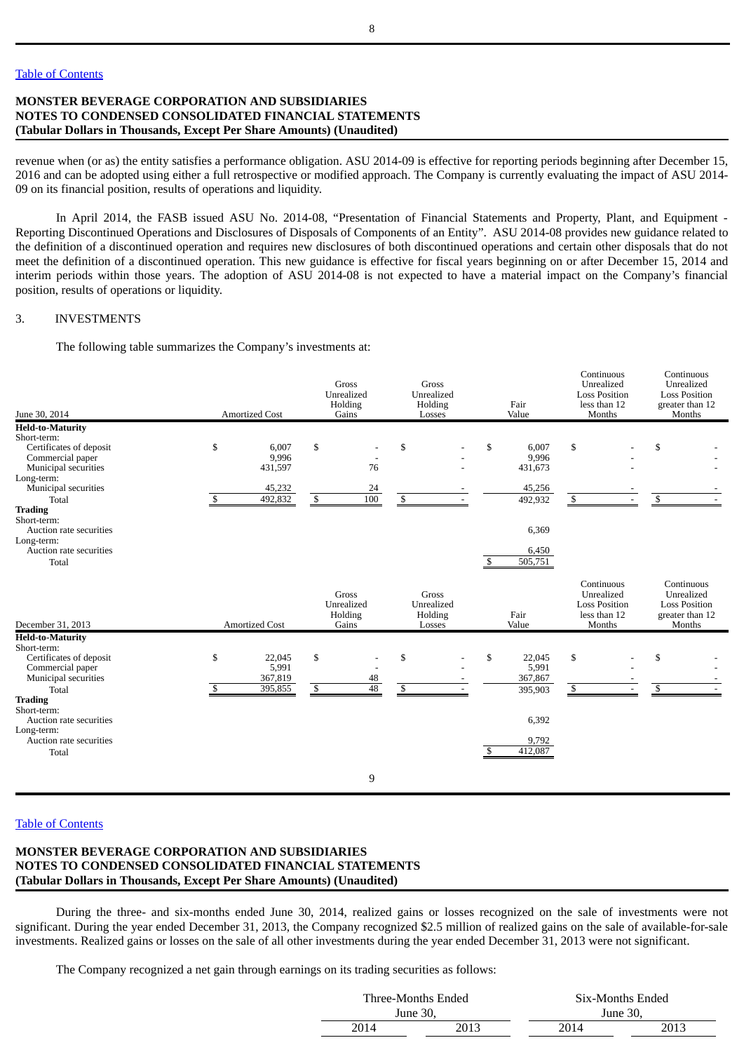### **MONSTER BEVERAGE CORPORATION AND SUBSIDIARIES NOTES TO CONDENSED CONSOLIDATED FINANCIAL STATEMENTS (Tabular Dollars in Thousands, Except Per Share Amounts) (Unaudited)**

revenue when (or as) the entity satisfies a performance obligation. ASU 2014-09 is effective for reporting periods beginning after December 15, 2016 and can be adopted using either a full retrospective or modified approach. The Company is currently evaluating the impact of ASU 2014- 09 on its financial position, results of operations and liquidity.

In April 2014, the FASB issued ASU No. 2014-08, "Presentation of Financial Statements and Property, Plant, and Equipment - Reporting Discontinued Operations and Disclosures of Disposals of Components of an Entity". ASU 2014-08 provides new guidance related to the definition of a discontinued operation and requires new disclosures of both discontinued operations and certain other disposals that do not meet the definition of a discontinued operation. This new guidance is effective for fiscal years beginning on or after December 15, 2014 and interim periods within those years. The adoption of ASU 2014-08 is not expected to have a material impact on the Company's financial position, results of operations or liquidity.

#### 3. INVESTMENTS

The following table summarizes the Company's investments at:

| June 30, 2014                                                                                    |     | <b>Amortized Cost</b>      |    | Gross<br>Unrealized<br>Holding<br>Gains | Gross<br>Unrealized<br>Holding<br>Losses |    | Fair<br>Value              | ovmmund<br>Unrealized<br><b>Loss Position</b><br>less than 12<br>Months    | -------------<br>Unrealized<br><b>Loss Position</b><br>greater than 12<br>Months |  |
|--------------------------------------------------------------------------------------------------|-----|----------------------------|----|-----------------------------------------|------------------------------------------|----|----------------------------|----------------------------------------------------------------------------|----------------------------------------------------------------------------------|--|
| <b>Held-to-Maturity</b>                                                                          |     |                            |    |                                         |                                          |    |                            |                                                                            |                                                                                  |  |
| Short-term:<br>Certificates of deposit<br>Commercial paper<br>Municipal securities<br>Long-term: | \$  | 6,007<br>9,996<br>431,597  | \$ | 76                                      | \$                                       | \$ | 6,007<br>9,996<br>431,673  | \$                                                                         | \$                                                                               |  |
| Municipal securities                                                                             |     | 45,232                     |    | 24                                      |                                          |    | 45,256                     |                                                                            |                                                                                  |  |
| Total                                                                                            | S.  | 492,832                    | S. | 100                                     | S.                                       |    | 492,932                    | \$                                                                         | \$                                                                               |  |
| <b>Trading</b><br>Short-term:                                                                    |     |                            |    |                                         |                                          |    |                            |                                                                            |                                                                                  |  |
| Auction rate securities                                                                          |     |                            |    |                                         |                                          |    | 6,369                      |                                                                            |                                                                                  |  |
| Long-term:<br>Auction rate securities                                                            |     |                            |    |                                         |                                          |    | 6,450                      |                                                                            |                                                                                  |  |
| Total                                                                                            |     |                            |    |                                         |                                          | \$ | 505,751                    |                                                                            |                                                                                  |  |
| December 31, 2013                                                                                |     | <b>Amortized Cost</b>      |    | Gross<br>Unrealized<br>Holding<br>Gains | Gross<br>Unrealized<br>Holding<br>Losses |    | Fair<br>Value              | Continuous<br>Unrealized<br><b>Loss Position</b><br>less than 12<br>Months | Continuous<br>Unrealized<br><b>Loss Position</b><br>greater than 12<br>Months    |  |
| <b>Held-to-Maturity</b>                                                                          |     |                            |    |                                         |                                          |    |                            |                                                                            |                                                                                  |  |
| Short-term:<br>Certificates of deposit<br>Commercial paper<br>Municipal securities               | \$  | 22,045<br>5,991<br>367,819 | \$ | 48                                      | \$                                       | \$ | 22,045<br>5,991<br>367,867 | \$                                                                         | \$                                                                               |  |
| Total                                                                                            | \$. | 395,855                    | \$ | 48                                      |                                          |    | 395,903                    | -S                                                                         |                                                                                  |  |
| <b>Trading</b><br>Short-term:<br>Auction rate securities                                         |     |                            |    |                                         |                                          |    | 6,392                      |                                                                            |                                                                                  |  |
| Long-term:                                                                                       |     |                            |    |                                         |                                          |    |                            |                                                                            |                                                                                  |  |
| Auction rate securities<br>Total                                                                 |     |                            |    |                                         |                                          | \$ | 9,792<br>412,087           |                                                                            |                                                                                  |  |
|                                                                                                  |     |                            |    |                                         |                                          |    |                            |                                                                            |                                                                                  |  |
|                                                                                                  |     |                            |    | 9                                       |                                          |    |                            |                                                                            |                                                                                  |  |
|                                                                                                  |     |                            |    |                                         |                                          |    |                            |                                                                            |                                                                                  |  |

#### Table of [Contents](#page-0-0)

### **MONSTER BEVERAGE CORPORATION AND SUBSIDIARIES NOTES TO CONDENSED CONSOLIDATED FINANCIAL STATEMENTS (Tabular Dollars in Thousands, Except Per Share Amounts) (Unaudited)**

During the three- and six-months ended June 30, 2014, realized gains or losses recognized on the sale of investments were not significant. During the year ended December 31, 2013, the Company recognized \$2.5 million of realized gains on the sale of available-for-sale investments. Realized gains or losses on the sale of all other investments during the year ended December 31, 2013 were not significant.

The Company recognized a net gain through earnings on its trading securities as follows:

| Three-Months Ended |      | Six-Months Ended |      |  |  |  |
|--------------------|------|------------------|------|--|--|--|
| June 30.           |      | June 30.         |      |  |  |  |
| 2014               | 2013 | 2014             | 2013 |  |  |  |

Continuous

Continuous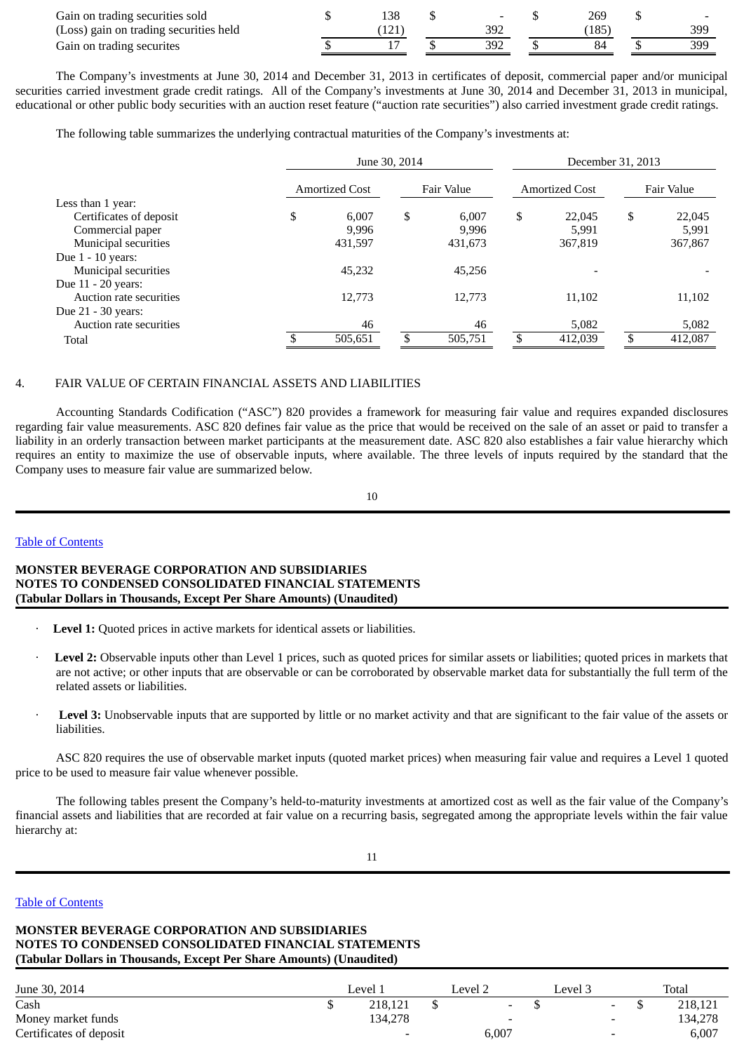| Gain on trading securities sold        |     |     | 269         |     |
|----------------------------------------|-----|-----|-------------|-----|
| (Loss) gain on trading securities held | 121 | 392 | $185^\circ$ | 399 |
| Gain on trading securites              |     | 307 |             | 399 |

The Company's investments at June 30, 2014 and December 31, 2013 in certificates of deposit, commercial paper and/or municipal securities carried investment grade credit ratings. All of the Company's investments at June 30, 2014 and December 31, 2013 in municipal, educational or other public body securities with an auction reset feature ("auction rate securities") also carried investment grade credit ratings.

The following table summarizes the underlying contractual maturities of the Company's investments at:

|                         |                       | June 30, 2014 |            | December 31, 2013 |                       |    |            |  |  |
|-------------------------|-----------------------|---------------|------------|-------------------|-----------------------|----|------------|--|--|
|                         | <b>Amortized Cost</b> |               | Fair Value |                   | <b>Amortized Cost</b> |    | Fair Value |  |  |
| Less than 1 year:       |                       |               |            |                   |                       |    |            |  |  |
| Certificates of deposit | \$<br>6.007           | S.            | 6.007      | \$                | 22,045                | \$ | 22,045     |  |  |
| Commercial paper        | 9.996                 |               | 9,996      |                   | 5.991                 |    | 5,991      |  |  |
| Municipal securities    | 431,597               |               | 431,673    |                   | 367,819               |    | 367,867    |  |  |
| Due $1 - 10$ years:     |                       |               |            |                   |                       |    |            |  |  |
| Municipal securities    | 45,232                |               | 45.256     |                   |                       |    |            |  |  |
| Due 11 - 20 years:      |                       |               |            |                   |                       |    |            |  |  |
| Auction rate securities | 12.773                |               | 12,773     |                   | 11,102                |    | 11,102     |  |  |
| Due 21 - 30 years:      |                       |               |            |                   |                       |    |            |  |  |
| Auction rate securities | 46                    |               | 46         |                   | 5,082                 |    | 5,082      |  |  |
| Total                   | 505,651               |               | 505,751    | £.                | 412,039               |    | 412,087    |  |  |

#### 4. FAIR VALUE OF CERTAIN FINANCIAL ASSETS AND LIABILITIES

Accounting Standards Codification ("ASC") 820 provides a framework for measuring fair value and requires expanded disclosures regarding fair value measurements. ASC 820 defines fair value as the price that would be received on the sale of an asset or paid to transfer a liability in an orderly transaction between market participants at the measurement date. ASC 820 also establishes a fair value hierarchy which requires an entity to maximize the use of observable inputs, where available. The three levels of inputs required by the standard that the Company uses to measure fair value are summarized below.

$$
10\quad
$$

#### Table of [Contents](#page-0-0)

### **MONSTER BEVERAGE CORPORATION AND SUBSIDIARIES NOTES TO CONDENSED CONSOLIDATED FINANCIAL STATEMENTS (Tabular Dollars in Thousands, Except Per Share Amounts) (Unaudited)**

- Level 1: Quoted prices in active markets for identical assets or liabilities.
- Level 2: Observable inputs other than Level 1 prices, such as quoted prices for similar assets or liabilities; quoted prices in markets that are not active; or other inputs that are observable or can be corroborated by observable market data for substantially the full term of the related assets or liabilities.
- **Level 3:** Unobservable inputs that are supported by little or no market activity and that are significant to the fair value of the assets or liabilities.

ASC 820 requires the use of observable market inputs (quoted market prices) when measuring fair value and requires a Level 1 quoted price to be used to measure fair value whenever possible.

The following tables present the Company's held-to-maturity investments at amortized cost as well as the fair value of the Company's financial assets and liabilities that are recorded at fair value on a recurring basis, segregated among the appropriate levels within the fair value hierarchy at:

#### Table of [Contents](#page-0-0)

### **MONSTER BEVERAGE CORPORATION AND SUBSIDIARIES NOTES TO CONDENSED CONSOLIDATED FINANCIAL STATEMENTS (Tabular Dollars in Thousands, Except Per Share Amounts) (Unaudited)**

| June 30, 2014           | Level 1                  | ∟evel 2                  | Level 3 |                          | Total   |
|-------------------------|--------------------------|--------------------------|---------|--------------------------|---------|
| Cash                    | 218.121                  | $\overline{\phantom{0}}$ |         | $\overline{\phantom{a}}$ | 218,121 |
| Money market funds      | 134.278                  | $\overline{\phantom{0}}$ |         | $\overline{\phantom{0}}$ | 134,278 |
| Certificates of deposit | $\overline{\phantom{0}}$ | 6,007                    |         | $\overline{\phantom{a}}$ | 6,007   |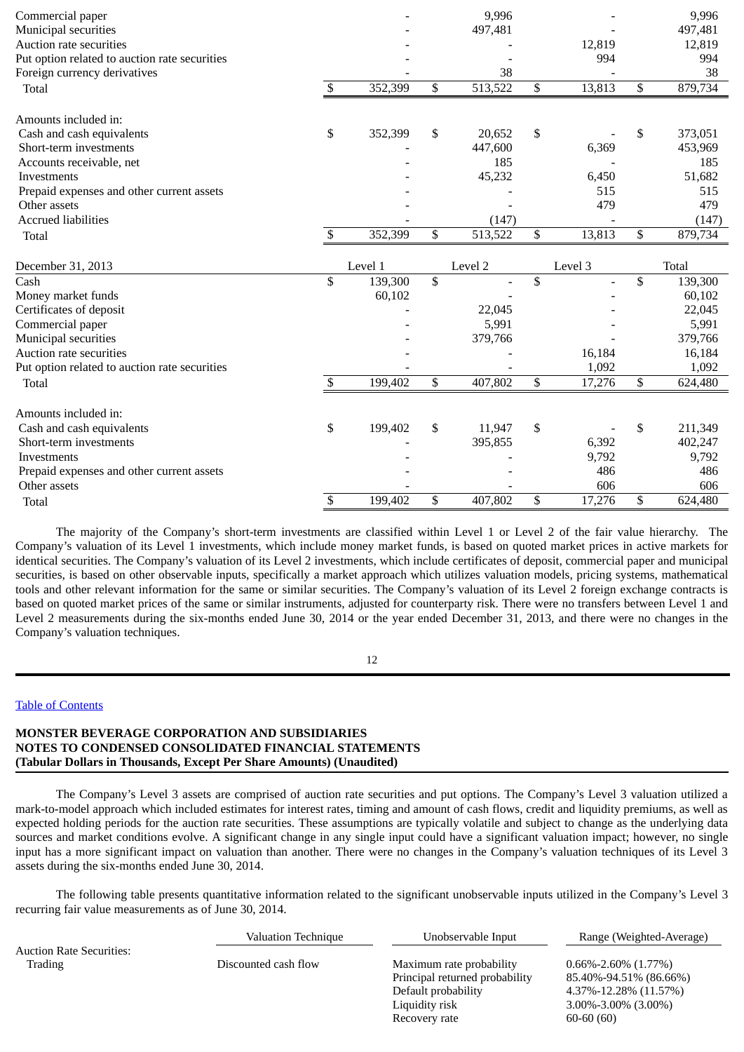| Commercial paper<br>Municipal securities<br>Auction rate securities<br>Put option related to auction rate securities<br>Foreign currency derivatives<br>Total | \$<br>352,399 | \$<br>9,996<br>497,481<br>38<br>513,522 | \$<br>12,819<br>994<br>13,813 | \$           | 9,996<br>497,481<br>12,819<br>994<br>38<br>879,734 |
|---------------------------------------------------------------------------------------------------------------------------------------------------------------|---------------|-----------------------------------------|-------------------------------|--------------|----------------------------------------------------|
| Amounts included in:                                                                                                                                          |               |                                         |                               |              |                                                    |
| Cash and cash equivalents                                                                                                                                     | \$<br>352,399 | \$<br>20,652                            | \$                            | \$           | 373,051                                            |
| Short-term investments                                                                                                                                        |               | 447,600                                 | 6,369                         |              | 453,969                                            |
| Accounts receivable, net                                                                                                                                      |               | 185                                     |                               |              | 185                                                |
| Investments                                                                                                                                                   |               | 45,232                                  | 6,450                         |              | 51,682                                             |
| Prepaid expenses and other current assets                                                                                                                     |               |                                         | 515                           |              | 515                                                |
| Other assets                                                                                                                                                  |               |                                         | 479                           |              | 479                                                |
| <b>Accrued liabilities</b>                                                                                                                                    |               | (147)                                   |                               |              | (147)                                              |
| Total                                                                                                                                                         | \$<br>352,399 | \$<br>513,522                           | \$<br>13,813                  | \$           | 879,734                                            |
|                                                                                                                                                               |               |                                         |                               |              |                                                    |
| December 31, 2013                                                                                                                                             | Level 1       | Level 2                                 | Level 3                       |              | Total                                              |
| Cash                                                                                                                                                          | \$<br>139,300 | \$                                      | \$                            | \$           | 139,300                                            |
| Money market funds                                                                                                                                            | 60,102        |                                         |                               |              | 60,102                                             |
| Certificates of deposit                                                                                                                                       |               | 22,045                                  |                               |              | 22,045                                             |
| Commercial paper                                                                                                                                              |               | 5,991                                   |                               |              | 5,991                                              |
| Municipal securities                                                                                                                                          |               | 379,766                                 |                               |              | 379,766                                            |
| Auction rate securities                                                                                                                                       |               |                                         | 16,184                        |              | 16,184                                             |
| Put option related to auction rate securities                                                                                                                 |               |                                         | 1,092                         |              | 1,092                                              |
| <b>Total</b>                                                                                                                                                  | \$<br>199,402 | \$<br>407,802                           | \$<br>17,276                  | $\mathbb{S}$ | 624,480                                            |
|                                                                                                                                                               |               |                                         |                               |              |                                                    |
| Amounts included in:                                                                                                                                          |               |                                         |                               |              |                                                    |
| Cash and cash equivalents<br>Short-term investments                                                                                                           | \$<br>199,402 | \$<br>11,947                            | \$                            | \$           | 211,349                                            |
| Investments                                                                                                                                                   |               | 395,855                                 | 6,392<br>9,792                |              | 402,247<br>9,792                                   |
|                                                                                                                                                               |               |                                         | 486                           |              | 486                                                |
| Prepaid expenses and other current assets<br>Other assets                                                                                                     |               |                                         | 606                           |              | 606                                                |

The majority of the Company's short-term investments are classified within Level 1 or Level 2 of the fair value hierarchy. The Company's valuation of its Level 1 investments, which include money market funds, is based on quoted market prices in active markets for identical securities. The Company's valuation of its Level 2 investments, which include certificates of deposit, commercial paper and municipal securities, is based on other observable inputs, specifically a market approach which utilizes valuation models, pricing systems, mathematical tools and other relevant information for the same or similar securities. The Company's valuation of its Level 2 foreign exchange contracts is based on quoted market prices of the same or similar instruments, adjusted for counterparty risk. There were no transfers between Level 1 and Level 2 measurements during the six-months ended June 30, 2014 or the year ended December 31, 2013, and there were no changes in the Company's valuation techniques.

12

### Table of [Contents](#page-0-0)

### **MONSTER BEVERAGE CORPORATION AND SUBSIDIARIES NOTES TO CONDENSED CONSOLIDATED FINANCIAL STATEMENTS (Tabular Dollars in Thousands, Except Per Share Amounts) (Unaudited)**

The Company's Level 3 assets are comprised of auction rate securities and put options. The Company's Level 3 valuation utilized a mark-to-model approach which included estimates for interest rates, timing and amount of cash flows, credit and liquidity premiums, as well as expected holding periods for the auction rate securities. These assumptions are typically volatile and subject to change as the underlying data sources and market conditions evolve. A significant change in any single input could have a significant valuation impact; however, no single input has a more significant impact on valuation than another. There were no changes in the Company's valuation techniques of its Level 3 assets during the six-months ended June 30, 2014.

The following table presents quantitative information related to the significant unobservable inputs utilized in the Company's Level 3 recurring fair value measurements as of June 30, 2014.

|                                     | Valuation Technique  | Unobservable Input                                                                                                   | Range (Weighted-Average)                                                                                                 |
|-------------------------------------|----------------------|----------------------------------------------------------------------------------------------------------------------|--------------------------------------------------------------------------------------------------------------------------|
| Auction Rate Securities:<br>Trading | Discounted cash flow | Maximum rate probability<br>Principal returned probability<br>Default probability<br>Liquidity risk<br>Recovery rate | $0.66\% - 2.60\%$ (1.77%)<br>85.40%-94.51% (86.66%)<br>4.37%-12.28% (11.57%)<br>$3.00\% - 3.00\%$ (3.00%)<br>$60-60(60)$ |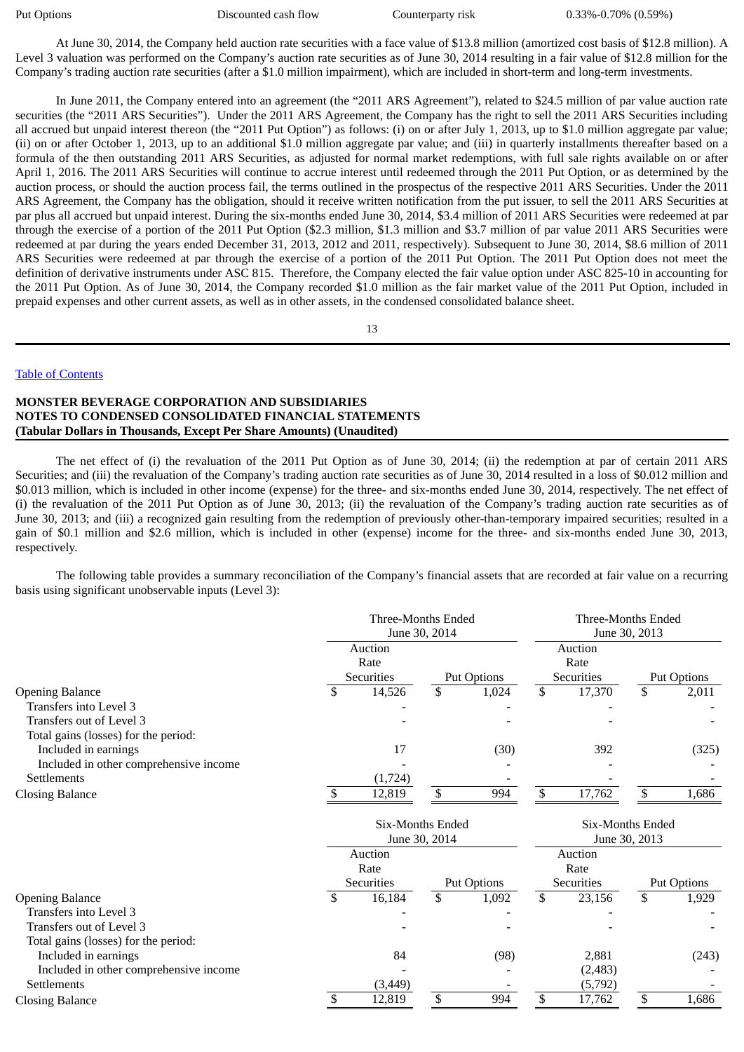Put Options Discounted cash flow Counterparty risk 0.33%-0.70% (0.59%)

At June 30, 2014, the Company held auction rate securities with a face value of \$13.8 million (amortized cost basis of \$12.8 million). A Level 3 valuation was performed on the Company's auction rate securities as of June 30, 2014 resulting in a fair value of \$12.8 million for the Company's trading auction rate securities (after a \$1.0 million impairment), which are included in short-term and long-term investments.

In June 2011, the Company entered into an agreement (the "2011 ARS Agreement"), related to \$24.5 million of par value auction rate securities (the "2011 ARS Securities"). Under the 2011 ARS Agreement, the Company has the right to sell the 2011 ARS Securities including all accrued but unpaid interest thereon (the "2011 Put Option") as follows: (i) on or after July 1, 2013, up to \$1.0 million aggregate par value; (ii) on or after October 1, 2013, up to an additional \$1.0 million aggregate par value; and (iii) in quarterly installments thereafter based on a formula of the then outstanding 2011 ARS Securities, as adjusted for normal market redemptions, with full sale rights available on or after April 1, 2016. The 2011 ARS Securities will continue to accrue interest until redeemed through the 2011 Put Option, or as determined by the auction process, or should the auction process fail, the terms outlined in the prospectus of the respective 2011 ARS Securities. Under the 2011 ARS Agreement, the Company has the obligation, should it receive written notification from the put issuer, to sell the 2011 ARS Securities at par plus all accrued but unpaid interest. During the six-months ended June 30, 2014, \$3.4 million of 2011 ARS Securities were redeemed at par through the exercise of a portion of the 2011 Put Option (\$2.3 million, \$1.3 million and \$3.7 million of par value 2011 ARS Securities were redeemed at par during the years ended December 31, 2013, 2012 and 2011, respectively). Subsequent to June 30, 2014, \$8.6 million of 2011 ARS Securities were redeemed at par through the exercise of a portion of the 2011 Put Option. The 2011 Put Option does not meet the definition of derivative instruments under ASC 815. Therefore, the Company elected the fair value option under ASC 825-10 in accounting for the 2011 Put Option. As of June 30, 2014, the Company recorded \$1.0 million as the fair market value of the 2011 Put Option, included in prepaid expenses and other current assets, as well as in other assets, in the condensed consolidated balance sheet.

13

#### Table of [Contents](#page-0-0)

#### **MONSTER BEVERAGE CORPORATION AND SUBSIDIARIES NOTES TO CONDENSED CONSOLIDATED FINANCIAL STATEMENTS (Tabular Dollars in Thousands, Except Per Share Amounts) (Unaudited)**

The net effect of (i) the revaluation of the 2011 Put Option as of June 30, 2014; (ii) the redemption at par of certain 2011 ARS Securities; and (iii) the revaluation of the Company's trading auction rate securities as of June 30, 2014 resulted in a loss of \$0.012 million and \$0.013 million, which is included in other income (expense) for the three- and six-months ended June 30, 2014, respectively. The net effect of (i) the revaluation of the 2011 Put Option as of June 30, 2013; (ii) the revaluation of the Company's trading auction rate securities as of June 30, 2013; and (iii) a recognized gain resulting from the redemption of previously other-than-temporary impaired securities; resulted in a gain of \$0.1 million and \$2.6 million, which is included in other (expense) income for the three- and six-months ended June 30, 2013, respectively.

The following table provides a summary reconciliation of the Company's financial assets that are recorded at fair value on a recurring basis using significant unobservable inputs (Level 3):

|                                                                                            |     | Three-Months Ended | June 30, 2014 |             | Three-Months Ended | June 30, 2013             |             |
|--------------------------------------------------------------------------------------------|-----|--------------------|---------------|-------------|--------------------|---------------------------|-------------|
|                                                                                            |     | Auction<br>Rate    |               |             | Auction<br>Rate    |                           |             |
|                                                                                            |     | <b>Securities</b>  |               | Put Options | <b>Securities</b>  |                           | Put Options |
| <b>Opening Balance</b><br>Transfers into Level 3                                           | \$  | 14,526             | \$            | 1,024       | \$<br>17,370       | \$                        | 2,011       |
| Transfers out of Level 3<br>Total gains (losses) for the period:                           |     |                    |               |             |                    |                           |             |
| Included in earnings<br>Included in other comprehensive income                             |     | 17                 |               | (30)        | 392                |                           | (325)       |
| <b>Settlements</b>                                                                         |     | (1,724)            |               |             |                    |                           |             |
| <b>Closing Balance</b>                                                                     | \$. | 12,819             | \$            | 994         | \$<br>17,762       | $\boldsymbol{\mathsf{S}}$ | 1,686       |
|                                                                                            |     | Six-Months Ended   | June 30, 2014 |             | Six-Months Ended   | June 30, 2013             |             |
|                                                                                            |     | Auction<br>Rate    |               |             | Auction<br>Rate    |                           |             |
|                                                                                            |     | Securities         |               | Put Options | Securities         |                           | Put Options |
| <b>Opening Balance</b>                                                                     | \$  | 16,184             | \$            | 1,092       | \$<br>23,156       | \$                        | 1,929       |
| Transfers into Level 3<br>Transfers out of Level 3<br>Total gains (losses) for the period: |     |                    |               |             |                    |                           |             |
| Included in earnings<br>Included in other comprehensive income                             |     | 84                 |               | (98)        | 2,881<br>(2,483)   |                           | (243)       |
| <b>Settlements</b>                                                                         |     | (3, 449)           |               |             | (5,792)            |                           |             |
| <b>Closing Balance</b>                                                                     | \$  | 12,819             | \$            | 994         | \$<br>17,762       | \$                        | 1,686       |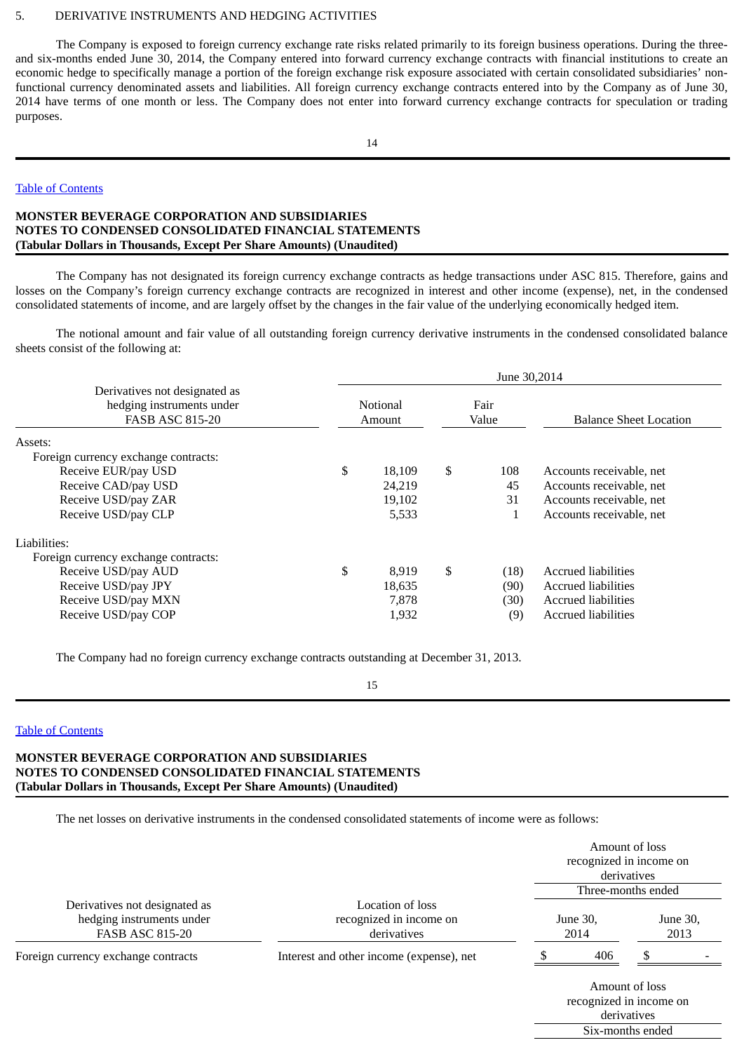#### 5. DERIVATIVE INSTRUMENTS AND HEDGING ACTIVITIES

The Company is exposed to foreign currency exchange rate risks related primarily to its foreign business operations. During the threeand six-months ended June 30, 2014, the Company entered into forward currency exchange contracts with financial institutions to create an economic hedge to specifically manage a portion of the foreign exchange risk exposure associated with certain consolidated subsidiaries' nonfunctional currency denominated assets and liabilities. All foreign currency exchange contracts entered into by the Company as of June 30, 2014 have terms of one month or less. The Company does not enter into forward currency exchange contracts for speculation or trading purposes.

### Table of [Contents](#page-0-0)

### **MONSTER BEVERAGE CORPORATION AND SUBSIDIARIES NOTES TO CONDENSED CONSOLIDATED FINANCIAL STATEMENTS (Tabular Dollars in Thousands, Except Per Share Amounts) (Unaudited)**

The Company has not designated its foreign currency exchange contracts as hedge transactions under ASC 815. Therefore, gains and losses on the Company's foreign currency exchange contracts are recognized in interest and other income (expense), net, in the condensed consolidated statements of income, and are largely offset by the changes in the fair value of the underlying economically hedged item.

The notional amount and fair value of all outstanding foreign currency derivative instruments in the condensed consolidated balance sheets consist of the following at:

|                                                                                      | June 30,2014                        |        |    |                               |                            |  |
|--------------------------------------------------------------------------------------|-------------------------------------|--------|----|-------------------------------|----------------------------|--|
| Derivatives not designated as<br>hedging instruments under<br><b>FASB ASC 815-20</b> | Fair<br>Notional<br>Value<br>Amount |        |    | <b>Balance Sheet Location</b> |                            |  |
| Assets:                                                                              |                                     |        |    |                               |                            |  |
| Foreign currency exchange contracts:                                                 |                                     |        |    |                               |                            |  |
| Receive EUR/pay USD                                                                  | \$                                  | 18,109 | \$ | 108                           | Accounts receivable, net   |  |
| Receive CAD/pay USD                                                                  |                                     | 24,219 |    | 45                            | Accounts receivable, net   |  |
| Receive USD/pay ZAR                                                                  |                                     | 19,102 |    | 31                            | Accounts receivable, net   |  |
| Receive USD/pay CLP                                                                  |                                     | 5,533  |    | $\mathbf 1$                   | Accounts receivable, net   |  |
| Liabilities:                                                                         |                                     |        |    |                               |                            |  |
| Foreign currency exchange contracts:                                                 |                                     |        |    |                               |                            |  |
| Receive USD/pay AUD                                                                  | \$                                  | 8,919  | \$ | (18)                          | Accrued liabilities        |  |
| Receive USD/pay JPY                                                                  |                                     | 18,635 |    | (90)                          | <b>Accrued liabilities</b> |  |
| Receive USD/pay MXN                                                                  |                                     | 7,878  |    | (30)                          | <b>Accrued liabilities</b> |  |
| Receive USD/pay COP                                                                  |                                     | 1,932  |    | (9)                           | <b>Accrued liabilities</b> |  |
|                                                                                      |                                     |        |    |                               |                            |  |

The Company had no foreign currency exchange contracts outstanding at December 31, 2013.

15

### Table of [Contents](#page-0-0)

**MONSTER BEVERAGE CORPORATION AND SUBSIDIARIES NOTES TO CONDENSED CONSOLIDATED FINANCIAL STATEMENTS (Tabular Dollars in Thousands, Except Per Share Amounts) (Unaudited)**

The net losses on derivative instruments in the condensed consolidated statements of income were as follows:

|                                                                                      |                                                            | Amount of loss<br>recognized in income on<br>derivatives<br>Three-months ended |                  |                                        |  |  |  |
|--------------------------------------------------------------------------------------|------------------------------------------------------------|--------------------------------------------------------------------------------|------------------|----------------------------------------|--|--|--|
| Derivatives not designated as<br>hedging instruments under<br><b>FASB ASC 815-20</b> | Location of loss<br>recognized in income on<br>derivatives |                                                                                | June 30,<br>2014 | June 30,<br>2013                       |  |  |  |
| Foreign currency exchange contracts                                                  | Interest and other income (expense), net                   |                                                                                | 406              |                                        |  |  |  |
|                                                                                      |                                                            |                                                                                | Amount of loss   | recognized in income on<br>derivatives |  |  |  |
|                                                                                      |                                                            |                                                                                |                  | Six-months ended                       |  |  |  |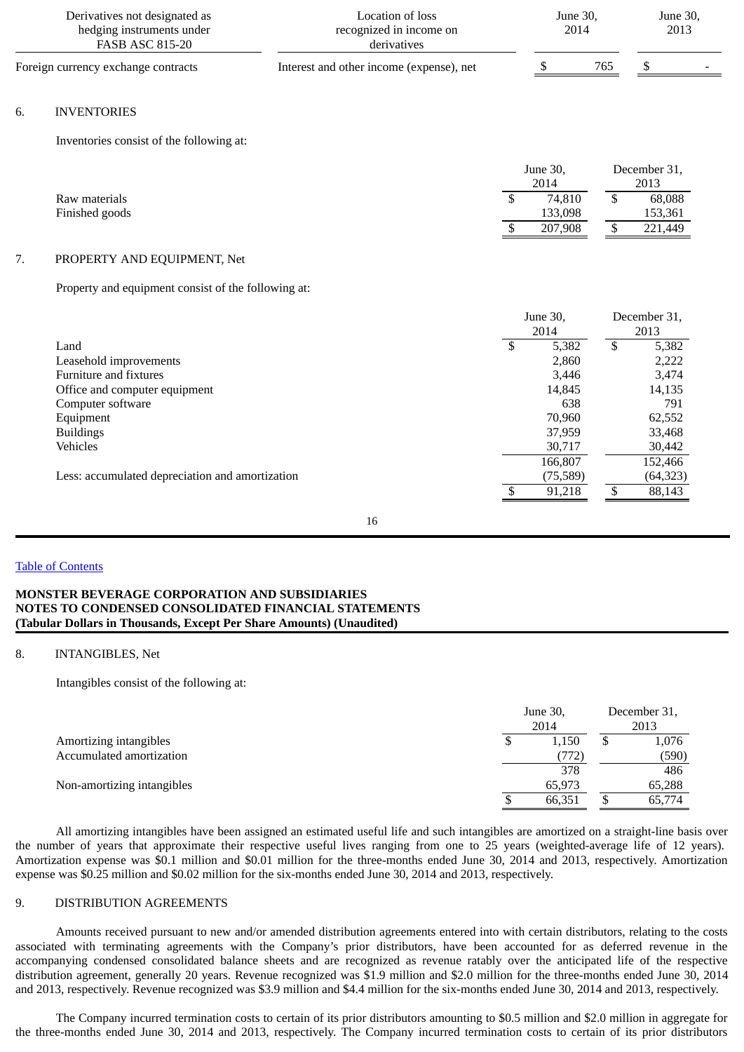|    | Derivatives not designated as<br>hedging instruments under<br><b>FASB ASC 815-20</b> | Location of loss<br>recognized in income on<br>derivatives | June 30,<br>2014    |                          | June 30,<br>2013    |
|----|--------------------------------------------------------------------------------------|------------------------------------------------------------|---------------------|--------------------------|---------------------|
|    | Foreign currency exchange contracts                                                  | Interest and other income (expense), net                   | $\mathbb{S}$        | 765                      | \$                  |
|    |                                                                                      |                                                            |                     |                          |                     |
| 6. | <b>INVENTORIES</b>                                                                   |                                                            |                     |                          |                     |
|    | Inventories consist of the following at:                                             |                                                            |                     |                          |                     |
|    |                                                                                      |                                                            | June 30,            |                          | December 31,        |
|    |                                                                                      |                                                            | 2014                |                          | 2013                |
|    | Raw materials                                                                        |                                                            | \$<br>74,810        | $\mathbb{S}$             | 68,088              |
|    | Finished goods                                                                       |                                                            | 133,098             |                          | 153,361             |
|    |                                                                                      |                                                            | \$<br>207,908       | $\overline{\mathcal{S}}$ | 221,449             |
|    |                                                                                      |                                                            |                     |                          |                     |
| 7. | PROPERTY AND EQUIPMENT, Net                                                          |                                                            |                     |                          |                     |
|    | Property and equipment consist of the following at:                                  |                                                            |                     |                          |                     |
|    |                                                                                      |                                                            | June 30,            |                          | December 31,        |
|    |                                                                                      |                                                            | 2014                |                          | 2013                |
|    | Land                                                                                 |                                                            | \$<br>5,382         | $\overline{\mathbb{S}}$  | 5,382               |
|    | Leasehold improvements                                                               |                                                            | 2,860               |                          | 2,222               |
|    | Furniture and fixtures                                                               |                                                            | 3,446               |                          | 3,474               |
|    | Office and computer equipment                                                        |                                                            | 14,845              |                          | 14,135              |
|    | Computer software                                                                    |                                                            | 638                 |                          | 791                 |
|    | Equipment                                                                            |                                                            | 70,960              |                          | 62,552              |
|    | <b>Buildings</b>                                                                     |                                                            | 37,959              |                          | 33,468              |
|    | Vehicles                                                                             |                                                            | 30,717              |                          | 30,442              |
|    |                                                                                      |                                                            | 166,807             |                          | 152,466             |
|    | Less: accumulated depreciation and amortization                                      |                                                            | (75, 589)<br>91,218 | \$                       | (64, 323)<br>88,143 |

16

### Table of [Contents](#page-0-0)

### **MONSTER BEVERAGE CORPORATION AND SUBSIDIARIES NOTES TO CONDENSED CONSOLIDATED FINANCIAL STATEMENTS (Tabular Dollars in Thousands, Except Per Share Amounts) (Unaudited)**

#### 8. INTANGIBLES, Net

Intangibles consist of the following at:

|                            | June 30,<br>2014 |   | December 31,<br>2013 |
|----------------------------|------------------|---|----------------------|
| Amortizing intangibles     | 1,150            | Φ | 1,076                |
| Accumulated amortization   | (772)            |   | (590)                |
|                            | 378              |   | 486                  |
| Non-amortizing intangibles | 65,973           |   | 65,288               |
|                            | 66,351           |   | 65,774               |

All amortizing intangibles have been assigned an estimated useful life and such intangibles are amortized on a straight-line basis over the number of years that approximate their respective useful lives ranging from one to 25 years (weighted-average life of 12 years). Amortization expense was \$0.1 million and \$0.01 million for the three-months ended June 30, 2014 and 2013, respectively. Amortization expense was \$0.25 million and \$0.02 million for the six-months ended June 30, 2014 and 2013, respectively.

### 9. DISTRIBUTION AGREEMENTS

Amounts received pursuant to new and/or amended distribution agreements entered into with certain distributors, relating to the costs associated with terminating agreements with the Company's prior distributors, have been accounted for as deferred revenue in the accompanying condensed consolidated balance sheets and are recognized as revenue ratably over the anticipated life of the respective distribution agreement, generally 20 years. Revenue recognized was \$1.9 million and \$2.0 million for the three-months ended June 30, 2014 and 2013, respectively. Revenue recognized was \$3.9 million and \$4.4 million for the six-months ended June 30, 2014 and 2013, respectively.

The Company incurred termination costs to certain of its prior distributors amounting to \$0.5 million and \$2.0 million in aggregate for the three-months ended June 30, 2014 and 2013, respectively. The Company incurred termination costs to certain of its prior distributors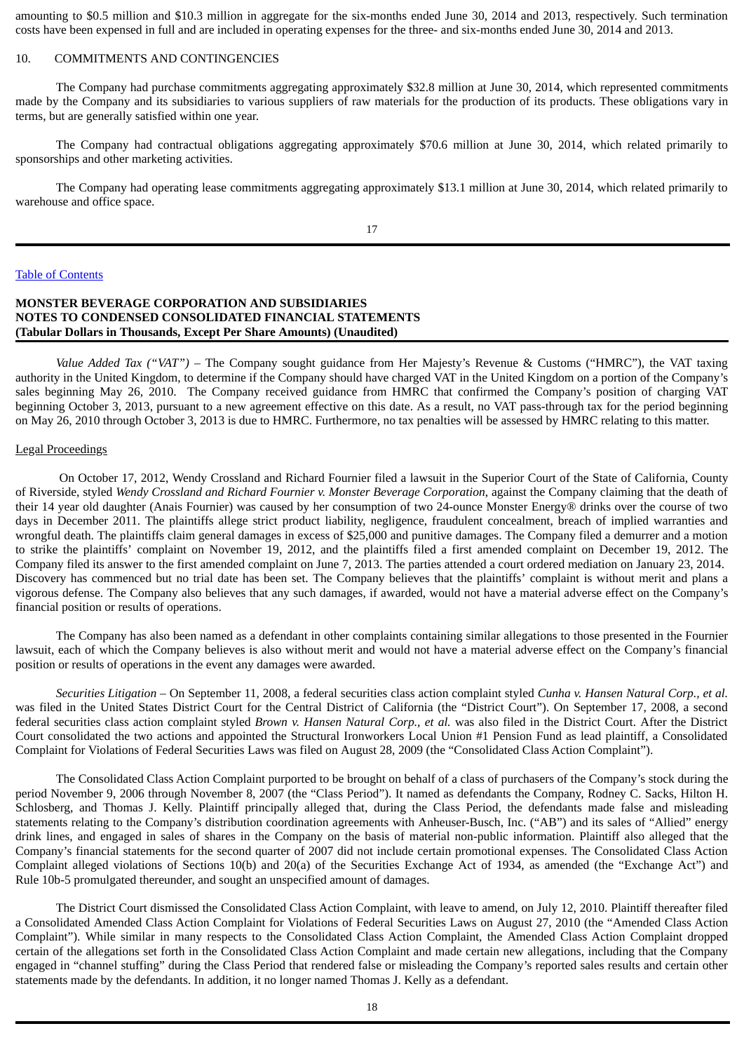amounting to \$0.5 million and \$10.3 million in aggregate for the six-months ended June 30, 2014 and 2013, respectively. Such termination costs have been expensed in full and are included in operating expenses for the three- and six-months ended June 30, 2014 and 2013.

#### 10. COMMITMENTS AND CONTINGENCIES

The Company had purchase commitments aggregating approximately \$32.8 million at June 30, 2014, which represented commitments made by the Company and its subsidiaries to various suppliers of raw materials for the production of its products. These obligations vary in terms, but are generally satisfied within one year.

The Company had contractual obligations aggregating approximately \$70.6 million at June 30, 2014, which related primarily to sponsorships and other marketing activities.

The Company had operating lease commitments aggregating approximately \$13.1 million at June 30, 2014, which related primarily to warehouse and office space.

17

#### Table of [Contents](#page-0-0)

### **MONSTER BEVERAGE CORPORATION AND SUBSIDIARIES NOTES TO CONDENSED CONSOLIDATED FINANCIAL STATEMENTS (Tabular Dollars in Thousands, Except Per Share Amounts) (Unaudited)**

*Value Added Tax ("VAT")* – The Company sought guidance from Her Majesty's Revenue & Customs ("HMRC"), the VAT taxing authority in the United Kingdom, to determine if the Company should have charged VAT in the United Kingdom on a portion of the Company's sales beginning May 26, 2010. The Company received guidance from HMRC that confirmed the Company's position of charging VAT beginning October 3, 2013, pursuant to a new agreement effective on this date. As a result, no VAT pass-through tax for the period beginning on May 26, 2010 through October 3, 2013 is due to HMRC. Furthermore, no tax penalties will be assessed by HMRC relating to this matter.

#### Legal Proceedings

On October 17, 2012, Wendy Crossland and Richard Fournier filed a lawsuit in the Superior Court of the State of California, County of Riverside, styled *Wendy Crossland and Richard Fournier v. Monster Beverage Corporation*, against the Company claiming that the death of their 14 year old daughter (Anais Fournier) was caused by her consumption of two 24-ounce Monster Energy® drinks over the course of two days in December 2011. The plaintiffs allege strict product liability, negligence, fraudulent concealment, breach of implied warranties and wrongful death. The plaintiffs claim general damages in excess of \$25,000 and punitive damages. The Company filed a demurrer and a motion to strike the plaintiffs' complaint on November 19, 2012, and the plaintiffs filed a first amended complaint on December 19, 2012. The Company filed its answer to the first amended complaint on June 7, 2013. The parties attended a court ordered mediation on January 23, 2014. Discovery has commenced but no trial date has been set. The Company believes that the plaintiffs' complaint is without merit and plans a vigorous defense. The Company also believes that any such damages, if awarded, would not have a material adverse effect on the Company's financial position or results of operations.

The Company has also been named as a defendant in other complaints containing similar allegations to those presented in the Fournier lawsuit, each of which the Company believes is also without merit and would not have a material adverse effect on the Company's financial position or results of operations in the event any damages were awarded.

*Securities Litigation* – On September 11, 2008, a federal securities class action complaint styled *Cunha v. Hansen Natural Corp., et al.* was filed in the United States District Court for the Central District of California (the "District Court"). On September 17, 2008, a second federal securities class action complaint styled *Brown v. Hansen Natural Corp., et al.* was also filed in the District Court. After the District Court consolidated the two actions and appointed the Structural Ironworkers Local Union #1 Pension Fund as lead plaintiff, a Consolidated Complaint for Violations of Federal Securities Laws was filed on August 28, 2009 (the "Consolidated Class Action Complaint").

The Consolidated Class Action Complaint purported to be brought on behalf of a class of purchasers of the Company's stock during the period November 9, 2006 through November 8, 2007 (the "Class Period"). It named as defendants the Company, Rodney C. Sacks, Hilton H. Schlosberg, and Thomas J. Kelly. Plaintiff principally alleged that, during the Class Period, the defendants made false and misleading statements relating to the Company's distribution coordination agreements with Anheuser-Busch, Inc. ("AB") and its sales of "Allied" energy drink lines, and engaged in sales of shares in the Company on the basis of material non-public information. Plaintiff also alleged that the Company's financial statements for the second quarter of 2007 did not include certain promotional expenses. The Consolidated Class Action Complaint alleged violations of Sections 10(b) and 20(a) of the Securities Exchange Act of 1934, as amended (the "Exchange Act") and Rule 10b-5 promulgated thereunder, and sought an unspecified amount of damages.

The District Court dismissed the Consolidated Class Action Complaint, with leave to amend, on July 12, 2010. Plaintiff thereafter filed a Consolidated Amended Class Action Complaint for Violations of Federal Securities Laws on August 27, 2010 (the "Amended Class Action Complaint"). While similar in many respects to the Consolidated Class Action Complaint, the Amended Class Action Complaint dropped certain of the allegations set forth in the Consolidated Class Action Complaint and made certain new allegations, including that the Company engaged in "channel stuffing" during the Class Period that rendered false or misleading the Company's reported sales results and certain other statements made by the defendants. In addition, it no longer named Thomas J. Kelly as a defendant.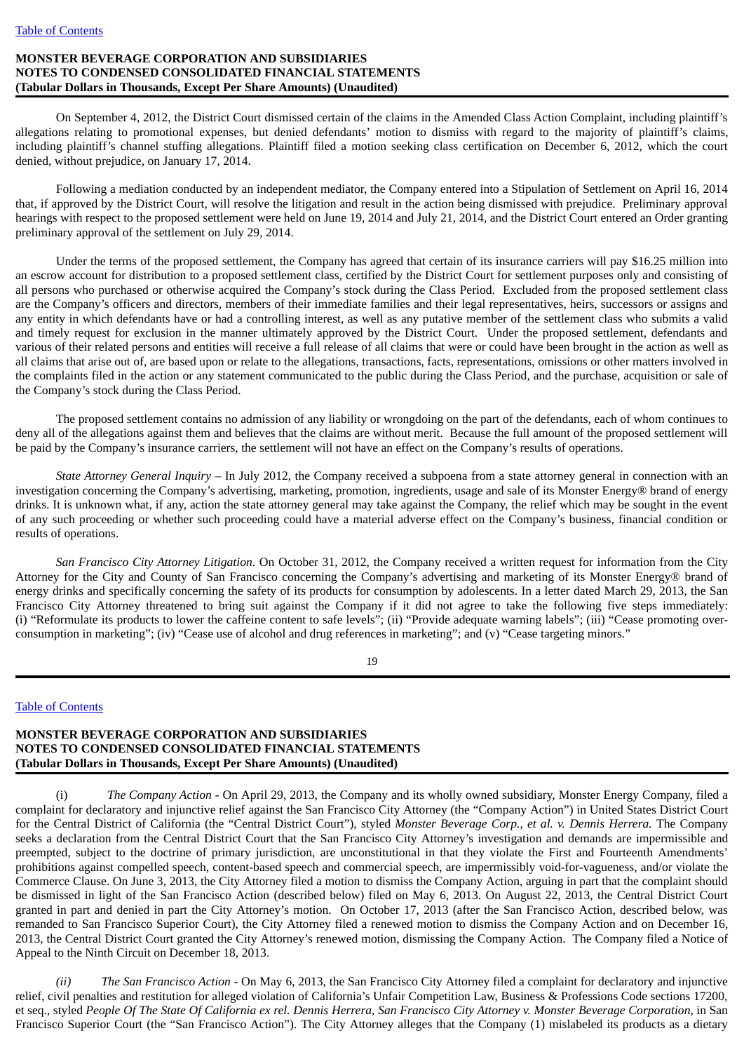### **MONSTER BEVERAGE CORPORATION AND SUBSIDIARIES NOTES TO CONDENSED CONSOLIDATED FINANCIAL STATEMENTS (Tabular Dollars in Thousands, Except Per Share Amounts) (Unaudited)**

On September 4, 2012, the District Court dismissed certain of the claims in the Amended Class Action Complaint, including plaintiff's allegations relating to promotional expenses, but denied defendants' motion to dismiss with regard to the majority of plaintiff's claims, including plaintiff's channel stuffing allegations. Plaintiff filed a motion seeking class certification on December 6, 2012, which the court denied, without prejudice, on January 17, 2014.

Following a mediation conducted by an independent mediator, the Company entered into a Stipulation of Settlement on April 16, 2014 that, if approved by the District Court, will resolve the litigation and result in the action being dismissed with prejudice. Preliminary approval hearings with respect to the proposed settlement were held on June 19, 2014 and July 21, 2014, and the District Court entered an Order granting preliminary approval of the settlement on July 29, 2014.

Under the terms of the proposed settlement, the Company has agreed that certain of its insurance carriers will pay \$16.25 million into an escrow account for distribution to a proposed settlement class, certified by the District Court for settlement purposes only and consisting of all persons who purchased or otherwise acquired the Company's stock during the Class Period. Excluded from the proposed settlement class are the Company's officers and directors, members of their immediate families and their legal representatives, heirs, successors or assigns and any entity in which defendants have or had a controlling interest, as well as any putative member of the settlement class who submits a valid and timely request for exclusion in the manner ultimately approved by the District Court. Under the proposed settlement, defendants and various of their related persons and entities will receive a full release of all claims that were or could have been brought in the action as well as all claims that arise out of, are based upon or relate to the allegations, transactions, facts, representations, omissions or other matters involved in the complaints filed in the action or any statement communicated to the public during the Class Period, and the purchase, acquisition or sale of the Company's stock during the Class Period.

The proposed settlement contains no admission of any liability or wrongdoing on the part of the defendants, each of whom continues to deny all of the allegations against them and believes that the claims are without merit. Because the full amount of the proposed settlement will be paid by the Company's insurance carriers, the settlement will not have an effect on the Company's results of operations.

*State Attorney General Inquiry* – In July 2012, the Company received a subpoena from a state attorney general in connection with an investigation concerning the Company's advertising, marketing, promotion, ingredients, usage and sale of its Monster Energy® brand of energy drinks. It is unknown what, if any, action the state attorney general may take against the Company, the relief which may be sought in the event of any such proceeding or whether such proceeding could have a material adverse effect on the Company's business, financial condition or results of operations.

*San Francisco City Attorney Litigation*. On October 31, 2012, the Company received a written request for information from the City Attorney for the City and County of San Francisco concerning the Company's advertising and marketing of its Monster Energy® brand of energy drinks and specifically concerning the safety of its products for consumption by adolescents. In a letter dated March 29, 2013, the San Francisco City Attorney threatened to bring suit against the Company if it did not agree to take the following five steps immediately: (i) "Reformulate its products to lower the caffeine content to safe levels"; (ii) "Provide adequate warning labels"; (iii) "Cease promoting overconsumption in marketing"; (iv) "Cease use of alcohol and drug references in marketing"; and (v) "Cease targeting minors."

19

### Table of [Contents](#page-0-0)

### **MONSTER BEVERAGE CORPORATION AND SUBSIDIARIES NOTES TO CONDENSED CONSOLIDATED FINANCIAL STATEMENTS (Tabular Dollars in Thousands, Except Per Share Amounts) (Unaudited)**

(i) *The Company Action* - On April 29, 2013, the Company and its wholly owned subsidiary, Monster Energy Company, filed a complaint for declaratory and injunctive relief against the San Francisco City Attorney (the "Company Action") in United States District Court for the Central District of California (the "Central District Court"), styled *Monster Beverage Corp., et al. v. Dennis Herrera.* The Company seeks a declaration from the Central District Court that the San Francisco City Attorney's investigation and demands are impermissible and preempted, subject to the doctrine of primary jurisdiction, are unconstitutional in that they violate the First and Fourteenth Amendments' prohibitions against compelled speech, content-based speech and commercial speech, are impermissibly void-for-vagueness, and/or violate the Commerce Clause. On June 3, 2013, the City Attorney filed a motion to dismiss the Company Action, arguing in part that the complaint should be dismissed in light of the San Francisco Action (described below) filed on May 6, 2013. On August 22, 2013, the Central District Court granted in part and denied in part the City Attorney's motion. On October 17, 2013 (after the San Francisco Action, described below, was remanded to San Francisco Superior Court), the City Attorney filed a renewed motion to dismiss the Company Action and on December 16, 2013, the Central District Court granted the City Attorney's renewed motion, dismissing the Company Action. The Company filed a Notice of Appeal to the Ninth Circuit on December 18, 2013.

*(ii) The San Francisco Action -* On May 6, 2013, the San Francisco City Attorney filed a complaint for declaratory and injunctive relief, civil penalties and restitution for alleged violation of California's Unfair Competition Law, Business & Professions Code sections 17200, et seg., styled People Of The State Of California ex rel. Dennis Herrera, San Francisco City Attorney v. Monster Beverage Corporation, in San Francisco Superior Court (the "San Francisco Action"). The City Attorney alleges that the Company (1) mislabeled its products as a dietary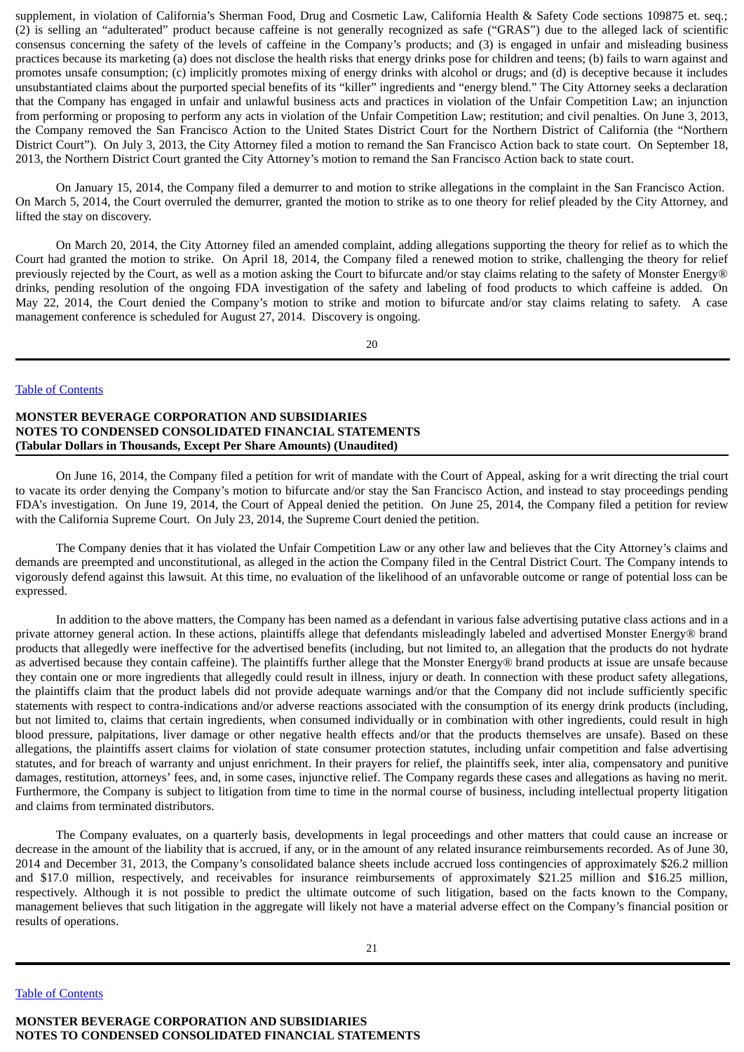supplement, in violation of California's Sherman Food, Drug and Cosmetic Law, California Health & Safety Code sections 109875 et. seq.; (2) is selling an "adulterated" product because caffeine is not generally recognized as safe ("GRAS") due to the alleged lack of scientific consensus concerning the safety of the levels of caffeine in the Company's products; and (3) is engaged in unfair and misleading business practices because its marketing (a) does not disclose the health risks that energy drinks pose for children and teens; (b) fails to warn against and promotes unsafe consumption; (c) implicitly promotes mixing of energy drinks with alcohol or drugs; and (d) is deceptive because it includes unsubstantiated claims about the purported special benefits of its "killer" ingredients and "energy blend." The City Attorney seeks a declaration that the Company has engaged in unfair and unlawful business acts and practices in violation of the Unfair Competition Law; an injunction from performing or proposing to perform any acts in violation of the Unfair Competition Law; restitution; and civil penalties. On June 3, 2013, the Company removed the San Francisco Action to the United States District Court for the Northern District of California (the "Northern District Court"). On July 3, 2013, the City Attorney filed a motion to remand the San Francisco Action back to state court. On September 18, 2013, the Northern District Court granted the City Attorney's motion to remand the San Francisco Action back to state court.

On January 15, 2014, the Company filed a demurrer to and motion to strike allegations in the complaint in the San Francisco Action. On March 5, 2014, the Court overruled the demurrer, granted the motion to strike as to one theory for relief pleaded by the City Attorney, and lifted the stay on discovery.

On March 20, 2014, the City Attorney filed an amended complaint, adding allegations supporting the theory for relief as to which the Court had granted the motion to strike. On April 18, 2014, the Company filed a renewed motion to strike, challenging the theory for relief previously rejected by the Court, as well as a motion asking the Court to bifurcate and/or stay claims relating to the safety of Monster Energy® drinks, pending resolution of the ongoing FDA investigation of the safety and labeling of food products to which caffeine is added. On May 22, 2014, the Court denied the Company's motion to strike and motion to bifurcate and/or stay claims relating to safety. A case management conference is scheduled for August 27, 2014. Discovery is ongoing.

20

#### Table of [Contents](#page-0-0)

#### **MONSTER BEVERAGE CORPORATION AND SUBSIDIARIES NOTES TO CONDENSED CONSOLIDATED FINANCIAL STATEMENTS (Tabular Dollars in Thousands, Except Per Share Amounts) (Unaudited)**

On June 16, 2014, the Company filed a petition for writ of mandate with the Court of Appeal, asking for a writ directing the trial court to vacate its order denying the Company's motion to bifurcate and/or stay the San Francisco Action, and instead to stay proceedings pending FDA's investigation. On June 19, 2014, the Court of Appeal denied the petition. On June 25, 2014, the Company filed a petition for review with the California Supreme Court. On July 23, 2014, the Supreme Court denied the petition.

The Company denies that it has violated the Unfair Competition Law or any other law and believes that the City Attorney's claims and demands are preempted and unconstitutional, as alleged in the action the Company filed in the Central District Court. The Company intends to vigorously defend against this lawsuit. At this time, no evaluation of the likelihood of an unfavorable outcome or range of potential loss can be expressed.

In addition to the above matters, the Company has been named as a defendant in various false advertising putative class actions and in a private attorney general action. In these actions, plaintiffs allege that defendants misleadingly labeled and advertised Monster Energy® brand products that allegedly were ineffective for the advertised benefits (including, but not limited to, an allegation that the products do not hydrate as advertised because they contain caffeine). The plaintiffs further allege that the Monster Energy® brand products at issue are unsafe because they contain one or more ingredients that allegedly could result in illness, injury or death. In connection with these product safety allegations, the plaintiffs claim that the product labels did not provide adequate warnings and/or that the Company did not include sufficiently specific statements with respect to contra-indications and/or adverse reactions associated with the consumption of its energy drink products (including, but not limited to, claims that certain ingredients, when consumed individually or in combination with other ingredients, could result in high blood pressure, palpitations, liver damage or other negative health effects and/or that the products themselves are unsafe). Based on these allegations, the plaintiffs assert claims for violation of state consumer protection statutes, including unfair competition and false advertising statutes, and for breach of warranty and unjust enrichment. In their prayers for relief, the plaintiffs seek, inter alia, compensatory and punitive damages, restitution, attorneys' fees, and, in some cases, injunctive relief. The Company regards these cases and allegations as having no merit. Furthermore, the Company is subject to litigation from time to time in the normal course of business, including intellectual property litigation and claims from terminated distributors.

The Company evaluates, on a quarterly basis, developments in legal proceedings and other matters that could cause an increase or decrease in the amount of the liability that is accrued, if any, or in the amount of any related insurance reimbursements recorded. As of June 30, 2014 and December 31, 2013, the Company's consolidated balance sheets include accrued loss contingencies of approximately \$26.2 million and \$17.0 million, respectively, and receivables for insurance reimbursements of approximately \$21.25 million and \$16.25 million, respectively. Although it is not possible to predict the ultimate outcome of such litigation, based on the facts known to the Company, management believes that such litigation in the aggregate will likely not have a material adverse effect on the Company's financial position or results of operations.

### Table of [Contents](#page-0-0)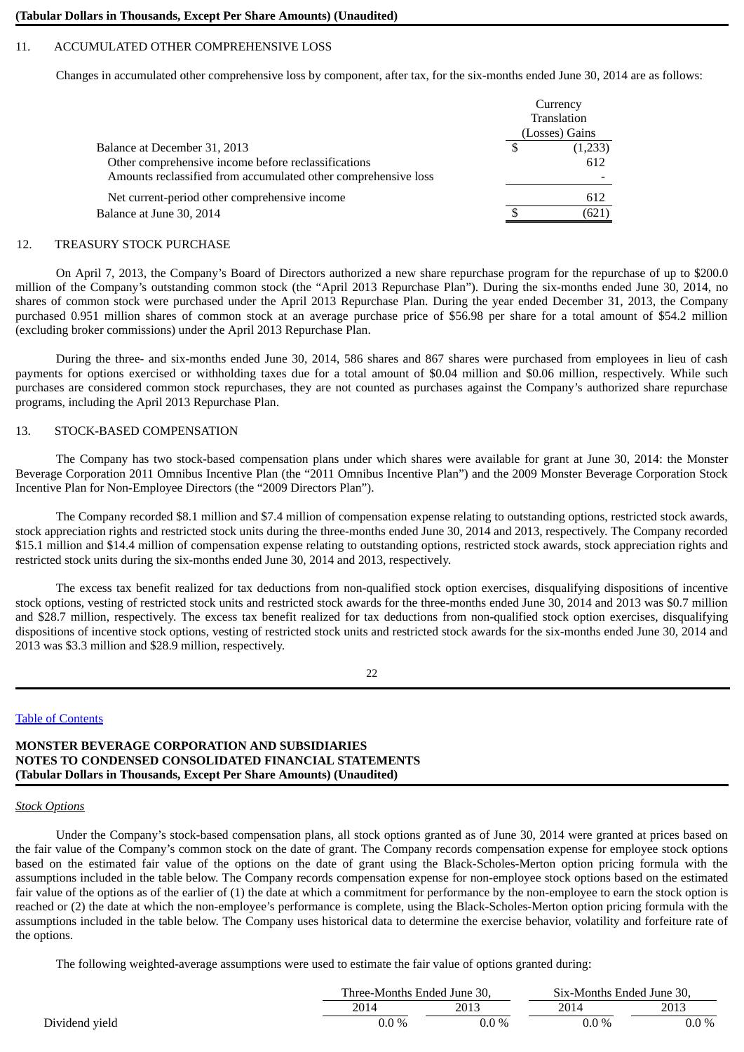### 11. ACCUMULATED OTHER COMPREHENSIVE LOSS

Changes in accumulated other comprehensive loss by component, after tax, for the six-months ended June 30, 2014 are as follows:

|                                                                | Currency       |
|----------------------------------------------------------------|----------------|
|                                                                | Translation    |
|                                                                | (Losses) Gains |
| Balance at December 31, 2013                                   | (1,233)        |
| Other comprehensive income before reclassifications            | 612            |
| Amounts reclassified from accumulated other comprehensive loss |                |
| Net current-period other comprehensive income                  | 612            |
| Balance at June 30, 2014                                       | (621)          |
|                                                                |                |

#### 12. TREASURY STOCK PURCHASE

On April 7, 2013, the Company's Board of Directors authorized a new share repurchase program for the repurchase of up to \$200.0 million of the Company's outstanding common stock (the "April 2013 Repurchase Plan"). During the six-months ended June 30, 2014, no shares of common stock were purchased under the April 2013 Repurchase Plan. During the year ended December 31, 2013, the Company purchased 0.951 million shares of common stock at an average purchase price of \$56.98 per share for a total amount of \$54.2 million (excluding broker commissions) under the April 2013 Repurchase Plan.

During the three- and six-months ended June 30, 2014, 586 shares and 867 shares were purchased from employees in lieu of cash payments for options exercised or withholding taxes due for a total amount of \$0.04 million and \$0.06 million, respectively. While such purchases are considered common stock repurchases, they are not counted as purchases against the Company's authorized share repurchase programs, including the April 2013 Repurchase Plan.

#### 13. STOCK-BASED COMPENSATION

The Company has two stock-based compensation plans under which shares were available for grant at June 30, 2014: the Monster Beverage Corporation 2011 Omnibus Incentive Plan (the "2011 Omnibus Incentive Plan") and the 2009 Monster Beverage Corporation Stock Incentive Plan for Non-Employee Directors (the "2009 Directors Plan").

The Company recorded \$8.1 million and \$7.4 million of compensation expense relating to outstanding options, restricted stock awards, stock appreciation rights and restricted stock units during the three-months ended June 30, 2014 and 2013, respectively. The Company recorded \$15.1 million and \$14.4 million of compensation expense relating to outstanding options, restricted stock awards, stock appreciation rights and restricted stock units during the six-months ended June 30, 2014 and 2013, respectively.

The excess tax benefit realized for tax deductions from non-qualified stock option exercises, disqualifying dispositions of incentive stock options, vesting of restricted stock units and restricted stock awards for the three-months ended June 30, 2014 and 2013 was \$0.7 million and \$28.7 million, respectively. The excess tax benefit realized for tax deductions from non-qualified stock option exercises, disqualifying dispositions of incentive stock options, vesting of restricted stock units and restricted stock awards for the six-months ended June 30, 2014 and 2013 was \$3.3 million and \$28.9 million, respectively.

| a.  |  |
|-----|--|
| . . |  |
|     |  |

#### Table of [Contents](#page-0-0)

### **MONSTER BEVERAGE CORPORATION AND SUBSIDIARIES NOTES TO CONDENSED CONSOLIDATED FINANCIAL STATEMENTS (Tabular Dollars in Thousands, Except Per Share Amounts) (Unaudited)**

#### *Stock Options*

Under the Company's stock-based compensation plans, all stock options granted as of June 30, 2014 were granted at prices based on the fair value of the Company's common stock on the date of grant. The Company records compensation expense for employee stock options based on the estimated fair value of the options on the date of grant using the Black-Scholes-Merton option pricing formula with the assumptions included in the table below. The Company records compensation expense for non-employee stock options based on the estimated fair value of the options as of the earlier of (1) the date at which a commitment for performance by the non-employee to earn the stock option is reached or (2) the date at which the non-employee's performance is complete, using the Black-Scholes-Merton option pricing formula with the assumptions included in the table below. The Company uses historical data to determine the exercise behavior, volatility and forfeiture rate of the options.

The following weighted-average assumptions were used to estimate the fair value of options granted during:

|                | Three-Months Ended June 30, |         | Six-Months Ended June 30, |         |  |
|----------------|-----------------------------|---------|---------------------------|---------|--|
|                | 2014                        | 2013    | 2014                      | 2013    |  |
| Dividend yield | $0.0\,\%$                   | $0.0\%$ | 0.0 %                     | $0.0\%$ |  |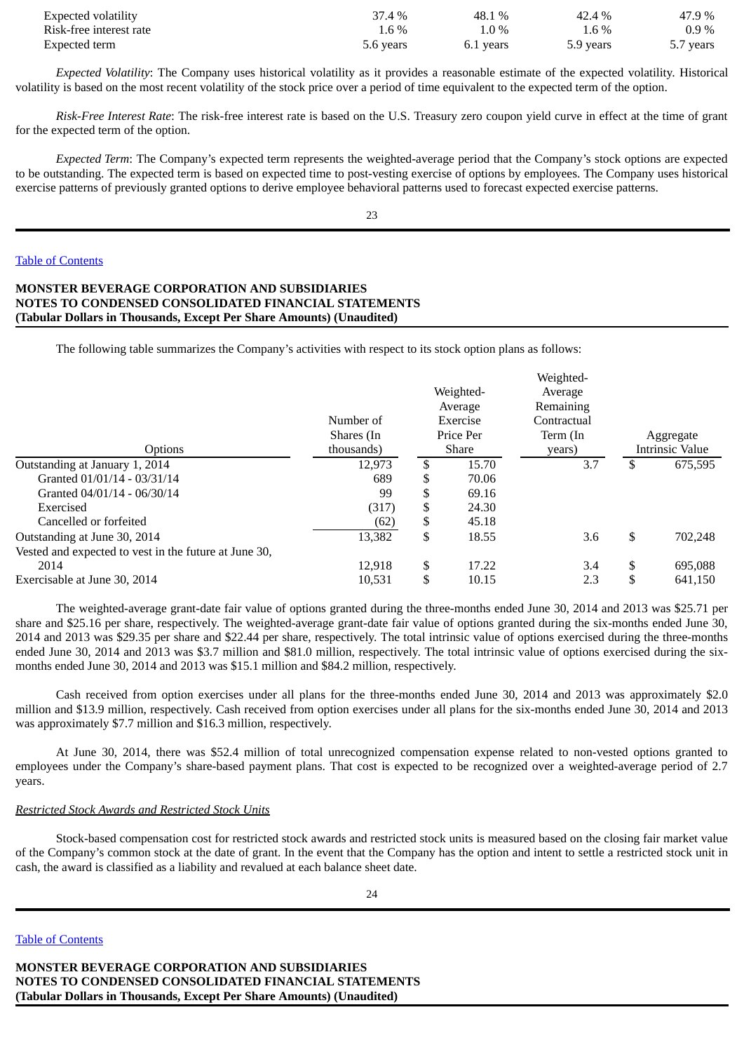| Expected volatility     | 37.4 %    | 48.1 %    | 42.4 %    | 47.9 %    |
|-------------------------|-----------|-----------|-----------|-----------|
| Risk-free interest rate | 1.6 %     | $0.0\%$   | 1.6 %     | $0.9\%$   |
| Expected term           | 5.6 years | 6.1 years | 5.9 years | 5.7 years |

*Expected Volatility*: The Company uses historical volatility as it provides a reasonable estimate of the expected volatility. Historical volatility is based on the most recent volatility of the stock price over a period of time equivalent to the expected term of the option.

*Risk-Free Interest Rate*: The risk-free interest rate is based on the U.S. Treasury zero coupon yield curve in effect at the time of grant for the expected term of the option.

*Expected Term*: The Company's expected term represents the weighted-average period that the Company's stock options are expected to be outstanding. The expected term is based on expected time to post-vesting exercise of options by employees. The Company uses historical exercise patterns of previously granted options to derive employee behavioral patterns used to forecast expected exercise patterns.

23

#### Table of [Contents](#page-0-0)

### **MONSTER BEVERAGE CORPORATION AND SUBSIDIARIES NOTES TO CONDENSED CONSOLIDATED FINANCIAL STATEMENTS (Tabular Dollars in Thousands, Except Per Share Amounts) (Unaudited)**

The following table summarizes the Company's activities with respect to its stock option plans as follows:

|                                                       |            |    |           | Weighted-   |                        |
|-------------------------------------------------------|------------|----|-----------|-------------|------------------------|
|                                                       |            |    | Weighted- | Average     |                        |
|                                                       |            |    | Average   | Remaining   |                        |
|                                                       | Number of  |    | Exercise  | Contractual |                        |
|                                                       | Shares (In |    | Price Per | Term (In    | Aggregate              |
| Options                                               | thousands) |    | Share     | years)      | <b>Intrinsic Value</b> |
| Outstanding at January 1, 2014                        | 12,973     | \$ | 15.70     | 3.7         | 675,595                |
| Granted 01/01/14 - 03/31/14                           | 689        | \$ | 70.06     |             |                        |
| Granted 04/01/14 - 06/30/14                           | 99         | S  | 69.16     |             |                        |
| Exercised                                             | (317)      | \$ | 24.30     |             |                        |
| Cancelled or forfeited                                | (62)       | \$ | 45.18     |             |                        |
| Outstanding at June 30, 2014                          | 13,382     | \$ | 18.55     | 3.6         | \$<br>702,248          |
| Vested and expected to vest in the future at June 30, |            |    |           |             |                        |
| 2014                                                  | 12.918     | \$ | 17.22     | 3.4         | \$<br>695,088          |
| Exercisable at June 30, 2014                          | 10,531     | \$ | 10.15     | 2.3         | \$<br>641,150          |
|                                                       |            |    |           |             |                        |

The weighted-average grant-date fair value of options granted during the three-months ended June 30, 2014 and 2013 was \$25.71 per share and \$25.16 per share, respectively. The weighted-average grant-date fair value of options granted during the six-months ended June 30, 2014 and 2013 was \$29.35 per share and \$22.44 per share, respectively. The total intrinsic value of options exercised during the three-months ended June 30, 2014 and 2013 was \$3.7 million and \$81.0 million, respectively. The total intrinsic value of options exercised during the sixmonths ended June 30, 2014 and 2013 was \$15.1 million and \$84.2 million, respectively.

Cash received from option exercises under all plans for the three-months ended June 30, 2014 and 2013 was approximately \$2.0 million and \$13.9 million, respectively. Cash received from option exercises under all plans for the six-months ended June 30, 2014 and 2013 was approximately \$7.7 million and \$16.3 million, respectively.

At June 30, 2014, there was \$52.4 million of total unrecognized compensation expense related to non-vested options granted to employees under the Company's share-based payment plans. That cost is expected to be recognized over a weighted-average period of 2.7 years.

#### *Restricted Stock Awards and Restricted Stock Units*

Stock-based compensation cost for restricted stock awards and restricted stock units is measured based on the closing fair market value of the Company's common stock at the date of grant. In the event that the Company has the option and intent to settle a restricted stock unit in cash, the award is classified as a liability and revalued at each balance sheet date.

### Table of [Contents](#page-0-0)

**MONSTER BEVERAGE CORPORATION AND SUBSIDIARIES NOTES TO CONDENSED CONSOLIDATED FINANCIAL STATEMENTS (Tabular Dollars in Thousands, Except Per Share Amounts) (Unaudited)**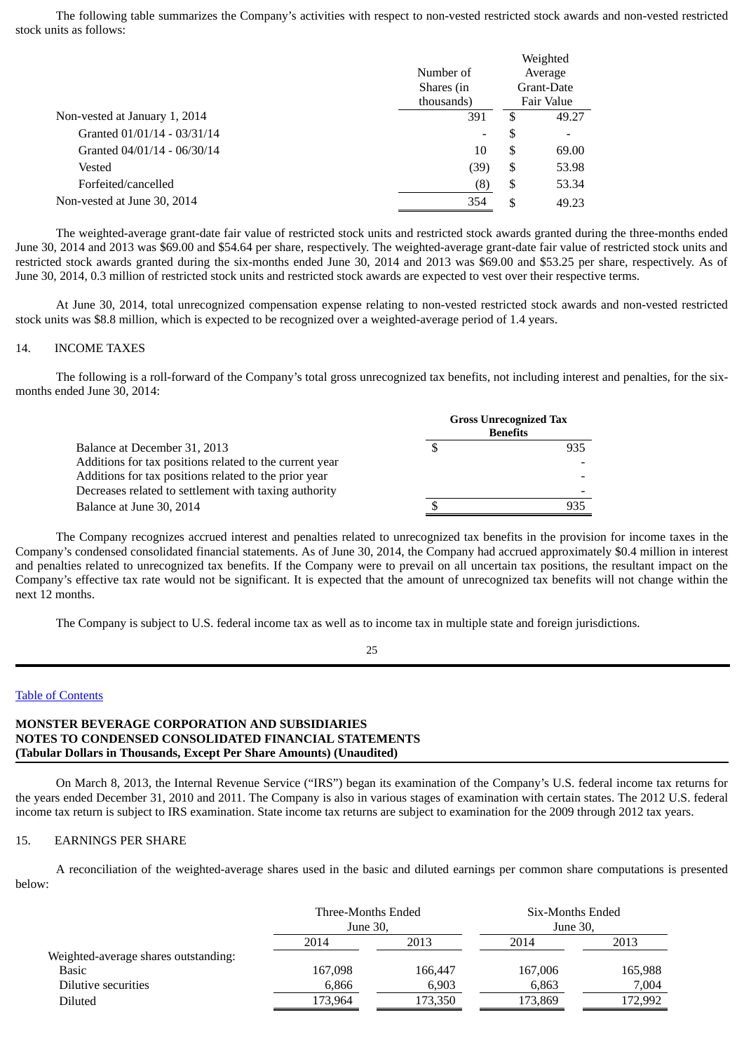The following table summarizes the Company's activities with respect to non-vested restricted stock awards and non-vested restricted stock units as follows:

|                                                             |            | Weighted   |
|-------------------------------------------------------------|------------|------------|
| Number of                                                   |            | Average    |
| Shares (in<br>thousands)<br>391<br>$\overline{\phantom{0}}$ |            | Grant-Date |
|                                                             | Fair Value |            |
|                                                             | S          | 49.27      |
|                                                             | \$         |            |
| 10                                                          | \$         | 69.00      |
| (39)                                                        | \$         | 53.98      |
| (8)                                                         | \$         | 53.34      |
| 354                                                         | \$         | 49.23      |
|                                                             |            |            |

The weighted-average grant-date fair value of restricted stock units and restricted stock awards granted during the three-months ended June 30, 2014 and 2013 was \$69.00 and \$54.64 per share, respectively. The weighted-average grant-date fair value of restricted stock units and restricted stock awards granted during the six-months ended June 30, 2014 and 2013 was \$69.00 and \$53.25 per share, respectively. As of June 30, 2014, 0.3 million of restricted stock units and restricted stock awards are expected to vest over their respective terms.

At June 30, 2014, total unrecognized compensation expense relating to non-vested restricted stock awards and non-vested restricted stock units was \$8.8 million, which is expected to be recognized over a weighted-average period of 1.4 years.

#### 14. INCOME TAXES

The following is a roll-forward of the Company's total gross unrecognized tax benefits, not including interest and penalties, for the sixmonths ended June 30, 2014:

|                                                         | <b>Gross Unrecognized Tax</b> |
|---------------------------------------------------------|-------------------------------|
|                                                         | <b>Benefits</b>               |
| Balance at December 31, 2013                            | 935                           |
| Additions for tax positions related to the current year |                               |
| Additions for tax positions related to the prior year   |                               |
| Decreases related to settlement with taxing authority   | -                             |
| Balance at June 30, 2014                                | 935                           |

The Company recognizes accrued interest and penalties related to unrecognized tax benefits in the provision for income taxes in the Company's condensed consolidated financial statements. As of June 30, 2014, the Company had accrued approximately \$0.4 million in interest and penalties related to unrecognized tax benefits. If the Company were to prevail on all uncertain tax positions, the resultant impact on the Company's effective tax rate would not be significant. It is expected that the amount of unrecognized tax benefits will not change within the next 12 months.

The Company is subject to U.S. federal income tax as well as to income tax in multiple state and foreign jurisdictions.

25

#### Table of [Contents](#page-0-0)

### **MONSTER BEVERAGE CORPORATION AND SUBSIDIARIES NOTES TO CONDENSED CONSOLIDATED FINANCIAL STATEMENTS (Tabular Dollars in Thousands, Except Per Share Amounts) (Unaudited)**

On March 8, 2013, the Internal Revenue Service ("IRS") began its examination of the Company's U.S. federal income tax returns for the years ended December 31, 2010 and 2011. The Company is also in various stages of examination with certain states. The 2012 U.S. federal income tax return is subject to IRS examination. State income tax returns are subject to examination for the 2009 through 2012 tax years.

### 15. EARNINGS PER SHARE

A reconciliation of the weighted-average shares used in the basic and diluted earnings per common share computations is presented below:

|                                      | Three-Months Ended<br>June 30, |         | Six-Months Ended<br>June 30, |         |
|--------------------------------------|--------------------------------|---------|------------------------------|---------|
|                                      | 2014                           | 2013    | 2014                         | 2013    |
| Weighted-average shares outstanding: |                                |         |                              |         |
| <b>Basic</b>                         | 167,098                        | 166,447 | 167,006                      | 165,988 |
| Dilutive securities                  | 6,866                          | 6,903   | 6,863                        | 7,004   |
| Diluted                              | 173,964                        | 173,350 | 173,869                      | 172,992 |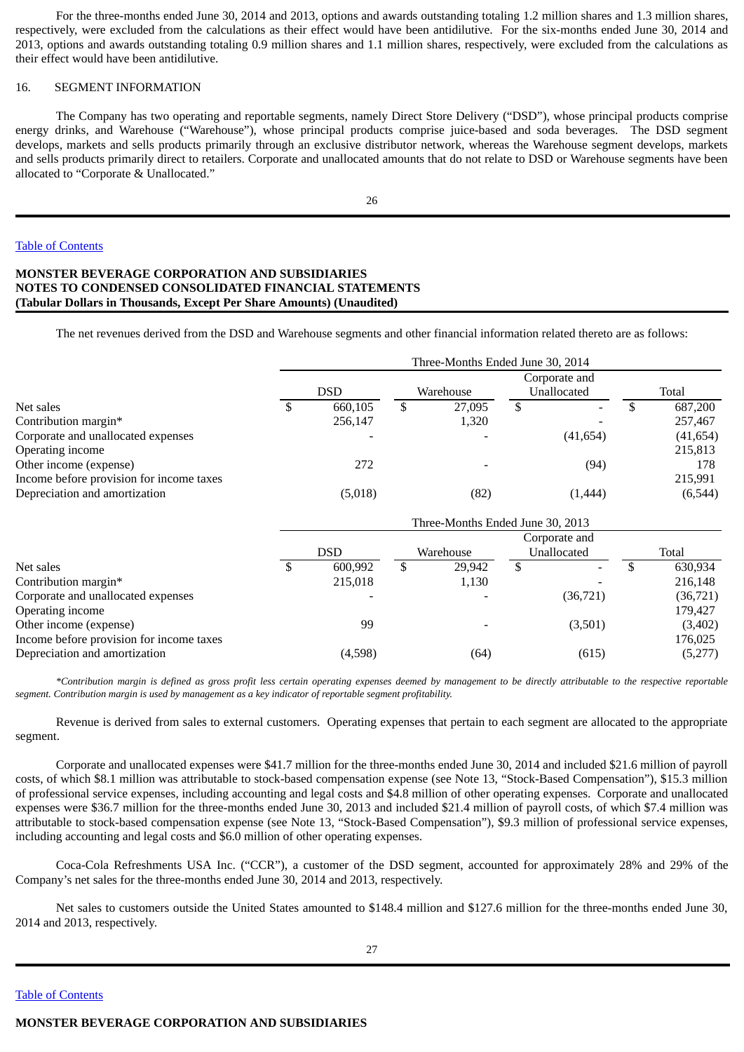For the three-months ended June 30, 2014 and 2013, options and awards outstanding totaling 1.2 million shares and 1.3 million shares, respectively, were excluded from the calculations as their effect would have been antidilutive. For the six-months ended June 30, 2014 and 2013, options and awards outstanding totaling 0.9 million shares and 1.1 million shares, respectively, were excluded from the calculations as their effect would have been antidilutive.

### 16. SEGMENT INFORMATION

The Company has two operating and reportable segments, namely Direct Store Delivery ("DSD"), whose principal products comprise energy drinks, and Warehouse ("Warehouse"), whose principal products comprise juice-based and soda beverages. The DSD segment develops, markets and sells products primarily through an exclusive distributor network, whereas the Warehouse segment develops, markets and sells products primarily direct to retailers. Corporate and unallocated amounts that do not relate to DSD or Warehouse segments have been allocated to "Corporate & Unallocated."

#### Table of [Contents](#page-0-0)

### **MONSTER BEVERAGE CORPORATION AND SUBSIDIARIES NOTES TO CONDENSED CONSOLIDATED FINANCIAL STATEMENTS (Tabular Dollars in Thousands, Except Per Share Amounts) (Unaudited)**

The net revenues derived from the DSD and Warehouse segments and other financial information related thereto are as follows:

|                                          | Three-Months Ended June 30, 2014 |         |           |        |               |                      |           |  |  |  |
|------------------------------------------|----------------------------------|---------|-----------|--------|---------------|----------------------|-----------|--|--|--|
|                                          |                                  |         |           |        | Corporate and |                      |           |  |  |  |
|                                          | <b>DSD</b>                       |         | Warehouse |        | Unallocated   |                      | Total     |  |  |  |
| Net sales                                |                                  | 660.105 | Ж         | 27,095 | S             | S.<br>$\blacksquare$ | 687,200   |  |  |  |
| Contribution margin*                     |                                  | 256,147 |           | 1,320  |               |                      | 257,467   |  |  |  |
| Corporate and unallocated expenses       |                                  |         |           |        | (41, 654)     |                      | (41, 654) |  |  |  |
| Operating income                         |                                  |         |           |        |               |                      | 215,813   |  |  |  |
| Other income (expense)                   |                                  | 272     |           |        | (94)          |                      | 178       |  |  |  |
| Income before provision for income taxes |                                  |         |           |        |               |                      | 215,991   |  |  |  |
| Depreciation and amortization            |                                  | (5,018) |           | (82)   | (1,444)       |                      | (6, 544)  |  |  |  |
|                                          | Three-Months Ended June 30, 2013 |         |           |        |               |                      |           |  |  |  |
|                                          |                                  |         |           |        | Corporate and |                      |           |  |  |  |

|                                          |            |         |    |           |   | Corporate and |       |           |
|------------------------------------------|------------|---------|----|-----------|---|---------------|-------|-----------|
|                                          | <b>DSD</b> |         |    | Warehouse |   | Unallocated   | Total |           |
| Net sales                                |            | 600.992 | JD | 29.942    | J | $\sim$        |       | 630,934   |
| Contribution margin*                     |            | 215,018 |    | 1,130     |   |               |       | 216,148   |
| Corporate and unallocated expenses       |            |         |    |           |   | (36, 721)     |       | (36, 721) |
| Operating income                         |            |         |    |           |   |               |       | 179,427   |
| Other income (expense)                   |            | 99      |    |           |   | (3,501)       |       | (3,402)   |
| Income before provision for income taxes |            |         |    |           |   |               |       | 176,025   |
| Depreciation and amortization            |            | (4,598) |    | (64)      |   | (615)         |       | (5,277)   |

*\*Contribution margin is defined as gross profit less certain operating expenses deemed by management to be directly attributable to the respective reportable segment. Contribution margin is used by management as a key indicator of reportable segment profitability.*

Revenue is derived from sales to external customers. Operating expenses that pertain to each segment are allocated to the appropriate segment.

Corporate and unallocated expenses were \$41.7 million for the three-months ended June 30, 2014 and included \$21.6 million of payroll costs, of which \$8.1 million was attributable to stock-based compensation expense (see Note 13, "Stock-Based Compensation"), \$15.3 million of professional service expenses, including accounting and legal costs and \$4.8 million of other operating expenses. Corporate and unallocated expenses were \$36.7 million for the three-months ended June 30, 2013 and included \$21.4 million of payroll costs, of which \$7.4 million was attributable to stock-based compensation expense (see Note 13, "Stock-Based Compensation"), \$9.3 million of professional service expenses, including accounting and legal costs and \$6.0 million of other operating expenses.

Coca-Cola Refreshments USA Inc. ("CCR"), a customer of the DSD segment, accounted for approximately 28% and 29% of the Company's net sales for the three-months ended June 30, 2014 and 2013, respectively.

Net sales to customers outside the United States amounted to \$148.4 million and \$127.6 million for the three-months ended June 30, 2014 and 2013, respectively.

Table of [Contents](#page-0-0)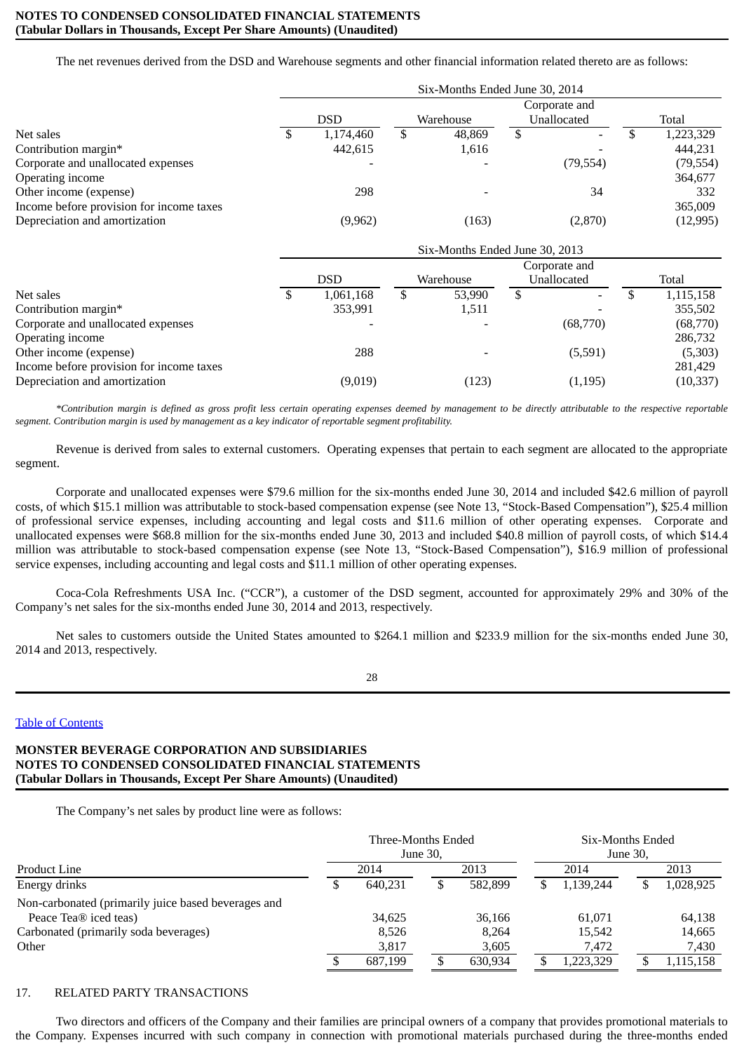### **NOTES TO CONDENSED CONSOLIDATED FINANCIAL STATEMENTS (Tabular Dollars in Thousands, Except Per Share Amounts) (Unaudited)**

The net revenues derived from the DSD and Warehouse segments and other financial information related thereto are as follows:

|                                          | Six-Months Ended June 30, 2014 |           |  |           |             |                          |       |           |  |  |
|------------------------------------------|--------------------------------|-----------|--|-----------|-------------|--------------------------|-------|-----------|--|--|
|                                          |                                |           |  |           |             | Corporate and            |       |           |  |  |
|                                          | <b>DSD</b>                     |           |  | Warehouse | Unallocated |                          | Total |           |  |  |
| Net sales                                |                                | 1.174.460 |  | 48.869    | C           | $\overline{\phantom{0}}$ |       | 1,223,329 |  |  |
| Contribution margin*                     |                                | 442,615   |  | 1,616     |             |                          |       | 444,231   |  |  |
| Corporate and unallocated expenses       |                                |           |  |           |             | (79, 554)                |       | (79, 554) |  |  |
| Operating income                         |                                |           |  |           |             |                          |       | 364,677   |  |  |
| Other income (expense)                   |                                | 298       |  |           |             | 34                       |       | 332       |  |  |
| Income before provision for income taxes |                                |           |  |           |             |                          |       | 365,009   |  |  |
| Depreciation and amortization            |                                | (9,962)   |  | (163)     |             | (2,870)                  |       | (12, 995) |  |  |

|                                          |               |           |   | Six-Months Ended June 30, 2013 |             |          |       |           |  |  |  |
|------------------------------------------|---------------|-----------|---|--------------------------------|-------------|----------|-------|-----------|--|--|--|
|                                          | Corporate and |           |   |                                |             |          |       |           |  |  |  |
|                                          | <b>DSD</b>    |           |   | Warehouse                      | Unallocated |          | Total |           |  |  |  |
| Net sales                                |               | 1,061,168 | D | 53,990                         | S           | $\sim$   |       | 1,115,158 |  |  |  |
| Contribution margin*                     |               | 353,991   |   | 1,511                          |             |          |       | 355,502   |  |  |  |
| Corporate and unallocated expenses       |               |           |   |                                |             | (68,770) |       | (68,770)  |  |  |  |
| Operating income                         |               |           |   |                                |             |          |       | 286,732   |  |  |  |
| Other income (expense)                   |               | 288       |   |                                |             | (5,591)  |       | (5,303)   |  |  |  |
| Income before provision for income taxes |               |           |   |                                |             |          |       | 281,429   |  |  |  |
| Depreciation and amortization            |               | (9,019)   |   | (123)                          |             | (1, 195) |       | (10, 337) |  |  |  |

*\*Contribution margin is defined as gross profit less certain operating expenses deemed by management to be directly attributable to the respective reportable segment. Contribution margin is used by management as a key indicator of reportable segment profitability.*

Revenue is derived from sales to external customers. Operating expenses that pertain to each segment are allocated to the appropriate segment.

Corporate and unallocated expenses were \$79.6 million for the six-months ended June 30, 2014 and included \$42.6 million of payroll costs, of which \$15.1 million was attributable to stock-based compensation expense (see Note 13, "Stock-Based Compensation"), \$25.4 million of professional service expenses, including accounting and legal costs and \$11.6 million of other operating expenses. Corporate and unallocated expenses were \$68.8 million for the six-months ended June 30, 2013 and included \$40.8 million of payroll costs, of which \$14.4 million was attributable to stock-based compensation expense (see Note 13, "Stock-Based Compensation"), \$16.9 million of professional service expenses, including accounting and legal costs and \$11.1 million of other operating expenses.

Coca-Cola Refreshments USA Inc. ("CCR"), a customer of the DSD segment, accounted for approximately 29% and 30% of the Company's net sales for the six-months ended June 30, 2014 and 2013, respectively.

Net sales to customers outside the United States amounted to \$264.1 million and \$233.9 million for the six-months ended June 30, 2014 and 2013, respectively.

28

#### Table of [Contents](#page-0-0)

### **MONSTER BEVERAGE CORPORATION AND SUBSIDIARIES NOTES TO CONDENSED CONSOLIDATED FINANCIAL STATEMENTS (Tabular Dollars in Thousands, Except Per Share Amounts) (Unaudited)**

The Company's net sales by product line were as follows:

|                                                                              |   | Three-Months Ended | June 30, |         | Six-Months Ended<br>June 30, |           |   |           |  |
|------------------------------------------------------------------------------|---|--------------------|----------|---------|------------------------------|-----------|---|-----------|--|
| <b>Product Line</b>                                                          |   | 2014               |          | 2013    | 2014                         |           |   | 2013      |  |
| Energy drinks                                                                | D | 640.231            | J        | 582.899 |                              | 1.139.244 | J | 1,028,925 |  |
| Non-carbonated (primarily juice based beverages and<br>Peace Tea® iced teas) |   | 34,625             |          | 36,166  |                              | 61.071    |   | 64,138    |  |
| Carbonated (primarily soda beverages)                                        |   | 8,526              |          | 8,264   |                              | 15,542    |   | 14,665    |  |
| Other                                                                        |   | 3,817              |          | 3,605   |                              | 7,472     |   | 7,430     |  |
|                                                                              |   | 687.199            |          | 630.934 |                              | 1,223,329 |   | 1,115,158 |  |

#### 17. RELATED PARTY TRANSACTIONS

Two directors and officers of the Company and their families are principal owners of a company that provides promotional materials to the Company. Expenses incurred with such company in connection with promotional materials purchased during the three-months ended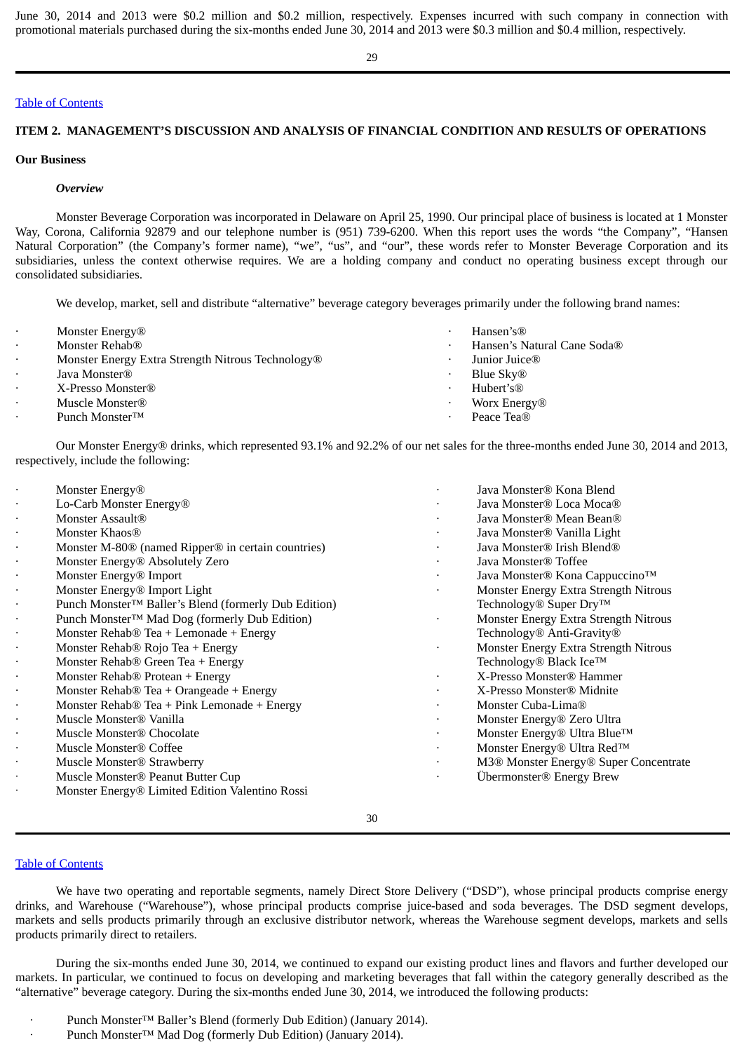June 30, 2014 and 2013 were \$0.2 million and \$0.2 million, respectively. Expenses incurred with such company in connection with promotional materials purchased during the six-months ended June 30, 2014 and 2013 were \$0.3 million and \$0.4 million, respectively.

<span id="page-19-0"></span>29

### Table of [Contents](#page-0-0)

### **ITEM 2. MANAGEMENT'S DISCUSSION AND ANALYSIS OF FINANCIAL CONDITION AND RESULTS OF OPERATIONS**

#### **Our Business**

#### *Overview*

Monster Beverage Corporation was incorporated in Delaware on April 25, 1990. Our principal place of business is located at 1 Monster Way, Corona, California 92879 and our telephone number is (951) 739-6200. When this report uses the words "the Company", "Hansen Natural Corporation" (the Company's former name), "we", "us", and "our", these words refer to Monster Beverage Corporation and its subsidiaries, unless the context otherwise requires. We are a holding company and conduct no operating business except through our consolidated subsidiaries.

We develop, market, sell and distribute "alternative" beverage category beverages primarily under the following brand names:

| $\bullet$ | Monster Energy <sup>®</sup>                       | Hansen's $R$                |
|-----------|---------------------------------------------------|-----------------------------|
| $\bullet$ | Monster Rehab <sup>®</sup>                        | Hansen's Natural Cane Soda® |
| $\bullet$ | Monster Energy Extra Strength Nitrous Technology® | Junior Juice®               |
| $\bullet$ | Java Monster®                                     | Blue Sky®                   |
| $\bullet$ | X-Presso Monster®                                 | Hubert's <sup>®</sup>       |
| $\cdot$   | Muscle Monster®                                   | Worx Energy®                |
| $\cdot$   | Punch Monster™                                    | Peace Tea®                  |

Our Monster Energy® drinks, which represented 93.1% and 92.2% of our net sales for the three-months ended June 30, 2014 and 2013, respectively, include the following:

|           | Monster Energy <sup>®</sup>                                                |           | Java Monster® Kona Blend              |
|-----------|----------------------------------------------------------------------------|-----------|---------------------------------------|
| $\bullet$ | Lo-Carb Monster Energy®                                                    |           | Java Monster® Loca Moca®              |
| $\bullet$ | Monster Assault®                                                           |           | Java Monster® Mean Bean®              |
| $\bullet$ | Monster Khaos®                                                             | $\bullet$ | Java Monster® Vanilla Light           |
| $\bullet$ | Monster M-80 <sup>®</sup> (named Ripper <sup>®</sup> in certain countries) |           | Java Monster® Irish Blend®            |
| $\bullet$ | Monster Energy® Absolutely Zero                                            | $\bullet$ | Java Monster® Toffee                  |
| $\bullet$ | Monster Energy® Import                                                     | $\bullet$ | Java Monster® Kona Cappuccino™        |
| $\bullet$ | Monster Energy® Import Light                                               |           | Monster Energy Extra Strength Nitrous |
| $\bullet$ | Punch Monster™ Baller's Blend (formerly Dub Edition)                       |           | Technology® Super Dry™                |
| $\bullet$ | Punch Monster™ Mad Dog (formerly Dub Edition)                              | $\bullet$ | Monster Energy Extra Strength Nitrous |
| $\bullet$ | Monster Rehab® Tea + Lemonade + Energy                                     |           | Technology® Anti-Gravity®             |
| $\bullet$ | Monster Rehab <sup>®</sup> Rojo Tea + Energy                               | $\bullet$ | Monster Energy Extra Strength Nitrous |
| $\bullet$ | Monster Rehab® Green Tea + Energy                                          |           | Technology® Black Ice™                |
| $\bullet$ | Monster Rehab <sup>®</sup> Protean + Energy                                | $\bullet$ | X-Presso Monster® Hammer              |
| $\bullet$ | Monster Rehab® Tea + Orangeade + Energy                                    | $\bullet$ | X-Presso Monster® Midnite             |
| $\bullet$ | Monster Rehab® Tea + Pink Lemonade + Energy                                |           | Monster Cuba-Lima®                    |
| $\bullet$ | Muscle Monster® Vanilla                                                    |           | Monster Energy® Zero Ultra            |
| $\bullet$ | Muscle Monster® Chocolate                                                  | $\bullet$ | Monster Energy® Ultra Blue™           |
| $\bullet$ | Muscle Monster® Coffee                                                     | $\bullet$ | Monster Energy® Ultra Red™            |
| $\bullet$ | Muscle Monster® Strawberry                                                 |           | M3® Monster Energy® Super Concentrate |
| $\bullet$ | Muscle Monster® Peanut Butter Cup                                          | $\bullet$ | Übermonster <sup>®</sup> Energy Brew  |
|           | Monster Energy® Limited Edition Valentino Rossi                            |           |                                       |

#### 30

#### Table of [Contents](#page-0-0)

We have two operating and reportable segments, namely Direct Store Delivery ("DSD"), whose principal products comprise energy drinks, and Warehouse ("Warehouse"), whose principal products comprise juice-based and soda beverages. The DSD segment develops, markets and sells products primarily through an exclusive distributor network, whereas the Warehouse segment develops, markets and sells products primarily direct to retailers.

During the six-months ended June 30, 2014, we continued to expand our existing product lines and flavors and further developed our markets. In particular, we continued to focus on developing and marketing beverages that fall within the category generally described as the "alternative" beverage category. During the six-months ended June 30, 2014, we introduced the following products:

- · Punch Monster™ Baller's Blend (formerly Dub Edition) (January 2014).
- Punch Monster™ Mad Dog (formerly Dub Edition) (January 2014).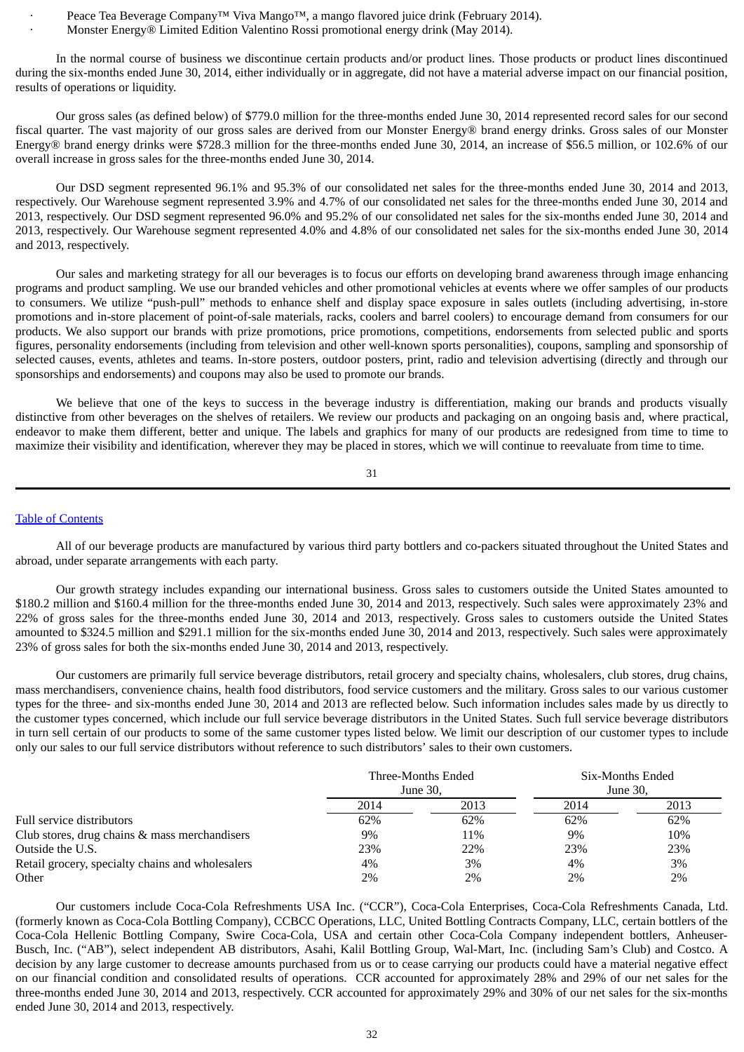- Peace Tea Beverage Company™ Viva Mango™, a mango flavored juice drink (February 2014).
- · Monster Energy® Limited Edition Valentino Rossi promotional energy drink (May 2014).

In the normal course of business we discontinue certain products and/or product lines. Those products or product lines discontinued during the six-months ended June 30, 2014, either individually or in aggregate, did not have a material adverse impact on our financial position, results of operations or liquidity.

Our gross sales (as defined below) of \$779.0 million for the three-months ended June 30, 2014 represented record sales for our second fiscal quarter. The vast majority of our gross sales are derived from our Monster Energy® brand energy drinks. Gross sales of our Monster Energy® brand energy drinks were \$728.3 million for the three-months ended June 30, 2014, an increase of \$56.5 million, or 102.6% of our overall increase in gross sales for the three-months ended June 30, 2014.

Our DSD segment represented 96.1% and 95.3% of our consolidated net sales for the three-months ended June 30, 2014 and 2013, respectively. Our Warehouse segment represented 3.9% and 4.7% of our consolidated net sales for the three-months ended June 30, 2014 and 2013, respectively. Our DSD segment represented 96.0% and 95.2% of our consolidated net sales for the six-months ended June 30, 2014 and 2013, respectively. Our Warehouse segment represented 4.0% and 4.8% of our consolidated net sales for the six-months ended June 30, 2014 and 2013, respectively.

Our sales and marketing strategy for all our beverages is to focus our efforts on developing brand awareness through image enhancing programs and product sampling. We use our branded vehicles and other promotional vehicles at events where we offer samples of our products to consumers. We utilize "push-pull" methods to enhance shelf and display space exposure in sales outlets (including advertising, in-store promotions and in-store placement of point-of-sale materials, racks, coolers and barrel coolers) to encourage demand from consumers for our products. We also support our brands with prize promotions, price promotions, competitions, endorsements from selected public and sports figures, personality endorsements (including from television and other well-known sports personalities), coupons, sampling and sponsorship of selected causes, events, athletes and teams. In-store posters, outdoor posters, print, radio and television advertising (directly and through our sponsorships and endorsements) and coupons may also be used to promote our brands.

We believe that one of the keys to success in the beverage industry is differentiation, making our brands and products visually distinctive from other beverages on the shelves of retailers. We review our products and packaging on an ongoing basis and, where practical, endeavor to make them different, better and unique. The labels and graphics for many of our products are redesigned from time to time to maximize their visibility and identification, wherever they may be placed in stores, which we will continue to reevaluate from time to time.

31

#### Table of [Contents](#page-0-0)

All of our beverage products are manufactured by various third party bottlers and co-packers situated throughout the United States and abroad, under separate arrangements with each party.

Our growth strategy includes expanding our international business. Gross sales to customers outside the United States amounted to \$180.2 million and \$160.4 million for the three-months ended June 30, 2014 and 2013, respectively. Such sales were approximately 23% and 22% of gross sales for the three-months ended June 30, 2014 and 2013, respectively. Gross sales to customers outside the United States amounted to \$324.5 million and \$291.1 million for the six-months ended June 30, 2014 and 2013, respectively. Such sales were approximately 23% of gross sales for both the six-months ended June 30, 2014 and 2013, respectively.

Our customers are primarily full service beverage distributors, retail grocery and specialty chains, wholesalers, club stores, drug chains, mass merchandisers, convenience chains, health food distributors, food service customers and the military. Gross sales to our various customer types for the three- and six-months ended June 30, 2014 and 2013 are reflected below. Such information includes sales made by us directly to the customer types concerned, which include our full service beverage distributors in the United States. Such full service beverage distributors in turn sell certain of our products to some of the same customer types listed below. We limit our description of our customer types to include only our sales to our full service distributors without reference to such distributors' sales to their own customers.

|                                                  | Three-Months Ended<br>June 30, |      | June 30, | Six-Months Ended |
|--------------------------------------------------|--------------------------------|------|----------|------------------|
|                                                  | 2014                           | 2013 | 2014     | 2013             |
| Full service distributors                        | 62%                            | 62%  | 62%      | 62%              |
| Club stores, drug chains & mass merchandisers    | 9%                             | 11%  | 9%       | 10%              |
| Outside the U.S.                                 | 23%                            | 22%  | 23%      | 23%              |
| Retail grocery, specialty chains and wholesalers | 4%                             | 3%   | 4%       | 3%               |
| Other                                            | 2%                             | 2%   | 2%       | 2%               |

Our customers include Coca-Cola Refreshments USA Inc. ("CCR"), Coca-Cola Enterprises, Coca-Cola Refreshments Canada, Ltd. (formerly known as Coca-Cola Bottling Company), CCBCC Operations, LLC, United Bottling Contracts Company, LLC, certain bottlers of the Coca-Cola Hellenic Bottling Company, Swire Coca-Cola, USA and certain other Coca-Cola Company independent bottlers, Anheuser-Busch, Inc. ("AB"), select independent AB distributors, Asahi, Kalil Bottling Group, Wal-Mart, Inc. (including Sam's Club) and Costco. A decision by any large customer to decrease amounts purchased from us or to cease carrying our products could have a material negative effect on our financial condition and consolidated results of operations. CCR accounted for approximately 28% and 29% of our net sales for the three-months ended June 30, 2014 and 2013, respectively. CCR accounted for approximately 29% and 30% of our net sales for the six-months ended June 30, 2014 and 2013, respectively.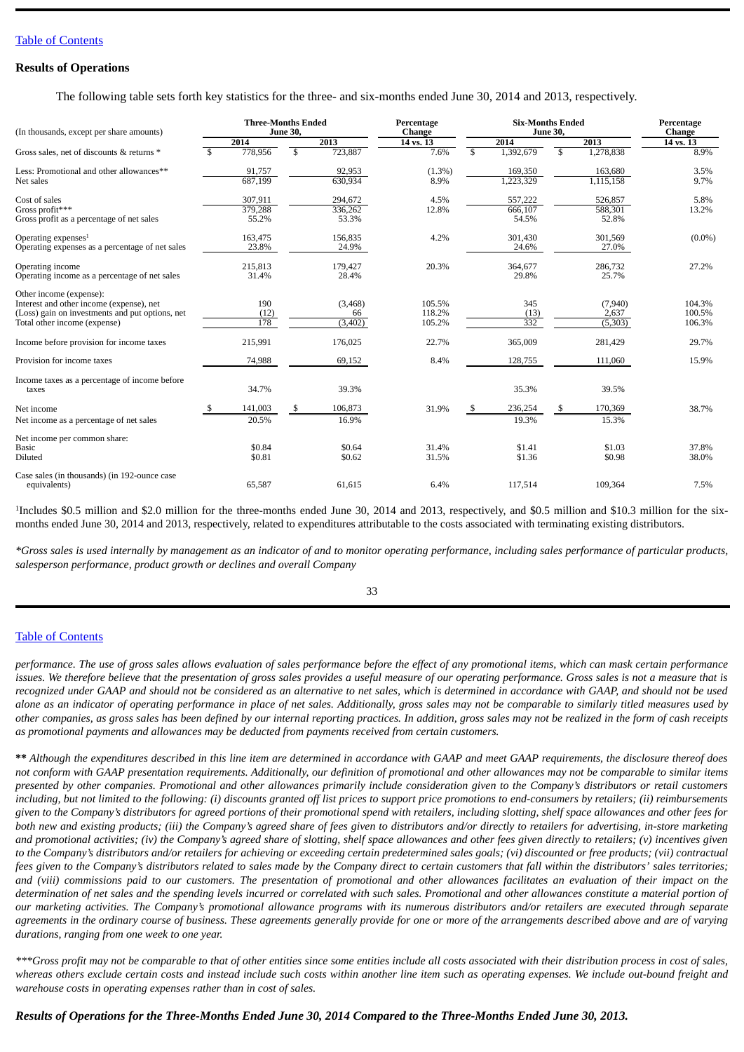#### Table of [Contents](#page-0-0)

#### **Results of Operations**

The following table sets forth key statistics for the three- and six-months ended June 30, 2014 and 2013, respectively.

| (In thousands, except per share amounts)        | <b>Three-Months Ended</b><br><b>June 30,</b> |         |    | Percentage<br>Change |           | <b>Six-Months Ended</b><br><b>June 30,</b> | Percentage<br><b>Change</b> |    |           |           |
|-------------------------------------------------|----------------------------------------------|---------|----|----------------------|-----------|--------------------------------------------|-----------------------------|----|-----------|-----------|
|                                                 | 2014                                         |         |    | 2013                 | 14 vs. 13 |                                            | 2014                        |    | 2013      | 14 vs. 13 |
| Gross sales, net of discounts & returns *       | -S                                           | 778,956 | \$ | 723,887              | 7.6%      | \$                                         | 1,392,679                   | \$ | 1,278,838 | 8.9%      |
| Less: Promotional and other allowances**        |                                              | 91,757  |    | 92,953               | $(1.3\%)$ |                                            | 169,350                     |    | 163,680   | 3.5%      |
| Net sales                                       |                                              | 687,199 |    | 630,934              | 8.9%      |                                            | 1,223,329                   |    | 1,115,158 | 9.7%      |
| Cost of sales                                   |                                              | 307.911 |    | 294,672              | 4.5%      |                                            | 557,222                     |    | 526,857   | 5.8%      |
| Gross profit***                                 |                                              | 379,288 |    | 336,262              | 12.8%     |                                            | 666,107                     |    | 588,301   | 13.2%     |
| Gross profit as a percentage of net sales       |                                              | 55.2%   |    | 53.3%                |           |                                            | 54.5%                       |    | 52.8%     |           |
| Operating expenses <sup>1</sup>                 |                                              | 163,475 |    | 156,835              | 4.2%      |                                            | 301,430                     |    | 301,569   | $(0.0\%)$ |
| Operating expenses as a percentage of net sales |                                              | 23.8%   |    | 24.9%                |           |                                            | 24.6%                       |    | 27.0%     |           |
| Operating income                                |                                              | 215,813 |    | 179,427              | 20.3%     |                                            | 364,677                     |    | 286,732   | 27.2%     |
| Operating income as a percentage of net sales   |                                              | 31.4%   |    | 28.4%                |           |                                            | 29.8%                       |    | 25.7%     |           |
| Other income (expense):                         |                                              |         |    |                      |           |                                            |                             |    |           |           |
| Interest and other income (expense), net        |                                              | 190     |    | (3, 468)             | 105.5%    |                                            | 345                         |    | (7,940)   | 104.3%    |
| (Loss) gain on investments and put options, net |                                              | (12)    |    | 66                   | 118.2%    |                                            | (13)                        |    | 2,637     | 100.5%    |
| Total other income (expense)                    |                                              | 178     |    | (3,402)              | 105.2%    |                                            | 332                         |    | (5,303)   | 106.3%    |
| Income before provision for income taxes        |                                              | 215,991 |    | 176,025              | 22.7%     |                                            | 365,009                     |    | 281,429   | 29.7%     |
| Provision for income taxes                      |                                              | 74,988  |    | 69,152               | 8.4%      |                                            | 128,755                     |    | 111,060   | 15.9%     |
| Income taxes as a percentage of income before   |                                              |         |    |                      |           |                                            |                             |    |           |           |
| taxes                                           |                                              | 34.7%   |    | 39.3%                |           |                                            | 35.3%                       |    | 39.5%     |           |
| Net income                                      | \$                                           | 141,003 | -S | 106,873              | 31.9%     | S                                          | 236,254                     | S  | 170,369   | 38.7%     |
| Net income as a percentage of net sales         |                                              | 20.5%   |    | 16.9%                |           |                                            | 19.3%                       |    | 15.3%     |           |
| Net income per common share:                    |                                              |         |    |                      |           |                                            |                             |    |           |           |
| <b>Basic</b>                                    |                                              | \$0.84  |    | \$0.64               | 31.4%     |                                            | \$1.41                      |    | \$1.03    | 37.8%     |
| Diluted                                         |                                              | \$0.81  |    | \$0.62               | 31.5%     |                                            | \$1.36                      |    | \$0.98    | 38.0%     |
| Case sales (in thousands) (in 192-ounce case    |                                              |         |    |                      |           |                                            |                             |    |           |           |
| equivalents)                                    |                                              | 65,587  |    | 61,615               | 6.4%      |                                            | 117,514                     |    | 109,364   | 7.5%      |

<sup>1</sup>Includes \$0.5 million and \$2.0 million for the three-months ended June 30, 2014 and 2013, respectively, and \$0.5 million and \$10.3 million for the sixmonths ended June 30, 2014 and 2013, respectively, related to expenditures attributable to the costs associated with terminating existing distributors.

\*Gross sales is used internally by management as an indicator of and to monitor operating performance, including sales performance of particular products, *salesperson performance, product growth or declines and overall Company*

33

#### Table of [Contents](#page-0-0)

performance. The use of gross sales allows evaluation of sales performance before the effect of any promotional items, which can mask certain performance issues. We therefore believe that the presentation of gross sales provides a useful measure of our operating performance. Gross sales is not a measure that is recognized under GAAP and should not be considered as an alternative to net sales, which is determined in accordance with GAAP, and should not be used alone as an indicator of operating performance in place of net sales. Additionally, gross sales may not be comparable to similarly titled measures used by other companies, as gross sales has been defined by our internal reporting practices. In addition, gross sales may not be realized in the form of cash receipts *as promotional payments and allowances may be deducted from payments received from certain customers.*

\*\* Although the expenditures described in this line item are determined in accordance with GAAP and meet GAAP requirements, the disclosure thereof does not conform with GAAP presentation requirements. Additionally, our definition of promotional and other allowances may not be comparable to similar items presented by other companies. Promotional and other allowances primarily include consideration given to the Company's distributors or retail customers including, but not limited to the following: (i) discounts granted off list prices to support price promotions to end-consumers by retailers; (ii) reimbursements given to the Company's distributors for agreed portions of their promotional spend with retailers, including slotting, shelf space allowances and other fees for both new and existing products; (iii) the Company's agreed share of fees given to distributors and/or directly to retailers for advertising, in-store marketing and promotional activities; (iv) the Company's agreed share of slotting, shelf space allowances and other fees given directly to retailers; (v) incentives given to the Company's distributors and/or retailers for achieving or exceeding certain predetermined sales goals; (vi) discounted or free products; (vii) contractual fees given to the Company's distributors related to sales made by the Company direct to certain customers that fall within the distributors' sales territories; and (viii) commissions paid to our customers. The presentation of promotional and other allowances facilitates an evaluation of their impact on the determination of net sales and the spending levels incurred or correlated with such sales. Promotional and other allowances constitute a material portion of our marketing activities. The Company's promotional allowance programs with its numerous distributors and/or retailers are executed through separate agreements in the ordinary course of business. These agreements generally provide for one or more of the arrangements described above and are of varying *durations, ranging from one week to one year.*

\*\*\*Gross profit may not be comparable to that of other entities since some entities include all costs associated with their distribution process in cost of sales, whereas others exclude certain costs and instead include such costs within another line item such as operating expenses. We include out-bound freight and *warehouse costs in operating expenses rather than in cost of sales.*

Results of Operations for the Three-Months Ended June 30, 2014 Compared to the Three-Months Ended June 30, 2013.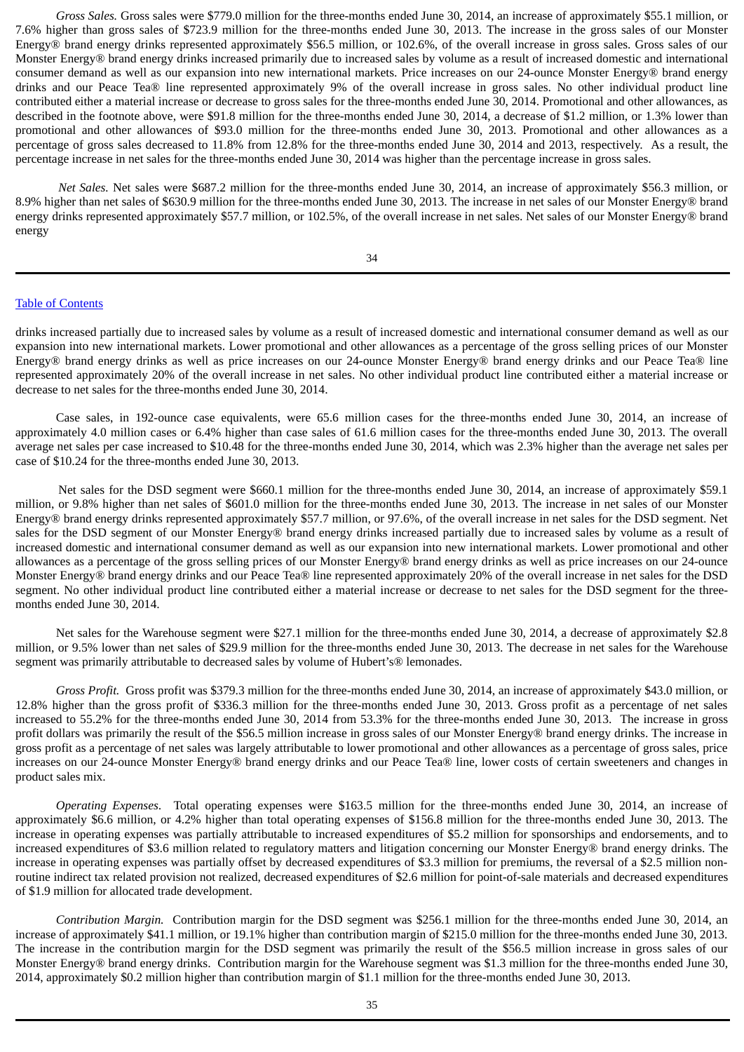*Gross Sales.* Gross sales were \$779.0 million for the three-months ended June 30, 2014, an increase of approximately \$55.1 million, or 7.6% higher than gross sales of \$723.9 million for the three-months ended June 30, 2013. The increase in the gross sales of our Monster Energy® brand energy drinks represented approximately \$56.5 million, or 102.6%, of the overall increase in gross sales. Gross sales of our Monster Energy® brand energy drinks increased primarily due to increased sales by volume as a result of increased domestic and international consumer demand as well as our expansion into new international markets. Price increases on our 24-ounce Monster Energy® brand energy drinks and our Peace Tea® line represented approximately 9% of the overall increase in gross sales. No other individual product line contributed either a material increase or decrease to gross sales for the three-months ended June 30, 2014. Promotional and other allowances, as described in the footnote above, were \$91.8 million for the three-months ended June 30, 2014, a decrease of \$1.2 million, or 1.3% lower than promotional and other allowances of \$93.0 million for the three-months ended June 30, 2013. Promotional and other allowances as a percentage of gross sales decreased to 11.8% from 12.8% for the three-months ended June 30, 2014 and 2013, respectively. As a result, the percentage increase in net sales for the three-months ended June 30, 2014 was higher than the percentage increase in gross sales.

*Net Sales.* Net sales were \$687.2 million for the three-months ended June 30, 2014, an increase of approximately \$56.3 million, or 8.9% higher than net sales of \$630.9 million for the three-months ended June 30, 2013. The increase in net sales of our Monster Energy® brand energy drinks represented approximately \$57.7 million, or 102.5%, of the overall increase in net sales. Net sales of our Monster Energy® brand energy

#### Table of [Contents](#page-0-0)

drinks increased partially due to increased sales by volume as a result of increased domestic and international consumer demand as well as our expansion into new international markets. Lower promotional and other allowances as a percentage of the gross selling prices of our Monster Energy® brand energy drinks as well as price increases on our 24-ounce Monster Energy® brand energy drinks and our Peace Tea® line represented approximately 20% of the overall increase in net sales. No other individual product line contributed either a material increase or decrease to net sales for the three-months ended June 30, 2014.

Case sales, in 192-ounce case equivalents, were 65.6 million cases for the three-months ended June 30, 2014, an increase of approximately 4.0 million cases or 6.4% higher than case sales of 61.6 million cases for the three-months ended June 30, 2013. The overall average net sales per case increased to \$10.48 for the three-months ended June 30, 2014, which was 2.3% higher than the average net sales per case of \$10.24 for the three-months ended June 30, 2013.

Net sales for the DSD segment were \$660.1 million for the three-months ended June 30, 2014, an increase of approximately \$59.1 million, or 9.8% higher than net sales of \$601.0 million for the three-months ended June 30, 2013. The increase in net sales of our Monster Energy® brand energy drinks represented approximately \$57.7 million, or 97.6%, of the overall increase in net sales for the DSD segment. Net sales for the DSD segment of our Monster Energy® brand energy drinks increased partially due to increased sales by volume as a result of increased domestic and international consumer demand as well as our expansion into new international markets. Lower promotional and other allowances as a percentage of the gross selling prices of our Monster Energy® brand energy drinks as well as price increases on our 24-ounce Monster Energy® brand energy drinks and our Peace Tea® line represented approximately 20% of the overall increase in net sales for the DSD segment. No other individual product line contributed either a material increase or decrease to net sales for the DSD segment for the threemonths ended June 30, 2014.

Net sales for the Warehouse segment were \$27.1 million for the three-months ended June 30, 2014, a decrease of approximately \$2.8 million, or 9.5% lower than net sales of \$29.9 million for the three-months ended June 30, 2013. The decrease in net sales for the Warehouse segment was primarily attributable to decreased sales by volume of Hubert's® lemonades.

*Gross Profit.* Gross profit was \$379.3 million for the three-months ended June 30, 2014, an increase of approximately \$43.0 million, or 12.8% higher than the gross profit of \$336.3 million for the three-months ended June 30, 2013. Gross profit as a percentage of net sales increased to 55.2% for the three-months ended June 30, 2014 from 53.3% for the three-months ended June 30, 2013. The increase in gross profit dollars was primarily the result of the \$56.5 million increase in gross sales of our Monster Energy® brand energy drinks. The increase in gross profit as a percentage of net sales was largely attributable to lower promotional and other allowances as a percentage of gross sales, price increases on our 24-ounce Monster Energy® brand energy drinks and our Peace Tea® line, lower costs of certain sweeteners and changes in product sales mix.

*Operating Expenses*. Total operating expenses were \$163.5 million for the three-months ended June 30, 2014, an increase of approximately \$6.6 million, or 4.2% higher than total operating expenses of \$156.8 million for the three-months ended June 30, 2013. The increase in operating expenses was partially attributable to increased expenditures of \$5.2 million for sponsorships and endorsements, and to increased expenditures of \$3.6 million related to regulatory matters and litigation concerning our Monster Energy® brand energy drinks. The increase in operating expenses was partially offset by decreased expenditures of \$3.3 million for premiums, the reversal of a \$2.5 million nonroutine indirect tax related provision not realized, decreased expenditures of \$2.6 million for point-of-sale materials and decreased expenditures of \$1.9 million for allocated trade development.

*Contribution Margin.* Contribution margin for the DSD segment was \$256.1 million for the three-months ended June 30, 2014, an increase of approximately \$41.1 million, or 19.1% higher than contribution margin of \$215.0 million for the three-months ended June 30, 2013. The increase in the contribution margin for the DSD segment was primarily the result of the \$56.5 million increase in gross sales of our Monster Energy® brand energy drinks. Contribution margin for the Warehouse segment was \$1.3 million for the three-months ended June 30, 2014, approximately \$0.2 million higher than contribution margin of \$1.1 million for the three-months ended June 30, 2013.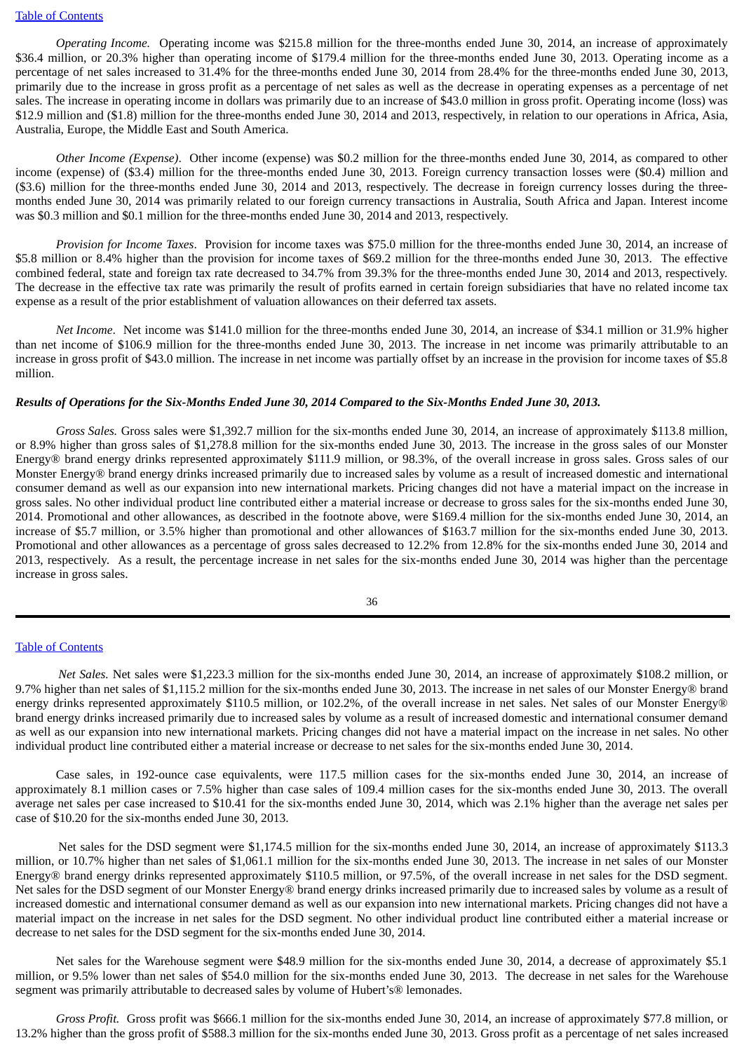*Operating Income.* Operating income was \$215.8 million for the three-months ended June 30, 2014, an increase of approximately \$36.4 million, or 20.3% higher than operating income of \$179.4 million for the three-months ended June 30, 2013. Operating income as a percentage of net sales increased to 31.4% for the three-months ended June 30, 2014 from 28.4% for the three-months ended June 30, 2013, primarily due to the increase in gross profit as a percentage of net sales as well as the decrease in operating expenses as a percentage of net sales. The increase in operating income in dollars was primarily due to an increase of \$43.0 million in gross profit. Operating income (loss) was \$12.9 million and (\$1.8) million for the three-months ended June 30, 2014 and 2013, respectively, in relation to our operations in Africa, Asia, Australia, Europe, the Middle East and South America.

*Other Income (Expense)*. Other income (expense) was \$0.2 million for the three-months ended June 30, 2014, as compared to other income (expense) of (\$3.4) million for the three-months ended June 30, 2013. Foreign currency transaction losses were (\$0.4) million and (\$3.6) million for the three-months ended June 30, 2014 and 2013, respectively. The decrease in foreign currency losses during the threemonths ended June 30, 2014 was primarily related to our foreign currency transactions in Australia, South Africa and Japan. Interest income was \$0.3 million and \$0.1 million for the three-months ended June 30, 2014 and 2013, respectively.

*Provision for Income Taxes*. Provision for income taxes was \$75.0 million for the three-months ended June 30, 2014, an increase of \$5.8 million or 8.4% higher than the provision for income taxes of \$69.2 million for the three-months ended June 30, 2013. The effective combined federal, state and foreign tax rate decreased to 34.7% from 39.3% for the three-months ended June 30, 2014 and 2013, respectively. The decrease in the effective tax rate was primarily the result of profits earned in certain foreign subsidiaries that have no related income tax expense as a result of the prior establishment of valuation allowances on their deferred tax assets.

*Net Income*. Net income was \$141.0 million for the three-months ended June 30, 2014, an increase of \$34.1 million or 31.9% higher than net income of \$106.9 million for the three-months ended June 30, 2013. The increase in net income was primarily attributable to an increase in gross profit of \$43.0 million. The increase in net income was partially offset by an increase in the provision for income taxes of \$5.8 million.

#### Results of Operations for the Six-Months Ended June 30, 2014 Compared to the Six-Months Ended June 30, 2013.

*Gross Sales.* Gross sales were \$1,392.7 million for the six-months ended June 30, 2014, an increase of approximately \$113.8 million, or 8.9% higher than gross sales of \$1,278.8 million for the six-months ended June 30, 2013. The increase in the gross sales of our Monster Energy® brand energy drinks represented approximately \$111.9 million, or 98.3%, of the overall increase in gross sales. Gross sales of our Monster Energy® brand energy drinks increased primarily due to increased sales by volume as a result of increased domestic and international consumer demand as well as our expansion into new international markets. Pricing changes did not have a material impact on the increase in gross sales. No other individual product line contributed either a material increase or decrease to gross sales for the six-months ended June 30, 2014. Promotional and other allowances, as described in the footnote above, were \$169.4 million for the six-months ended June 30, 2014, an increase of \$5.7 million, or 3.5% higher than promotional and other allowances of \$163.7 million for the six-months ended June 30, 2013. Promotional and other allowances as a percentage of gross sales decreased to 12.2% from 12.8% for the six-months ended June 30, 2014 and 2013, respectively. As a result, the percentage increase in net sales for the six-months ended June 30, 2014 was higher than the percentage increase in gross sales.

36

#### Table of [Contents](#page-0-0)

*Net Sales.* Net sales were \$1,223.3 million for the six-months ended June 30, 2014, an increase of approximately \$108.2 million, or 9.7% higher than net sales of \$1,115.2 million for the six-months ended June 30, 2013. The increase in net sales of our Monster Energy® brand energy drinks represented approximately \$110.5 million, or 102.2%, of the overall increase in net sales. Net sales of our Monster Energy® brand energy drinks increased primarily due to increased sales by volume as a result of increased domestic and international consumer demand as well as our expansion into new international markets. Pricing changes did not have a material impact on the increase in net sales. No other individual product line contributed either a material increase or decrease to net sales for the six-months ended June 30, 2014.

Case sales, in 192-ounce case equivalents, were 117.5 million cases for the six-months ended June 30, 2014, an increase of approximately 8.1 million cases or 7.5% higher than case sales of 109.4 million cases for the six-months ended June 30, 2013. The overall average net sales per case increased to \$10.41 for the six-months ended June 30, 2014, which was 2.1% higher than the average net sales per case of \$10.20 for the six-months ended June 30, 2013.

Net sales for the DSD segment were \$1,174.5 million for the six-months ended June 30, 2014, an increase of approximately \$113.3 million, or 10.7% higher than net sales of \$1,061.1 million for the six-months ended June 30, 2013. The increase in net sales of our Monster Energy® brand energy drinks represented approximately \$110.5 million, or 97.5%, of the overall increase in net sales for the DSD segment. Net sales for the DSD segment of our Monster Energy® brand energy drinks increased primarily due to increased sales by volume as a result of increased domestic and international consumer demand as well as our expansion into new international markets. Pricing changes did not have a material impact on the increase in net sales for the DSD segment. No other individual product line contributed either a material increase or decrease to net sales for the DSD segment for the six-months ended June 30, 2014.

Net sales for the Warehouse segment were \$48.9 million for the six-months ended June 30, 2014, a decrease of approximately \$5.1 million, or 9.5% lower than net sales of \$54.0 million for the six-months ended June 30, 2013. The decrease in net sales for the Warehouse segment was primarily attributable to decreased sales by volume of Hubert's® lemonades.

*Gross Profit.* Gross profit was \$666.1 million for the six-months ended June 30, 2014, an increase of approximately \$77.8 million, or 13.2% higher than the gross profit of \$588.3 million for the six-months ended June 30, 2013. Gross profit as a percentage of net sales increased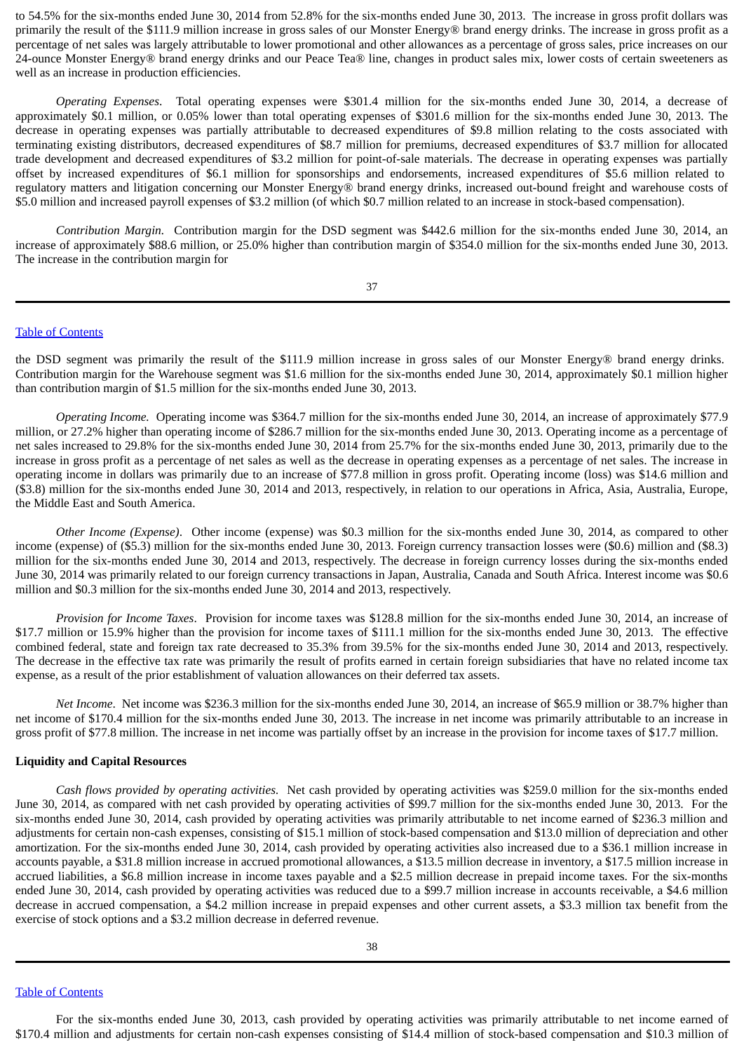to 54.5% for the six-months ended June 30, 2014 from 52.8% for the six-months ended June 30, 2013. The increase in gross profit dollars was primarily the result of the \$111.9 million increase in gross sales of our Monster Energy® brand energy drinks. The increase in gross profit as a percentage of net sales was largely attributable to lower promotional and other allowances as a percentage of gross sales, price increases on our 24-ounce Monster Energy® brand energy drinks and our Peace Tea® line, changes in product sales mix, lower costs of certain sweeteners as well as an increase in production efficiencies.

*Operating Expenses*. Total operating expenses were \$301.4 million for the six-months ended June 30, 2014, a decrease of approximately \$0.1 million, or 0.05% lower than total operating expenses of \$301.6 million for the six-months ended June 30, 2013. The decrease in operating expenses was partially attributable to decreased expenditures of \$9.8 million relating to the costs associated with terminating existing distributors, decreased expenditures of \$8.7 million for premiums, decreased expenditures of \$3.7 million for allocated trade development and decreased expenditures of \$3.2 million for point-of-sale materials. The decrease in operating expenses was partially offset by increased expenditures of \$6.1 million for sponsorships and endorsements, increased expenditures of \$5.6 million related to regulatory matters and litigation concerning our Monster Energy® brand energy drinks, increased out-bound freight and warehouse costs of \$5.0 million and increased payroll expenses of \$3.2 million (of which \$0.7 million related to an increase in stock-based compensation).

*Contribution Margin.* Contribution margin for the DSD segment was \$442.6 million for the six-months ended June 30, 2014, an increase of approximately \$88.6 million, or 25.0% higher than contribution margin of \$354.0 million for the six-months ended June 30, 2013. The increase in the contribution margin for

#### 37

#### Table of [Contents](#page-0-0)

the DSD segment was primarily the result of the \$111.9 million increase in gross sales of our Monster Energy® brand energy drinks. Contribution margin for the Warehouse segment was \$1.6 million for the six-months ended June 30, 2014, approximately \$0.1 million higher than contribution margin of \$1.5 million for the six-months ended June 30, 2013.

*Operating Income.* Operating income was \$364.7 million for the six-months ended June 30, 2014, an increase of approximately \$77.9 million, or 27.2% higher than operating income of \$286.7 million for the six-months ended June 30, 2013. Operating income as a percentage of net sales increased to 29.8% for the six-months ended June 30, 2014 from 25.7% for the six-months ended June 30, 2013, primarily due to the increase in gross profit as a percentage of net sales as well as the decrease in operating expenses as a percentage of net sales. The increase in operating income in dollars was primarily due to an increase of \$77.8 million in gross profit. Operating income (loss) was \$14.6 million and (\$3.8) million for the six-months ended June 30, 2014 and 2013, respectively, in relation to our operations in Africa, Asia, Australia, Europe, the Middle East and South America.

*Other Income (Expense)*. Other income (expense) was \$0.3 million for the six-months ended June 30, 2014, as compared to other income (expense) of (\$5.3) million for the six-months ended June 30, 2013. Foreign currency transaction losses were (\$0.6) million and (\$8.3) million for the six-months ended June 30, 2014 and 2013, respectively. The decrease in foreign currency losses during the six-months ended June 30, 2014 was primarily related to our foreign currency transactions in Japan, Australia, Canada and South Africa. Interest income was \$0.6 million and \$0.3 million for the six-months ended June 30, 2014 and 2013, respectively.

*Provision for Income Taxes*. Provision for income taxes was \$128.8 million for the six-months ended June 30, 2014, an increase of \$17.7 million or 15.9% higher than the provision for income taxes of \$111.1 million for the six-months ended June 30, 2013. The effective combined federal, state and foreign tax rate decreased to 35.3% from 39.5% for the six-months ended June 30, 2014 and 2013, respectively. The decrease in the effective tax rate was primarily the result of profits earned in certain foreign subsidiaries that have no related income tax expense, as a result of the prior establishment of valuation allowances on their deferred tax assets.

*Net Income*. Net income was \$236.3 million for the six-months ended June 30, 2014, an increase of \$65.9 million or 38.7% higher than net income of \$170.4 million for the six-months ended June 30, 2013. The increase in net income was primarily attributable to an increase in gross profit of \$77.8 million. The increase in net income was partially offset by an increase in the provision for income taxes of \$17.7 million.

#### **Liquidity and Capital Resources**

*Cash flows provided by operating activities.* Net cash provided by operating activities was \$259.0 million for the six-months ended June 30, 2014, as compared with net cash provided by operating activities of \$99.7 million for the six-months ended June 30, 2013. For the six-months ended June 30, 2014, cash provided by operating activities was primarily attributable to net income earned of \$236.3 million and adjustments for certain non-cash expenses, consisting of \$15.1 million of stock-based compensation and \$13.0 million of depreciation and other amortization. For the six-months ended June 30, 2014, cash provided by operating activities also increased due to a \$36.1 million increase in accounts payable, a \$31.8 million increase in accrued promotional allowances, a \$13.5 million decrease in inventory, a \$17.5 million increase in accrued liabilities, a \$6.8 million increase in income taxes payable and a \$2.5 million decrease in prepaid income taxes. For the six-months ended June 30, 2014, cash provided by operating activities was reduced due to a \$99.7 million increase in accounts receivable, a \$4.6 million decrease in accrued compensation, a \$4.2 million increase in prepaid expenses and other current assets, a \$3.3 million tax benefit from the exercise of stock options and a \$3.2 million decrease in deferred revenue.

#### Table of [Contents](#page-0-0)

For the six-months ended June 30, 2013, cash provided by operating activities was primarily attributable to net income earned of \$170.4 million and adjustments for certain non-cash expenses consisting of \$14.4 million of stock-based compensation and \$10.3 million of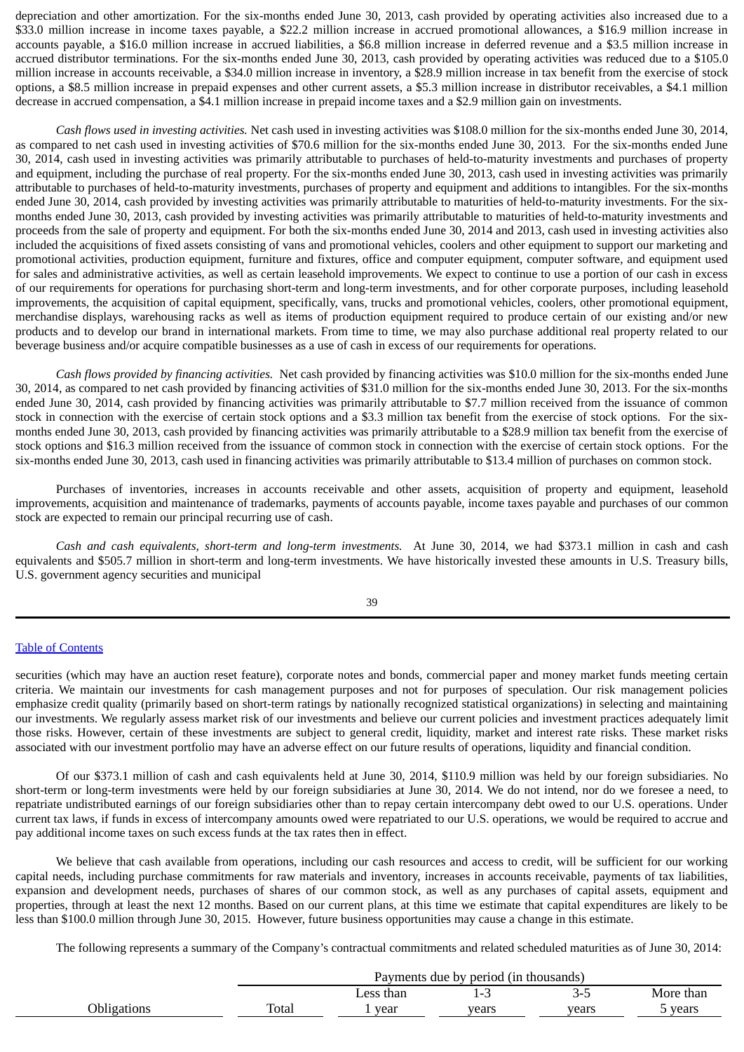depreciation and other amortization. For the six-months ended June 30, 2013, cash provided by operating activities also increased due to a \$33.0 million increase in income taxes payable, a \$22.2 million increase in accrued promotional allowances, a \$16.9 million increase in accounts payable, a \$16.0 million increase in accrued liabilities, a \$6.8 million increase in deferred revenue and a \$3.5 million increase in accrued distributor terminations. For the six-months ended June 30, 2013, cash provided by operating activities was reduced due to a \$105.0 million increase in accounts receivable, a \$34.0 million increase in inventory, a \$28.9 million increase in tax benefit from the exercise of stock options, a \$8.5 million increase in prepaid expenses and other current assets, a \$5.3 million increase in distributor receivables, a \$4.1 million decrease in accrued compensation, a \$4.1 million increase in prepaid income taxes and a \$2.9 million gain on investments.

*Cash flows used in investing activities.* Net cash used in investing activities was \$108.0 million for the six-months ended June 30, 2014, as compared to net cash used in investing activities of \$70.6 million for the six-months ended June 30, 2013. For the six-months ended June 30, 2014, cash used in investing activities was primarily attributable to purchases of held-to-maturity investments and purchases of property and equipment, including the purchase of real property. For the six-months ended June 30, 2013, cash used in investing activities was primarily attributable to purchases of held-to-maturity investments, purchases of property and equipment and additions to intangibles. For the six-months ended June 30, 2014, cash provided by investing activities was primarily attributable to maturities of held-to-maturity investments. For the sixmonths ended June 30, 2013, cash provided by investing activities was primarily attributable to maturities of held-to-maturity investments and proceeds from the sale of property and equipment. For both the six-months ended June 30, 2014 and 2013, cash used in investing activities also included the acquisitions of fixed assets consisting of vans and promotional vehicles, coolers and other equipment to support our marketing and promotional activities, production equipment, furniture and fixtures, office and computer equipment, computer software, and equipment used for sales and administrative activities, as well as certain leasehold improvements. We expect to continue to use a portion of our cash in excess of our requirements for operations for purchasing short-term and long-term investments, and for other corporate purposes, including leasehold improvements, the acquisition of capital equipment, specifically, vans, trucks and promotional vehicles, coolers, other promotional equipment, merchandise displays, warehousing racks as well as items of production equipment required to produce certain of our existing and/or new products and to develop our brand in international markets. From time to time, we may also purchase additional real property related to our beverage business and/or acquire compatible businesses as a use of cash in excess of our requirements for operations.

*Cash flows provided by financing activities.* Net cash provided by financing activities was \$10.0 million for the six-months ended June 30, 2014, as compared to net cash provided by financing activities of \$31.0 million for the six-months ended June 30, 2013. For the six-months ended June 30, 2014, cash provided by financing activities was primarily attributable to \$7.7 million received from the issuance of common stock in connection with the exercise of certain stock options and a \$3.3 million tax benefit from the exercise of stock options. For the sixmonths ended June 30, 2013, cash provided by financing activities was primarily attributable to a \$28.9 million tax benefit from the exercise of stock options and \$16.3 million received from the issuance of common stock in connection with the exercise of certain stock options. For the six-months ended June 30, 2013, cash used in financing activities was primarily attributable to \$13.4 million of purchases on common stock.

Purchases of inventories, increases in accounts receivable and other assets, acquisition of property and equipment, leasehold improvements, acquisition and maintenance of trademarks, payments of accounts payable, income taxes payable and purchases of our common stock are expected to remain our principal recurring use of cash.

*Cash and cash equivalents, short-term and long-term investments.* At June 30, 2014, we had \$373.1 million in cash and cash equivalents and \$505.7 million in short-term and long-term investments. We have historically invested these amounts in U.S. Treasury bills, U.S. government agency securities and municipal

39

#### Table of [Contents](#page-0-0)

securities (which may have an auction reset feature), corporate notes and bonds, commercial paper and money market funds meeting certain criteria. We maintain our investments for cash management purposes and not for purposes of speculation. Our risk management policies emphasize credit quality (primarily based on short-term ratings by nationally recognized statistical organizations) in selecting and maintaining our investments. We regularly assess market risk of our investments and believe our current policies and investment practices adequately limit those risks. However, certain of these investments are subject to general credit, liquidity, market and interest rate risks. These market risks associated with our investment portfolio may have an adverse effect on our future results of operations, liquidity and financial condition.

Of our \$373.1 million of cash and cash equivalents held at June 30, 2014, \$110.9 million was held by our foreign subsidiaries. No short-term or long-term investments were held by our foreign subsidiaries at June 30, 2014. We do not intend, nor do we foresee a need, to repatriate undistributed earnings of our foreign subsidiaries other than to repay certain intercompany debt owed to our U.S. operations. Under current tax laws, if funds in excess of intercompany amounts owed were repatriated to our U.S. operations, we would be required to accrue and pay additional income taxes on such excess funds at the tax rates then in effect.

We believe that cash available from operations, including our cash resources and access to credit, will be sufficient for our working capital needs, including purchase commitments for raw materials and inventory, increases in accounts receivable, payments of tax liabilities, expansion and development needs, purchases of shares of our common stock, as well as any purchases of capital assets, equipment and properties, through at least the next 12 months. Based on our current plans, at this time we estimate that capital expenditures are likely to be less than \$100.0 million through June 30, 2015. However, future business opportunities may cause a change in this estimate.

The following represents a summary of the Company's contractual commitments and related scheduled maturities as of June 30, 2014:

|                    |              | Payments due by period (in thousands) |                 |       |           |  |  |  |  |  |  |
|--------------------|--------------|---------------------------------------|-----------------|-------|-----------|--|--|--|--|--|--|
|                    |              | than<br>Less                          | ч.,<br><b>.</b> |       | More than |  |  |  |  |  |  |
| <b>Obligations</b> | <b>Total</b> | year                                  | vears           | vears | vears     |  |  |  |  |  |  |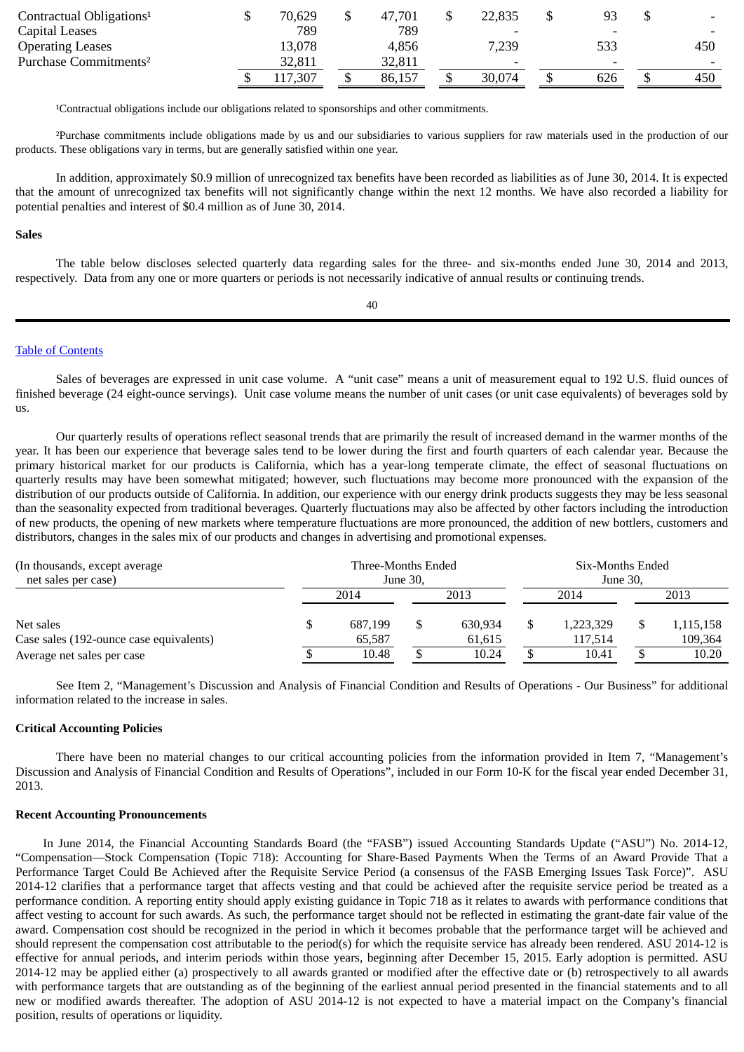| Contractual Obligations <sup>1</sup> | J | 70,629  | 47.701 | 22.835 |                          | ٠   |
|--------------------------------------|---|---------|--------|--------|--------------------------|-----|
| Capital Leases                       |   | 789     | 789    |        | $\overline{\phantom{a}}$ |     |
| <b>Operating Leases</b>              |   | 13,078  | 4,856  | 7.239  | 533                      | 450 |
| Purchase Commitments <sup>2</sup>    |   | 32,811  | 32,811 | $\sim$ | $\overline{\phantom{a}}$ |     |
|                                      |   | 117,307 | 86,157 | 30,074 | 626                      | 450 |

<sup>1</sup>Contractual obligations include our obligations related to sponsorships and other commitments.

²Purchase commitments include obligations made by us and our subsidiaries to various suppliers for raw materials used in the production of our products. These obligations vary in terms, but are generally satisfied within one year.

In addition, approximately \$0.9 million of unrecognized tax benefits have been recorded as liabilities as of June 30, 2014. It is expected that the amount of unrecognized tax benefits will not significantly change within the next 12 months. We have also recorded a liability for potential penalties and interest of \$0.4 million as of June 30, 2014.

#### **Sales**

The table below discloses selected quarterly data regarding sales for the three- and six-months ended June 30, 2014 and 2013, respectively. Data from any one or more quarters or periods is not necessarily indicative of annual results or continuing trends.

40

#### Table of [Contents](#page-0-0)

Sales of beverages are expressed in unit case volume. A "unit case" means a unit of measurement equal to 192 U.S. fluid ounces of finished beverage (24 eight-ounce servings). Unit case volume means the number of unit cases (or unit case equivalents) of beverages sold by us.

Our quarterly results of operations reflect seasonal trends that are primarily the result of increased demand in the warmer months of the year. It has been our experience that beverage sales tend to be lower during the first and fourth quarters of each calendar year. Because the primary historical market for our products is California, which has a year-long temperate climate, the effect of seasonal fluctuations on quarterly results may have been somewhat mitigated; however, such fluctuations may become more pronounced with the expansion of the distribution of our products outside of California. In addition, our experience with our energy drink products suggests they may be less seasonal than the seasonality expected from traditional beverages. Quarterly fluctuations may also be affected by other factors including the introduction of new products, the opening of new markets where temperature fluctuations are more pronounced, the addition of new bottlers, customers and distributors, changes in the sales mix of our products and changes in advertising and promotional expenses.

| (In thousands, except average<br>net sales per case) | Three-Months Ended<br>June 30, |                   |  |                   |      | Six-Months Ended<br>June 30, |      |                      |  |
|------------------------------------------------------|--------------------------------|-------------------|--|-------------------|------|------------------------------|------|----------------------|--|
|                                                      | 2014                           |                   |  | 2013              | 2014 |                              | 2013 |                      |  |
| Net sales<br>Case sales (192-ounce case equivalents) |                                | 687.199<br>65,587 |  | 630.934<br>61,615 | \$   | 1,223,329<br>117,514         | \$   | 1,115,158<br>109,364 |  |
| Average net sales per case                           |                                | 10.48             |  | 10.24             |      | 10.41                        |      | 10.20                |  |

See Item 2, "Management's Discussion and Analysis of Financial Condition and Results of Operations - Our Business" for additional information related to the increase in sales.

#### **Critical Accounting Policies**

There have been no material changes to our critical accounting policies from the information provided in Item 7, "Management's Discussion and Analysis of Financial Condition and Results of Operations", included in our Form 10-K for the fiscal year ended December 31, 2013.

#### **Recent Accounting Pronouncements**

In June 2014, the Financial Accounting Standards Board (the "FASB") issued Accounting Standards Update ("ASU") No. 2014-12, "Compensation—Stock Compensation (Topic 718): Accounting for Share-Based Payments When the Terms of an Award Provide That a Performance Target Could Be Achieved after the Requisite Service Period (a consensus of the FASB Emerging Issues Task Force)". ASU 2014-12 clarifies that a performance target that affects vesting and that could be achieved after the requisite service period be treated as a performance condition. A reporting entity should apply existing guidance in Topic 718 as it relates to awards with performance conditions that affect vesting to account for such awards. As such, the performance target should not be reflected in estimating the grant-date fair value of the award. Compensation cost should be recognized in the period in which it becomes probable that the performance target will be achieved and should represent the compensation cost attributable to the period(s) for which the requisite service has already been rendered. ASU 2014-12 is effective for annual periods, and interim periods within those years, beginning after December 15, 2015. Early adoption is permitted. ASU 2014-12 may be applied either (a) prospectively to all awards granted or modified after the effective date or (b) retrospectively to all awards with performance targets that are outstanding as of the beginning of the earliest annual period presented in the financial statements and to all new or modified awards thereafter. The adoption of ASU 2014-12 is not expected to have a material impact on the Company's financial position, results of operations or liquidity.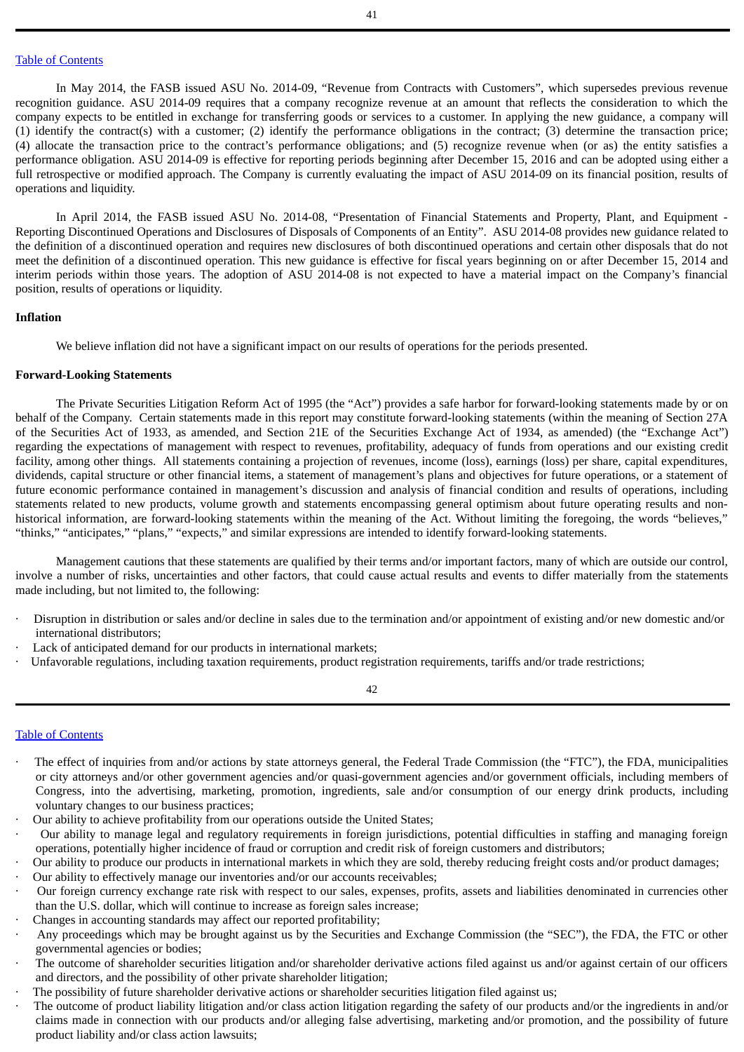#### Table of [Contents](#page-0-0)

In May 2014, the FASB issued ASU No. 2014-09, "Revenue from Contracts with Customers", which supersedes previous revenue recognition guidance. ASU 2014-09 requires that a company recognize revenue at an amount that reflects the consideration to which the company expects to be entitled in exchange for transferring goods or services to a customer. In applying the new guidance, a company will (1) identify the contract(s) with a customer; (2) identify the performance obligations in the contract; (3) determine the transaction price; (4) allocate the transaction price to the contract's performance obligations; and (5) recognize revenue when (or as) the entity satisfies a performance obligation. ASU 2014-09 is effective for reporting periods beginning after December 15, 2016 and can be adopted using either a full retrospective or modified approach. The Company is currently evaluating the impact of ASU 2014-09 on its financial position, results of operations and liquidity.

In April 2014, the FASB issued ASU No. 2014-08, "Presentation of Financial Statements and Property, Plant, and Equipment - Reporting Discontinued Operations and Disclosures of Disposals of Components of an Entity". ASU 2014-08 provides new guidance related to the definition of a discontinued operation and requires new disclosures of both discontinued operations and certain other disposals that do not meet the definition of a discontinued operation. This new guidance is effective for fiscal years beginning on or after December 15, 2014 and interim periods within those years. The adoption of ASU 2014-08 is not expected to have a material impact on the Company's financial position, results of operations or liquidity.

#### **Inflation**

We believe inflation did not have a significant impact on our results of operations for the periods presented.

### **Forward-Looking Statements**

The Private Securities Litigation Reform Act of 1995 (the "Act") provides a safe harbor for forward-looking statements made by or on behalf of the Company. Certain statements made in this report may constitute forward-looking statements (within the meaning of Section 27A of the Securities Act of 1933, as amended, and Section 21E of the Securities Exchange Act of 1934, as amended) (the "Exchange Act") regarding the expectations of management with respect to revenues, profitability, adequacy of funds from operations and our existing credit facility, among other things. All statements containing a projection of revenues, income (loss), earnings (loss) per share, capital expenditures, dividends, capital structure or other financial items, a statement of management's plans and objectives for future operations, or a statement of future economic performance contained in management's discussion and analysis of financial condition and results of operations, including statements related to new products, volume growth and statements encompassing general optimism about future operating results and nonhistorical information, are forward-looking statements within the meaning of the Act. Without limiting the foregoing, the words "believes," "thinks," "anticipates," "plans," "expects," and similar expressions are intended to identify forward-looking statements.

Management cautions that these statements are qualified by their terms and/or important factors, many of which are outside our control, involve a number of risks, uncertainties and other factors, that could cause actual results and events to differ materially from the statements made including, but not limited to, the following:

- · Disruption in distribution or sales and/or decline in sales due to the termination and/or appointment of existing and/or new domestic and/or international distributors;
- Lack of anticipated demand for our products in international markets;
- Unfavorable regulations, including taxation requirements, product registration requirements, tariffs and/or trade restrictions;

## 42

#### Table of [Contents](#page-0-0)

- The effect of inquiries from and/or actions by state attorneys general, the Federal Trade Commission (the "FTC"), the FDA, municipalities or city attorneys and/or other government agencies and/or quasi-government agencies and/or government officials, including members of Congress, into the advertising, marketing, promotion, ingredients, sale and/or consumption of our energy drink products, including voluntary changes to our business practices;
- · Our ability to achieve profitability from our operations outside the United States;
- · Our ability to manage legal and regulatory requirements in foreign jurisdictions, potential difficulties in staffing and managing foreign operations, potentially higher incidence of fraud or corruption and credit risk of foreign customers and distributors;
- · Our ability to produce our products in international markets in which they are sold, thereby reducing freight costs and/or product damages;
- · Our ability to effectively manage our inventories and/or our accounts receivables;
- · Our foreign currency exchange rate risk with respect to our sales, expenses, profits, assets and liabilities denominated in currencies other than the U.S. dollar, which will continue to increase as foreign sales increase;
- · Changes in accounting standards may affect our reported profitability;
- · Any proceedings which may be brought against us by the Securities and Exchange Commission (the "SEC"), the FDA, the FTC or other governmental agencies or bodies;
- The outcome of shareholder securities litigation and/or shareholder derivative actions filed against us and/or against certain of our officers and directors, and the possibility of other private shareholder litigation;
- · The possibility of future shareholder derivative actions or shareholder securities litigation filed against us;
- · The outcome of product liability litigation and/or class action litigation regarding the safety of our products and/or the ingredients in and/or claims made in connection with our products and/or alleging false advertising, marketing and/or promotion, and the possibility of future product liability and/or class action lawsuits;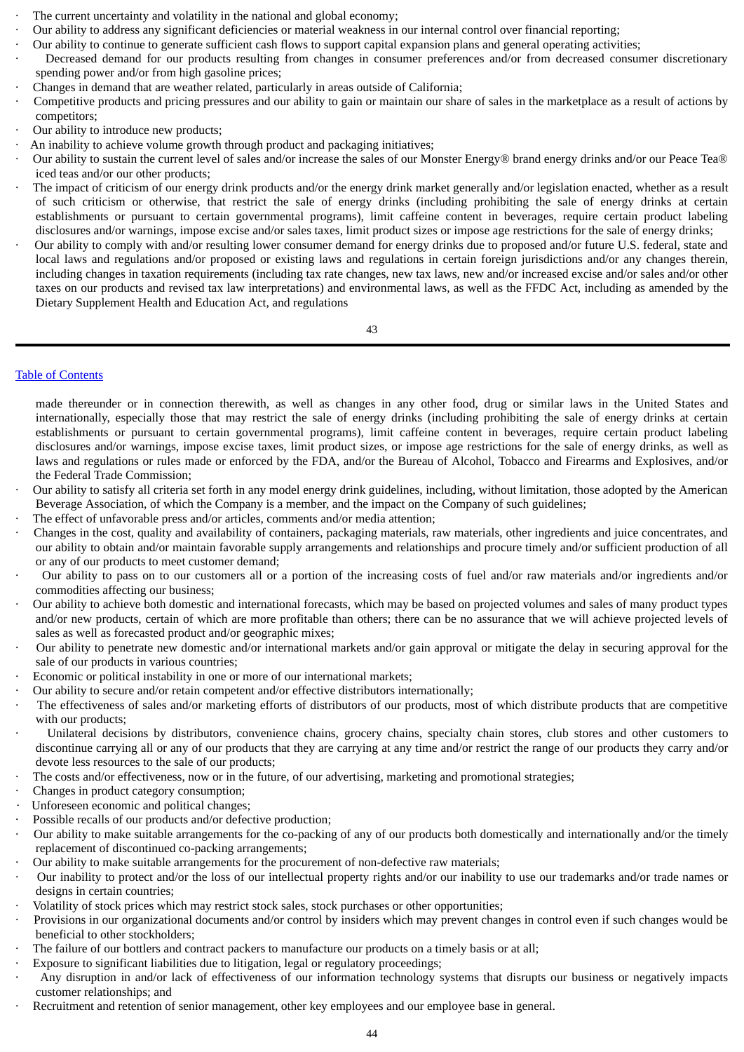- The current uncertainty and volatility in the national and global economy;
- · Our ability to address any significant deficiencies or material weakness in our internal control over financial reporting;
- · Our ability to continue to generate sufficient cash flows to support capital expansion plans and general operating activities;
- Decreased demand for our products resulting from changes in consumer preferences and/or from decreased consumer discretionary spending power and/or from high gasoline prices;
- · Changes in demand that are weather related, particularly in areas outside of California;
- · Competitive products and pricing pressures and our ability to gain or maintain our share of sales in the marketplace as a result of actions by competitors;
- Our ability to introduce new products;
- · An inability to achieve volume growth through product and packaging initiatives;
- · Our ability to sustain the current level of sales and/or increase the sales of our Monster Energy® brand energy drinks and/or our Peace Tea® iced teas and/or our other products;
- The impact of criticism of our energy drink products and/or the energy drink market generally and/or legislation enacted, whether as a result of such criticism or otherwise, that restrict the sale of energy drinks (including prohibiting the sale of energy drinks at certain establishments or pursuant to certain governmental programs), limit caffeine content in beverages, require certain product labeling disclosures and/or warnings, impose excise and/or sales taxes, limit product sizes or impose age restrictions for the sale of energy drinks;
- · Our ability to comply with and/or resulting lower consumer demand for energy drinks due to proposed and/or future U.S. federal, state and local laws and regulations and/or proposed or existing laws and regulations in certain foreign jurisdictions and/or any changes therein, including changes in taxation requirements (including tax rate changes, new tax laws, new and/or increased excise and/or sales and/or other taxes on our products and revised tax law interpretations) and environmental laws, as well as the FFDC Act, including as amended by the Dietary Supplement Health and Education Act, and regulations

$$
43 \\
$$

### Table of [Contents](#page-0-0)

made thereunder or in connection therewith, as well as changes in any other food, drug or similar laws in the United States and internationally, especially those that may restrict the sale of energy drinks (including prohibiting the sale of energy drinks at certain establishments or pursuant to certain governmental programs), limit caffeine content in beverages, require certain product labeling disclosures and/or warnings, impose excise taxes, limit product sizes, or impose age restrictions for the sale of energy drinks, as well as laws and regulations or rules made or enforced by the FDA, and/or the Bureau of Alcohol, Tobacco and Firearms and Explosives, and/or the Federal Trade Commission;

- · Our ability to satisfy all criteria set forth in any model energy drink guidelines, including, without limitation, those adopted by the American Beverage Association, of which the Company is a member, and the impact on the Company of such guidelines;
- The effect of unfavorable press and/or articles, comments and/or media attention;
- · Changes in the cost, quality and availability of containers, packaging materials, raw materials, other ingredients and juice concentrates, and our ability to obtain and/or maintain favorable supply arrangements and relationships and procure timely and/or sufficient production of all or any of our products to meet customer demand;
- · Our ability to pass on to our customers all or a portion of the increasing costs of fuel and/or raw materials and/or ingredients and/or commodities affecting our business;
- · Our ability to achieve both domestic and international forecasts, which may be based on projected volumes and sales of many product types and/or new products, certain of which are more profitable than others; there can be no assurance that we will achieve projected levels of sales as well as forecasted product and/or geographic mixes;
- · Our ability to penetrate new domestic and/or international markets and/or gain approval or mitigate the delay in securing approval for the sale of our products in various countries;
- Economic or political instability in one or more of our international markets;
- · Our ability to secure and/or retain competent and/or effective distributors internationally;
- The effectiveness of sales and/or marketing efforts of distributors of our products, most of which distribute products that are competitive with our products;
- · Unilateral decisions by distributors, convenience chains, grocery chains, specialty chain stores, club stores and other customers to discontinue carrying all or any of our products that they are carrying at any time and/or restrict the range of our products they carry and/or devote less resources to the sale of our products;
- The costs and/or effectiveness, now or in the future, of our advertising, marketing and promotional strategies;
- Changes in product category consumption;
- · Unforeseen economic and political changes;
- Possible recalls of our products and/or defective production;
- · Our ability to make suitable arrangements for the co-packing of any of our products both domestically and internationally and/or the timely replacement of discontinued co-packing arrangements;
- · Our ability to make suitable arrangements for the procurement of non-defective raw materials;
- · Our inability to protect and/or the loss of our intellectual property rights and/or our inability to use our trademarks and/or trade names or designs in certain countries;
- · Volatility of stock prices which may restrict stock sales, stock purchases or other opportunities;
- · Provisions in our organizational documents and/or control by insiders which may prevent changes in control even if such changes would be beneficial to other stockholders;
- The failure of our bottlers and contract packers to manufacture our products on a timely basis or at all;
- · Exposure to significant liabilities due to litigation, legal or regulatory proceedings;
- · Any disruption in and/or lack of effectiveness of our information technology systems that disrupts our business or negatively impacts customer relationships; and
- · Recruitment and retention of senior management, other key employees and our employee base in general.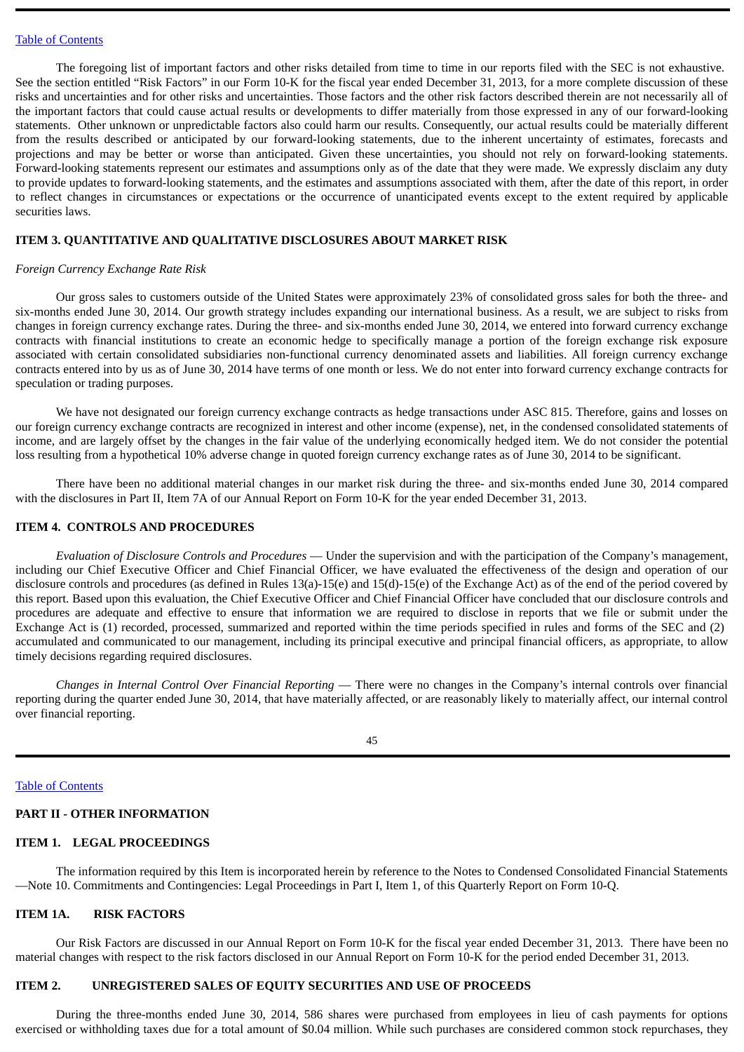The foregoing list of important factors and other risks detailed from time to time in our reports filed with the SEC is not exhaustive. See the section entitled "Risk Factors" in our Form 10-K for the fiscal year ended December 31, 2013, for a more complete discussion of these risks and uncertainties and for other risks and uncertainties. Those factors and the other risk factors described therein are not necessarily all of the important factors that could cause actual results or developments to differ materially from those expressed in any of our forward-looking statements. Other unknown or unpredictable factors also could harm our results. Consequently, our actual results could be materially different from the results described or anticipated by our forward-looking statements, due to the inherent uncertainty of estimates, forecasts and projections and may be better or worse than anticipated. Given these uncertainties, you should not rely on forward-looking statements. Forward-looking statements represent our estimates and assumptions only as of the date that they were made. We expressly disclaim any duty to provide updates to forward-looking statements, and the estimates and assumptions associated with them, after the date of this report, in order to reflect changes in circumstances or expectations or the occurrence of unanticipated events except to the extent required by applicable securities laws.

### <span id="page-29-0"></span>**ITEM 3. QUANTITATIVE AND QUALITATIVE DISCLOSURES ABOUT MARKET RISK**

#### *Foreign Currency Exchange Rate Risk*

Our gross sales to customers outside of the United States were approximately 23% of consolidated gross sales for both the three- and six-months ended June 30, 2014. Our growth strategy includes expanding our international business. As a result, we are subject to risks from changes in foreign currency exchange rates. During the three- and six-months ended June 30, 2014, we entered into forward currency exchange contracts with financial institutions to create an economic hedge to specifically manage a portion of the foreign exchange risk exposure associated with certain consolidated subsidiaries non-functional currency denominated assets and liabilities. All foreign currency exchange contracts entered into by us as of June 30, 2014 have terms of one month or less. We do not enter into forward currency exchange contracts for speculation or trading purposes.

We have not designated our foreign currency exchange contracts as hedge transactions under ASC 815. Therefore, gains and losses on our foreign currency exchange contracts are recognized in interest and other income (expense), net, in the condensed consolidated statements of income, and are largely offset by the changes in the fair value of the underlying economically hedged item. We do not consider the potential loss resulting from a hypothetical 10% adverse change in quoted foreign currency exchange rates as of June 30, 2014 to be significant.

There have been no additional material changes in our market risk during the three- and six-months ended June 30, 2014 compared with the disclosures in Part II, Item 7A of our Annual Report on Form 10-K for the year ended December 31, 2013.

### <span id="page-29-1"></span>**ITEM 4. CONTROLS AND PROCEDURES**

*Evaluation of Disclosure Controls and Procedures* — Under the supervision and with the participation of the Company's management, including our Chief Executive Officer and Chief Financial Officer, we have evaluated the effectiveness of the design and operation of our disclosure controls and procedures (as defined in Rules 13(a)-15(e) and 15(d)-15(e) of the Exchange Act) as of the end of the period covered by this report. Based upon this evaluation, the Chief Executive Officer and Chief Financial Officer have concluded that our disclosure controls and procedures are adequate and effective to ensure that information we are required to disclose in reports that we file or submit under the Exchange Act is (1) recorded, processed, summarized and reported within the time periods specified in rules and forms of the SEC and (2) accumulated and communicated to our management, including its principal executive and principal financial officers, as appropriate, to allow timely decisions regarding required disclosures.

*Changes in Internal Control Over Financial Reporting* — There were no changes in the Company's internal controls over financial reporting during the quarter ended June 30, 2014, that have materially affected, or are reasonably likely to materially affect, our internal control over financial reporting.

<span id="page-29-5"></span><span id="page-29-3"></span><span id="page-29-2"></span>
$$
45 \\
$$

#### Table of [Contents](#page-0-0)

#### **PART II - OTHER INFORMATION**

### **ITEM 1. LEGAL PROCEEDINGS**

The information required by this Item is incorporated herein by reference to the Notes to Condensed Consolidated Financial Statements —Note 10. Commitments and Contingencies: Legal Proceedings in Part I, Item 1, of this Quarterly Report on Form 10-Q.

#### <span id="page-29-4"></span>**ITEM 1A. RISK FACTORS**

Our Risk Factors are discussed in our Annual Report on Form 10-K for the fiscal year ended December 31, 2013. There have been no material changes with respect to the risk factors disclosed in our Annual Report on Form 10-K for the period ended December 31, 2013.

### **ITEM 2. UNREGISTERED SALES OF EQUITY SECURITIES AND USE OF PROCEEDS**

During the three-months ended June 30, 2014, 586 shares were purchased from employees in lieu of cash payments for options exercised or withholding taxes due for a total amount of \$0.04 million. While such purchases are considered common stock repurchases, they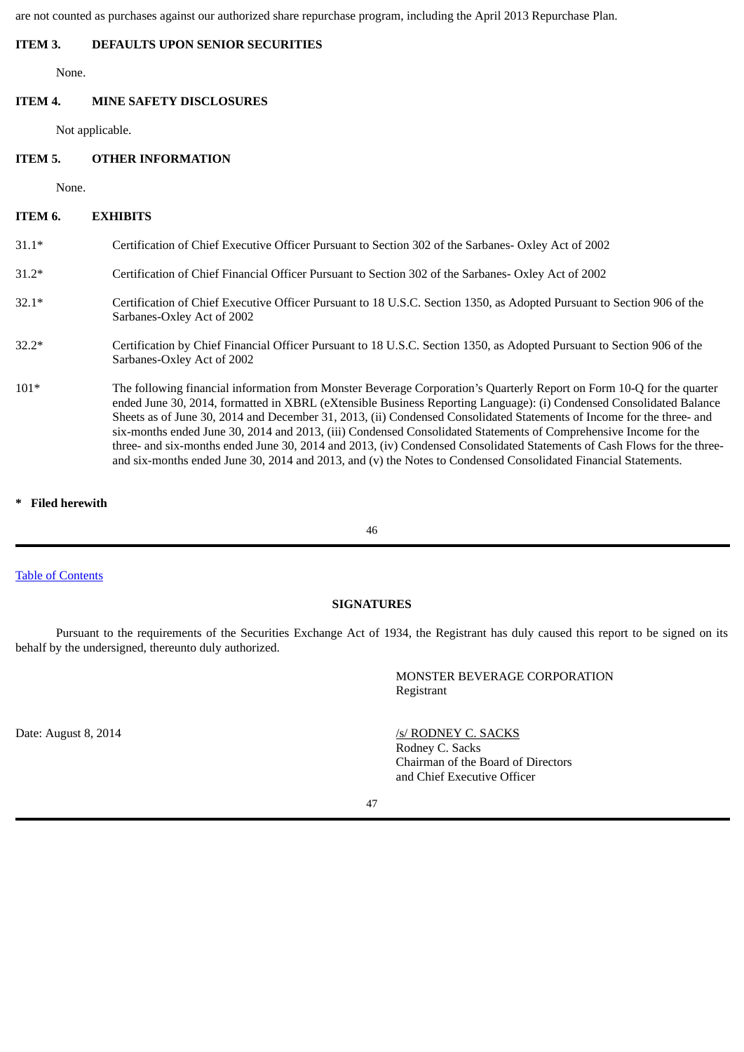are not counted as purchases against our authorized share repurchase program, including the April 2013 Repurchase Plan.

#### **ITEM 3. DEFAULTS UPON SENIOR SECURITIES**

<span id="page-30-1"></span><span id="page-30-0"></span>None.

#### **ITEM 4. MINE SAFETY DISCLOSURES**

<span id="page-30-2"></span>Not applicable.

### **ITEM 5. OTHER INFORMATION**

<span id="page-30-3"></span>None.

- 31.1\* Certification of Chief Executive Officer Pursuant to Section 302 of the Sarbanes- Oxley Act of 2002
- 31.2\* Certification of Chief Financial Officer Pursuant to Section 302 of the Sarbanes- Oxley Act of 2002
- 32.1\* Certification of Chief Executive Officer Pursuant to 18 U.S.C. Section 1350, as Adopted Pursuant to Section 906 of the Sarbanes-Oxley Act of 2002
- 32.2\* Certification by Chief Financial Officer Pursuant to 18 U.S.C. Section 1350, as Adopted Pursuant to Section 906 of the Sarbanes-Oxley Act of 2002
- 101\* The following financial information from Monster Beverage Corporation's Quarterly Report on Form 10-Q for the quarter ended June 30, 2014, formatted in XBRL (eXtensible Business Reporting Language): (i) Condensed Consolidated Balance Sheets as of June 30, 2014 and December 31, 2013, (ii) Condensed Consolidated Statements of Income for the three- and six-months ended June 30, 2014 and 2013, (iii) Condensed Consolidated Statements of Comprehensive Income for the three- and six-months ended June 30, 2014 and 2013, (iv) Condensed Consolidated Statements of Cash Flows for the threeand six-months ended June 30, 2014 and 2013, and (v) the Notes to Condensed Consolidated Financial Statements.
- **\* Filed herewith**

46

Table of [Contents](#page-0-0)

#### **SIGNATURES**

Pursuant to the requirements of the Securities Exchange Act of 1934, the Registrant has duly caused this report to be signed on its behalf by the undersigned, thereunto duly authorized.

> <span id="page-30-4"></span>MONSTER BEVERAGE CORPORATION Registrant

Date: August 8, 2014 *S/ RODNEY C. SACKS* Rodney C. Sacks Chairman of the Board of Directors and Chief Executive Officer

47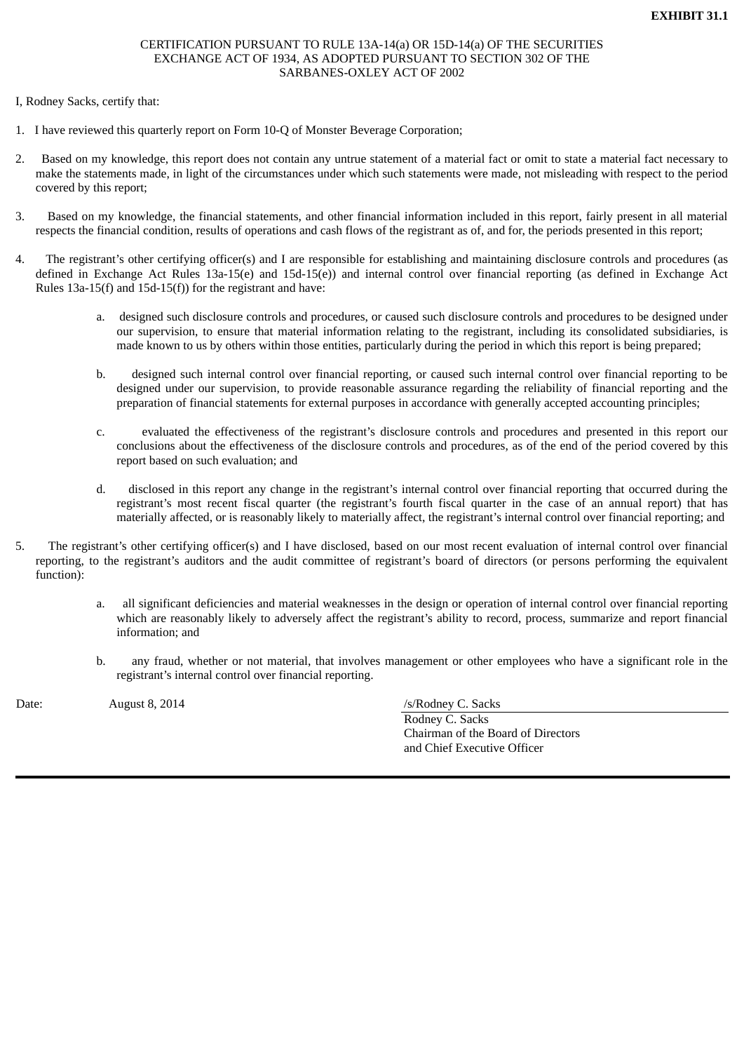### CERTIFICATION PURSUANT TO RULE 13A-14(a) OR 15D-14(a) OF THE SECURITIES EXCHANGE ACT OF 1934, AS ADOPTED PURSUANT TO SECTION 302 OF THE SARBANES-OXLEY ACT OF 2002

### I, Rodney Sacks, certify that:

- 1. I have reviewed this quarterly report on Form 10-Q of Monster Beverage Corporation;
- 2. Based on my knowledge, this report does not contain any untrue statement of a material fact or omit to state a material fact necessary to make the statements made, in light of the circumstances under which such statements were made, not misleading with respect to the period covered by this report;
- 3. Based on my knowledge, the financial statements, and other financial information included in this report, fairly present in all material respects the financial condition, results of operations and cash flows of the registrant as of, and for, the periods presented in this report;
- 4. The registrant's other certifying officer(s) and I are responsible for establishing and maintaining disclosure controls and procedures (as defined in Exchange Act Rules 13a-15(e) and 15d-15(e)) and internal control over financial reporting (as defined in Exchange Act Rules 13a-15(f) and 15d-15(f)) for the registrant and have:
	- a. designed such disclosure controls and procedures, or caused such disclosure controls and procedures to be designed under our supervision, to ensure that material information relating to the registrant, including its consolidated subsidiaries, is made known to us by others within those entities, particularly during the period in which this report is being prepared;
	- b. designed such internal control over financial reporting, or caused such internal control over financial reporting to be designed under our supervision, to provide reasonable assurance regarding the reliability of financial reporting and the preparation of financial statements for external purposes in accordance with generally accepted accounting principles;
	- c. evaluated the effectiveness of the registrant's disclosure controls and procedures and presented in this report our conclusions about the effectiveness of the disclosure controls and procedures, as of the end of the period covered by this report based on such evaluation; and
	- d. disclosed in this report any change in the registrant's internal control over financial reporting that occurred during the registrant's most recent fiscal quarter (the registrant's fourth fiscal quarter in the case of an annual report) that has materially affected, or is reasonably likely to materially affect, the registrant's internal control over financial reporting; and
- 5. The registrant's other certifying officer(s) and I have disclosed, based on our most recent evaluation of internal control over financial reporting, to the registrant's auditors and the audit committee of registrant's board of directors (or persons performing the equivalent function):
	- a. all significant deficiencies and material weaknesses in the design or operation of internal control over financial reporting which are reasonably likely to adversely affect the registrant's ability to record, process, summarize and report financial information; and
	- b. any fraud, whether or not material, that involves management or other employees who have a significant role in the registrant's internal control over financial reporting.

Date: August 8, 2014 *August 8, 2014 /s/Rodney C. Sacks* 

Rodney C. Sacks Chairman of the Board of Directors and Chief Executive Officer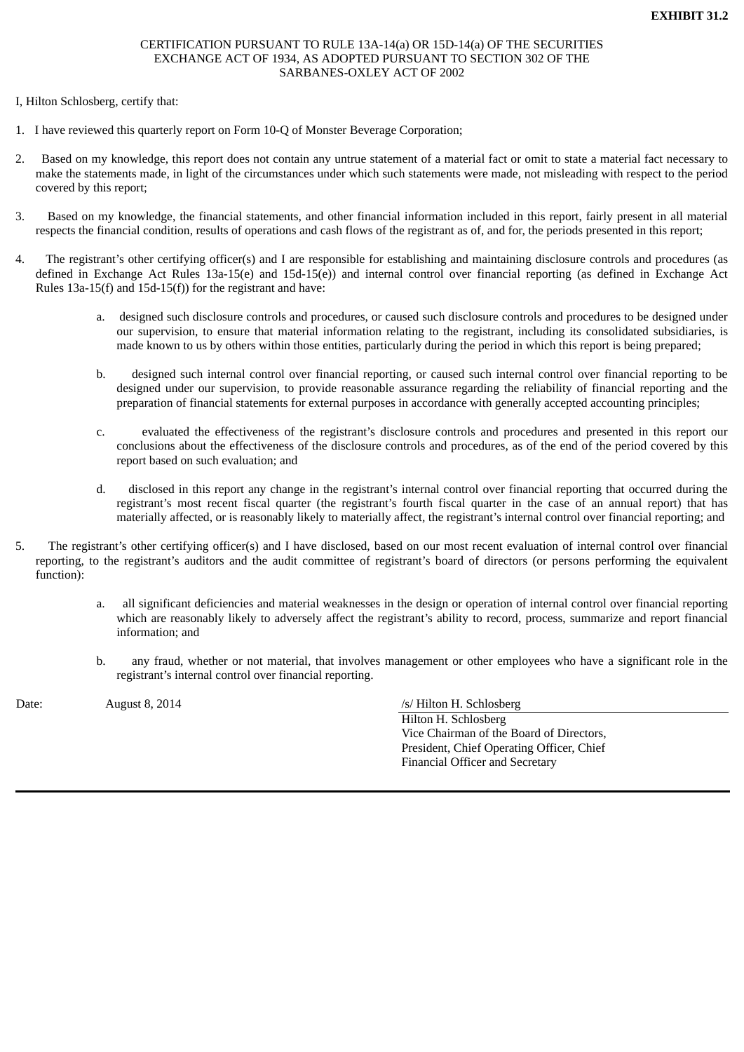### CERTIFICATION PURSUANT TO RULE 13A-14(a) OR 15D-14(a) OF THE SECURITIES EXCHANGE ACT OF 1934, AS ADOPTED PURSUANT TO SECTION 302 OF THE SARBANES-OXLEY ACT OF 2002

I, Hilton Schlosberg, certify that:

- 1. I have reviewed this quarterly report on Form 10-Q of Monster Beverage Corporation;
- 2. Based on my knowledge, this report does not contain any untrue statement of a material fact or omit to state a material fact necessary to make the statements made, in light of the circumstances under which such statements were made, not misleading with respect to the period covered by this report;
- 3. Based on my knowledge, the financial statements, and other financial information included in this report, fairly present in all material respects the financial condition, results of operations and cash flows of the registrant as of, and for, the periods presented in this report;
- 4. The registrant's other certifying officer(s) and I are responsible for establishing and maintaining disclosure controls and procedures (as defined in Exchange Act Rules 13a-15(e) and 15d-15(e)) and internal control over financial reporting (as defined in Exchange Act Rules 13a-15(f) and 15d-15(f)) for the registrant and have:
	- a. designed such disclosure controls and procedures, or caused such disclosure controls and procedures to be designed under our supervision, to ensure that material information relating to the registrant, including its consolidated subsidiaries, is made known to us by others within those entities, particularly during the period in which this report is being prepared;
	- b. designed such internal control over financial reporting, or caused such internal control over financial reporting to be designed under our supervision, to provide reasonable assurance regarding the reliability of financial reporting and the preparation of financial statements for external purposes in accordance with generally accepted accounting principles;
	- c. evaluated the effectiveness of the registrant's disclosure controls and procedures and presented in this report our conclusions about the effectiveness of the disclosure controls and procedures, as of the end of the period covered by this report based on such evaluation; and
	- d. disclosed in this report any change in the registrant's internal control over financial reporting that occurred during the registrant's most recent fiscal quarter (the registrant's fourth fiscal quarter in the case of an annual report) that has materially affected, or is reasonably likely to materially affect, the registrant's internal control over financial reporting; and
- 5. The registrant's other certifying officer(s) and I have disclosed, based on our most recent evaluation of internal control over financial reporting, to the registrant's auditors and the audit committee of registrant's board of directors (or persons performing the equivalent function):
	- a. all significant deficiencies and material weaknesses in the design or operation of internal control over financial reporting which are reasonably likely to adversely affect the registrant's ability to record, process, summarize and report financial information; and
	- b. any fraud, whether or not material, that involves management or other employees who have a significant role in the registrant's internal control over financial reporting.

Date: August 8, 2014 */s/ Hilton H. Schlosberg* Hilton H. Schlosberg Vice Chairman of the Board of Directors, President, Chief Operating Officer, Chief Financial Officer and Secretary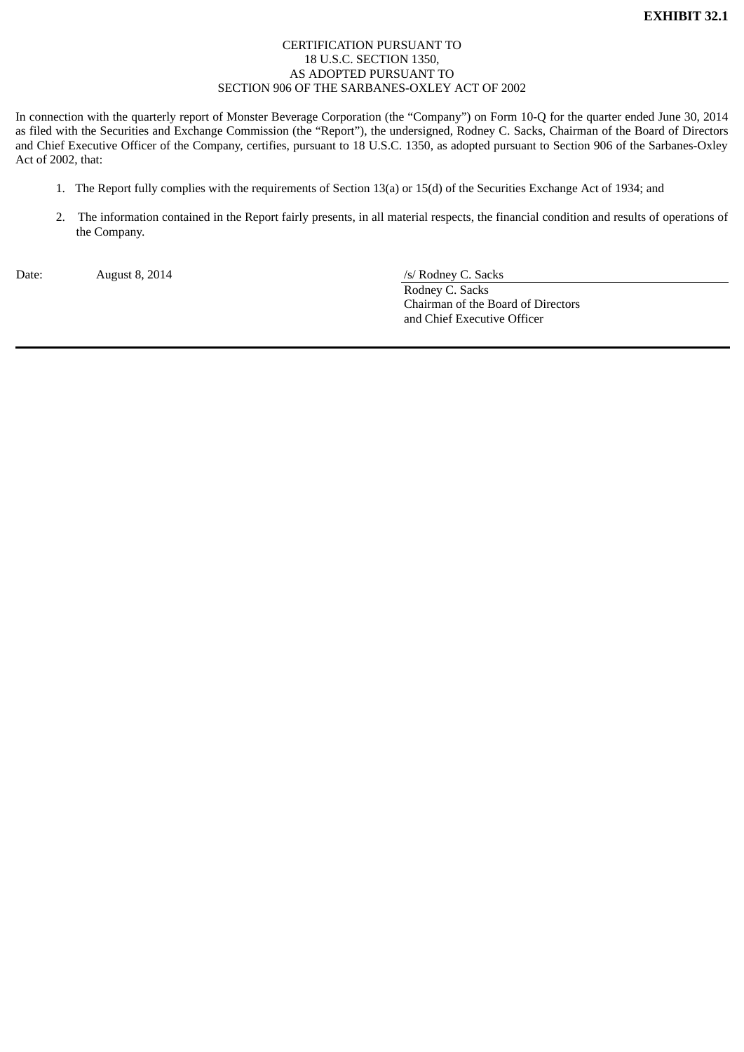### CERTIFICATION PURSUANT TO 18 U.S.C. SECTION 1350, AS ADOPTED PURSUANT TO SECTION 906 OF THE SARBANES-OXLEY ACT OF 2002

In connection with the quarterly report of Monster Beverage Corporation (the "Company") on Form 10-Q for the quarter ended June 30, 2014 as filed with the Securities and Exchange Commission (the "Report"), the undersigned, Rodney C. Sacks, Chairman of the Board of Directors and Chief Executive Officer of the Company, certifies, pursuant to 18 U.S.C. 1350, as adopted pursuant to Section 906 of the Sarbanes-Oxley Act of 2002, that:

- 1. The Report fully complies with the requirements of Section 13(a) or 15(d) of the Securities Exchange Act of 1934; and
- 2. The information contained in the Report fairly presents, in all material respects, the financial condition and results of operations of the Company.

Date: August 8, 2014 /s/ Rodney C. Sacks

Rodney C. Sacks Chairman of the Board of Directors and Chief Executive Officer